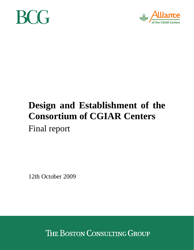



# **Design and Establishment of the Consortium of CGIAR Centers**  Final report

12th October 2009

THE BOSTON CONSULTING GROUP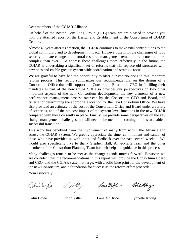Dear members of the CGIAR Alliance

On behalf of the Boston Consulting Group (BCG) team, we are pleased to provide you with the attached report on the Design and Establishment of the Consortium of CGIAR Centers.

Almost 40 years after its creation, the CGIAR continues to make vital contributions to the global community and to development impact. However, the multiple challenges of food security, climate change, and natural resource management remain more acute and more complex than ever. To address these challenges more effectively in the future, the CGIAR is undertaking a significant set of reforms that will replace old structures with new ones and enable greater system-wide coordination and strategic focus.

We are grateful to have had the opportunity to offer our contributions to this important reform process. This report summarizes our recommendations on the design of a Consortium Office that will support the Consortium Board and CEO in fulfilling their mandates as part of the new CGIAR. It also provides our perspectives on two other important aspects of the new Consortium development: the key elements of a new performance management process overseen by the Consortium CEO and Board, and criteria for determining the appropriate location for the new Consortium Office. We have also provided an estimate of the cost of the Consortium Office and Board under a variety of scenarios, and of the net cost impact of the system-level functions in the new CGIAR compared with those currently in place. Finally, we provide some perspectives on the key change management challenges that will need to be met in the coming months to enable a successful transition.

This work has benefited from the involvement of many from within the Alliance and across the CGIAR System. We greatly appreciate the time, commitment and candor of those who have provided us with input and feedback over the past several weeks. We would also specifically like to thank Stephen Hall, Anne-Marie Izac, and the other members of the Consortium Planning Team for their help and guidance in this process.

Many challenges remain to be met as the change agenda moves forward. However, we are confident that the recommendations in this report will provide the Consortium Board and CEO, and the CGIAR system at large, with a solid blue print for the development of the new Consortium, and a foundation for success as the reform effort proceeds.

Yours sincerely

Colin Byle

 $U.$  Ville $\gamma$ 

Lane Might

Minhay

Colin Boyle Ulrich Villis Lane McBride Lynnette Khong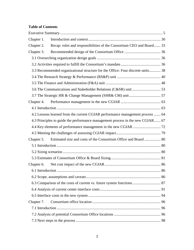# **Table of Contents**

| Chapter 1.                                                            |                                                                                 |  |  |  |
|-----------------------------------------------------------------------|---------------------------------------------------------------------------------|--|--|--|
| Chapter 2.                                                            | Recap: roles and responsibilities of the Consortium CEO and Board 33            |  |  |  |
| Chapter 3.                                                            |                                                                                 |  |  |  |
|                                                                       |                                                                                 |  |  |  |
|                                                                       |                                                                                 |  |  |  |
|                                                                       | 3.3 Recommended organizational structure for the Office: Four discrete units 38 |  |  |  |
|                                                                       |                                                                                 |  |  |  |
|                                                                       |                                                                                 |  |  |  |
|                                                                       |                                                                                 |  |  |  |
|                                                                       |                                                                                 |  |  |  |
|                                                                       |                                                                                 |  |  |  |
|                                                                       |                                                                                 |  |  |  |
|                                                                       | 4.2 Lessons learned from the current CGIAR performance management process  64   |  |  |  |
|                                                                       | 4.3 Principles to guide the performance management process in the new CGIAR 67  |  |  |  |
|                                                                       |                                                                                 |  |  |  |
|                                                                       |                                                                                 |  |  |  |
| Chapter 5.                                                            |                                                                                 |  |  |  |
|                                                                       |                                                                                 |  |  |  |
|                                                                       |                                                                                 |  |  |  |
|                                                                       |                                                                                 |  |  |  |
| Chapter 6.                                                            |                                                                                 |  |  |  |
|                                                                       |                                                                                 |  |  |  |
|                                                                       |                                                                                 |  |  |  |
| 6.3 Comparison of the costs of current vs. future system functions 87 |                                                                                 |  |  |  |
|                                                                       |                                                                                 |  |  |  |
|                                                                       |                                                                                 |  |  |  |
| Chapter 7.                                                            |                                                                                 |  |  |  |
|                                                                       |                                                                                 |  |  |  |
|                                                                       |                                                                                 |  |  |  |
|                                                                       |                                                                                 |  |  |  |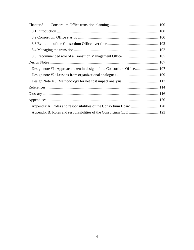| Chapter 8. |                                                                     |  |  |
|------------|---------------------------------------------------------------------|--|--|
|            |                                                                     |  |  |
|            |                                                                     |  |  |
|            |                                                                     |  |  |
|            |                                                                     |  |  |
|            |                                                                     |  |  |
|            |                                                                     |  |  |
|            |                                                                     |  |  |
|            |                                                                     |  |  |
|            |                                                                     |  |  |
|            |                                                                     |  |  |
|            |                                                                     |  |  |
|            |                                                                     |  |  |
|            | Appendix A: Roles and responsibilities of the Consortium Board  120 |  |  |
|            |                                                                     |  |  |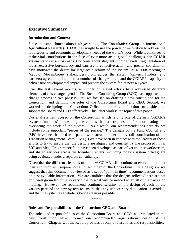## **Executive Summary**

#### **Introduction and Context**

Since its establishment almost 40 years ago, The Consultative Group on International Agricultural Research (CGIAR) has sought to use the power of innovation to address the food security and economic development needs of the world's poor. While it continues to make vital contributions in the face of ever more acute global challenges, the CGIAR system stands at a crossroads. Concerns about stagnant funding levels, fragmentation of focus, excessive bureaucracy and barriers to collective action and greater coordination have motivated the desire for large-scale reform of the system. At a 2008 meeting in Maputo, Mozambique, stakeholders from across the system (centers, funders, and partners) agreed in principle to a number of changes to expand the CGIAR's capacity to deliver true developmental impact and prepare the system for its next 40 years.

Over the last several months, a number of related efforts have addressed different elements of this change agenda. The Boston Consulting Group (BCG) has supported the change process in two phases: First, we focused on drafting a new constitution for the Consortium and defining the roles of the Consortium Board and CEO. Second, we worked on designing the Consortium Office's structure and functions to enable it to support the Board and CEO effectively. This latter work is the topic of this paper.

Our analysis has focused on the Consortium, which is only one of the new CGIAR's "system functions" – meaning the entities that are responsible for coordinating and overseeing the work of the system. As a result, our recommendations here do not include some important "pieces of the puzzle." The designs of the Fund Council and ISPC have been handled as separate workstreams under the overall coordination of the Transition Management Team (TMT). (We have been in contact with the leaders of those efforts to try to ensure that the designs are aligned and consistent.) The proposed initial SRF and Mega Program portfolio have been developed as part of yet another workstream, and shared services across the Member Centers (including today's system offices) are being evaluated under a separate consultancy.

Given that the different elements of the new CGIAR will continue to evolve – and that their evolution will require some "fine-tuning" of the Consortium Office designs – we suggest that this document be viewed as a set of "point-in-time" recommendations based on best-available information. We are confident that the designs reflected here are not only well grounded but also very close to what will be needed when all of the parts stop moving. However, we recommend continued scrutiny of the design of each of the various parts of the new system to ensure that any unnecessary duplication is avoided, and that the system as a whole is kept as lean as possible.

\*\*\*\*\*

#### **Roles and Responsibilities of the Consortium CEO and Board**

The roles and responsibilities of the Consortium Board and CEO, as articulated in the new Constitution, have informed our recommended organizational design of the Consortium. **Chapter 2** of the Report provides a recap of these roles and responsibilities.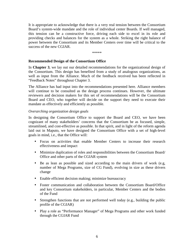It is appropriate to acknowledge that there is a very real tension between the Consortium Board's system-wide mandate and the role of individual center Boards. If well managed, this tension can be a constructive force, driving each side to excel in its role and providing checks and balances for the system as a whole. Striking the right balance of power between the Consortium and its Member Centers over time will be critical to the success of the new CGIAR.

\*\*\*\*\*

#### **Recommended Design of the Consortium Office**

In **Chapter 3**, we lay out our detailed recommendations for the organizational design of the Consortium. This design has benefited from a study of analogous organizations, as well as input from the Alliance. Much of the feedback received has been reflected in "Feedback Notes" throughout Chapter 3.

The Alliance has had input into the recommendations presented here. Alliance members will continue to be consulted as the design process continues. However, the ultimate reviewers and decision makers for this set of recommendations will be the Consortium Board and CEO, who together will decide on the support they need to execute their mandate as effectively and efficiently as possible.

## *Overarching organization design goals*

In designing the Consortium Office to support the Board and CEO, we have been cognizant of many stakeholders' concerns that the Consortium be as focused, simple, streamlined, and cost-effective as possible. In that spirit, and in light of the reform agenda laid out in Maputo, we have designed the Consortium Office with a set of high-level goals in mind, i.e., that the Office will:

- Focus on activities that enable Member Centers to increase their research effectiveness and impact
- Minimize duplication of roles and responsibilities between the Consortium Board/ Office and other parts of the CGIAR system
- Be as lean as possible and sized according to the main drivers of work (e.g, number of Mega Programs, size of CG Fund), evolving in size as these drivers change
- Enable efficient decision making; minimize bureaucracy
- Foster communication and collaboration between the Consortium Board/Office and key Consortium stakeholders, in particular, Member Centers and the bodies of the Fund
- Strengthen functions that are not performed well today (e.g., building the public profile of the CGIAR)
- Play a role as "Performance Manager" of Mega Programs and other work funded through the CGIAR Fund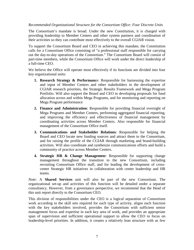#### *Recommended Organizational Structure for the Consortium Office: Four Discrete Units*

The Consortium's mandate is broad. Under the new Constitution, it is charged with providing leadership to Member Centers and other system partners and coordination of their activities so they can contribute most effectively to the overall CGIAR vision.

To support the Consortium Board and CEO in achieving this mandate, the Constitution calls for a Consortium Office consisting of "a professional staff responsible for carrying out the day-to-day operations of the Consortium." The Consortium Board will consist of part-time members, while the Consortium Office will work under the direct leadership of a full-time CEO.

We believe the Office will operate most effectively if its functions are divided into four key organizational units:

- **1. Research Strategy & Performanc**e: Responsible for harnessing the expertise and input of Member Centers and other stakeholders in the development of CGIAR research priorities, the Strategic Results Framework and Mega Program Portfolio. Will also support the Board and CEO in developing proposals for fund allocation across and within Mega Programs, and for monitoring and reporting on Mega Program performance
- **2. Finance and Administration**: Responsible for providing financial oversight of Mega Programs and Member Centers, performing aggregated financial reporting, and improving the efficiency and effectiveness of financial management by coordinating activities across Member Centers. Also responsible for financial management of the Consortium Office itself.
- **3. Communications and Stakeholder Relations**: Responsible for helping the Board and CEO locate new funding sources and attract them to the Consortium, and for raising the profile of the CGIAR through marketing and brand-building activities. Will also coordinate and synthesize communications efforts and build a community of practice across Member Centers.
- **4. Strategic HR & Change Managemen**t: Responsible for supporting change management throughout the transition to the new Consortium, including recruiting Consortium Office staff, and for leading the development of crosscenter Strategic HR initiatives in collaboration with center leadership and HR teams.

*Note*: A **Shared Services** unit will also be part of the new Consortium. The organizational set-up and activities of this function will be detailed under a separate consultancy. However, from a governance perspective, we recommend that the Head of this unit report directly to the Consortium CEO.

This division of responsibilities under the CEO is a logical separation of Consortium work according to the skill sets required for each type of activity, aligns each function with the key stakeholders involved, provides the Consortium with sufficient senior management focus and expertise in each key area of work, and provides an appropriate span of supervision and sufficient operational support to allow the CEO to focus on leadership-level priorities. In addition, it creates a relatively lean structure with as few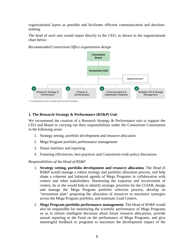organizational layers as possible and facilitates efficient communication and decisionmaking.

The head of each unit would report directly to the CEO, as shown in the organizational chart below:

**Shared Services<sup>1</sup>** 1. To be determined as part of separate Shared Services Consultancy Research Strategy & **Performance** Finance & Administration **Consortium Board** Communications & Stakeholder Relations Strategic HR & Change Management **1 2 3 4 Consortium CEO**

*Recommended Consortium Office organization design* 

## **1. The Research Strategy & Performance (RS&P) Unit**

We recommend the creation of a Research Strategy & Performance unit to support the CEO and Board in carrying out their responsibilities under the Consortium Constitution in the following areas:

- 1. Strategy setting, portfolio development and resource allocation
- 2. Mega Program portfolio performance management
- 3. Donor interface and reporting
- 4. Fostering efficiencies, best practices and Consortium-wide policy discussion

*Responsibilities of the Head of RS&P* 

- 1*.* **Strategy setting, portfolio development and resource allocation***.* The Head of RS&P would manage a robust strategy and portfolio allocation process, and help shape a coherent and balanced agenda of Mega Programs in collaboration with centers and other stakeholders. Harnessing the expertise and involvement of centers, he or she would help to identify strategic priorities for the CGIAR, design and manage the Mega Program portfolio selection process, develop an "investment plan" proposing the allocation of resources to maximize synergies across the Mega Program portfolio, and nominate Lead Centers.
- 2. **Mega Program portfolio performance management**. The Head of RS&P would also be responsible for monitoring the scientific performance of Mega Programs so as to inform intelligent decisions about future resource allocations, provide annual reporting to the Fund on the performance of Mega Programs, and give meaningful feedback to programs to maximize the development impact of the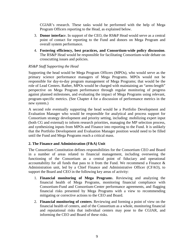CGIAR's research. These tasks would be performed with the help of Mega Program Officers reporting to the Head, as explained below.

- 3. **Donor interfac**e. In support of the CEO, the RS&P Head would serve as a central point of contact for reporting to the Fund and donors on Mega Program and overall system performance.
- 4. **Fostering efficiency, best practices, and Consortium-wide policy discussion**. The RS&P Head would be responsible for facilitating Consortium-wide debate on crosscutting issues and policies.

## *RS&P Staff Supporting the Head*

Supporting the head would be Mega Program Officers (MPOs), who would serve as the primary science performance managers of Mega Programs. MPOs would not be responsible for day-to-day program management of Mega Programs; that would be the role of Lead Centers. Rather, MPOs would be charged with maintaining an "arms-length" perspective on Mega Program performance through regular monitoring of progress against planned milestones, and evaluating the impact of Mega Programs using relevant, program-specific metrics. (See Chapter 4 for a discussion of performance metrics in the new system.)

A second role eventually supporting the head would be a Portfolio Development and Evaluation Manager who would be responsible for analytical and process support for Consortium strategy development and priority setting, including: mobilizing expert input (both CG and external) to inform research priorities, managing the MP selection process, and synthesizing inputs from MPOs and Finance into reporting to the Fund. It is unlikely that the Portfolio Development and Evaluation Manager position would need to be filled until the Fund and Mega Programs reach a critical mass.

## **2. The Finance and Administration (F&A) Unit**

The Consortium Constitution defines responsibilities for the Consortium CEO and Board in a number of areas related to financial management, including overseeing the functioning of the Consortium as a central point of fiduciary and operational accountability for all funds that pass to it from the Fund. We recommend a Finance & Administration unit, led by a Chief Finance and Administrative Officer (CFAO), to support the Board and CEO in the following key areas of activity:

- 1. **Financial monitoring of Mega Program**s. Reviewing and analyzing the financial health of Mega Programs, monitoring financial compliance with Consortium-Fund and Consortium-Center performance agreements, and flagging financial risks presented by Mega Programs with a view to recommending mitigating or corrective actions to the CEO and Board.
- 2. **Financial monitoring of centers**. Reviewing and forming a point of view on the financial health of centers, and of the Consortium as a whole, monitoring financial and reputational risks that individual centers may pose to the CGIAR, and informing the CEO and Board of these risks.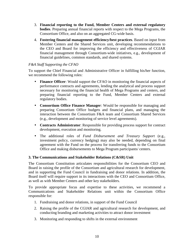- 3. **Financial reporting to the Fund, Member Centers and external regulatory bodies**. Preparing annual financial reports with respect to the Mega Programs, the Consortium Office, and also on an aggregated CG-wide basis.
- 4. **Fostering financial management efficiency/best practices**. Based on input from Member Centers and the Shared Services unit, developing recommendations to the CEO and Board for improving the efficiency and effectiveness of CGIAR financial management through Consortium-wide initiatives, e.g., development of financial guidelines, common standards, and shared systems.

## *F&A Staff Supporting the CFAO*

To support the Chief Financial and Administrative Officer in fulfilling his/her function, we recommend the following roles:

- **Finance Officer**: Would support the CFAO in monitoring the financial aspects of performance contracts and agreements, lending the analytical and process support necessary for monitoring the financial health of Mega Programs and centers, and preparing financial reporting to the Fund, Member Centers and external regulatory bodies.
- **Consortium Office Finance Manager**: Would be responsible for managing and preparing Consortium Office budgets and financial plans, and managing the interaction between the Consortium F&A team and Consortium Shared Services (e.g., development and monitoring of service level agreements).
- **Contracts Administrator**: Responsible for providing process support for contract development, execution and monitoring.
- The additional roles of *Fund Disbursement and Treasury Support* (e.g., investment policy, currency hedging) may also be needed, depending on final agreement with the Fund on the process for transferring funds to the Consortium Office and making disbursements to Mega Program participants/ centers.

## **3. The Communications and Stakeholder Relations (C&SR) Unit**

The Consortium Constitution articulates responsibilities for the Consortium CEO and Board in raising the profile of the Consortium and agricultural research for development, and in supporting the Fund Council in fundraising and donor relations. In addition, the Board itself will require support in its interactions with the CEO and Consortium Office, as well as with Member Centers and other key stakeholders.

To provide appropriate focus and expertise to these activities, we recommend a Communications and Stakeholder Relations unit within the Consortium Office responsible for:

- 1. Fundraising and donor relations, in support of the Fund Council
- 2. Raising the profile of the CGIAR and agricultural research for development, and conducting branding and marketing activities to attract donor investment
- 3. Monitoring and responding to shifts in the external environment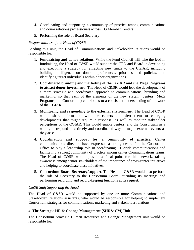- 4. Coordinating and supporting a community of practice among communications and donor relations professionals across CG Member Centers
- 5. Performing the role of Board Secretary

#### *Responsibilities of the Head of C&SR*

Leading this unit, the Head of Communications and Stakeholder Relations would be responsible for:

- 1. **Fundraising and donor relations**. While the Fund Council will take the lead in fundraising, the Head of C&SR would support the CEO and Board in developing and executing a strategy for attracting new funds to the CGIAR, including building intelligence on donors' preferences, priorities and policies, and identifying target individuals within donor organizations.
- 2. **Coordinated branding and marketing of the CGIAR and the Mega Programs to attract donor investment**. The Head of C&SR would lead the development of a more strategic and coordinated approach to communications, branding and marketing, so that each of the elements of the new system (centers, Mega Programs, the Consortium) contributes to a consistent understanding of the work of the CGIAR.
- 3. **Monitoring and responding to the external environment**. The Head of C&SR would share information with the centers and alert them to emerging developments that might require a response, as well as monitor stakeholder perceptions of the CGIAR. This would enable centers, and the Consortium as a whole, to respond in a timely and coordinated way to major external events as they arise.
- 4. **Coordination and support for a community of practice**. Center communications directors have expressed a strong desire for the Consortium Office to play a leadership role in coordinating CG-wide communications and facilitating a strong community of practice among center Communications teams. The Head of C&SR would provide a focal point for this network, raising awareness among senior stakeholders of the importance of cross-center initiatives and helping to coordinate these initiatives.
- 5. **Consortium Board Secretary/support**. The Head of C&SR would also perform the role of Secretary to the Consortium Board, attending its meetings and performing recording and record-keeping functions at its request.

## *C&SR Staff Supporting the Head*

The Head of C&SR would be supported by one or more Communications and Stakeholder Relations assistants, who would be responsible for helping to implement Consortium strategies for communications, marketing and stakeholder relations.

## **4. The Strategic HR & Change Management (SHR& CM) Unit**

The Consortium Strategic Human Resources and Change Management unit would be responsible for: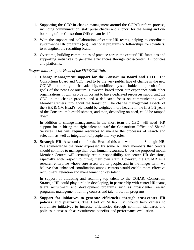- 1. Supporting the CEO in change management around the CGIAR reform process, including communication, staff pulse checks and support for the hiring and onboarding of the Consortium Office team itself
- 2. With the support and collaboration of center HR teams, helping to coordinate system-wide HR programs (e.g., rotational programs or fellowships for scientists) to strengthen the recruiting brand.
- 3. Over time, building communities of practice across the centers' HR functions and supporting initiatives to generate efficiencies through cross-center HR policies and platforms.

#### *Responsibilities of the Head of the SHR&CM Unit.*

1. **Change Management support for the Consortium Board and CEO**. The Consortium Board and CEO need to be the very public face of change in the new CGIAR, and through their leadership, mobilize key stakeholders in pursuit of the goals of the new Consortium. However, based upon our experience with other organizations, it will also be important to have dedicated resources supporting the CEO in the change process, and a dedicated focus on communicating with Member Centers throughout the transition. The change management aspects of the SHR & CM Head's role would be weighted more heavily in the first 1-2 years of the Consortium's establishment, and then, depending on need, could be ramped down.

 In addition to change management, in the short term the CEO will need HR support for in hiring the right talent to staff the Consortium Office and Shared Services. This will require resources to manage the processes of search and selection, as well as integration of people into key roles.

2. **Strategic HR**. A second role for the Head of this unit would be in Strategic HR. We acknowledge the view expressed by some Alliance members that centers should continue to manage their own human resources. Under the proposed model, Member Centers will certainly retain responsibility for center HR decisions, especially with respect to hiring their own staff. However, the CGIAR is a research enterprise whose core assets are its people, and in the longer term, we believe that enhanced coordination among centers would enable more effective recruitment, retention and management of key talent.

 In support of attracting and retaining top talent to the CGIAR, Consortium Strategic HR could play a role in developing, in partnership with center HR teams, talent recruitment and development programs such as cross-center reward programs, management training courses and talent rotation programs.

3. **Support for initiatives to generate efficiencies through cross-center HR policies and platforms**. The Head of SHR& CM would help centers to coordinate initiatives to increase efficiencies through common standards and policies in areas such as recruitment, benefits, and performance evaluation.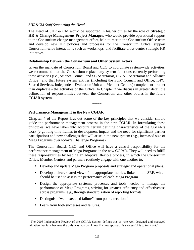#### *SHR&CM Staff Supporting the Head*

The Head of SHR & CM would be supported in his/her duties by the role of **Strategic HR & Change Management Project Manager**, who would provide operational support to the Consortium change management effort, help to recruit the Consortium Office team and develop new HR policies and processes for the Consortium Office, support Consortium-wide interactions such as workshops, and facilitate cross-center strategic HR initiatives.

#### **Relationship Between the Consortium and Other System Actors**

Given the mandate of Consortium Board and CEO to coordinate system-wide activities, we recommend that the Consortium replace any system functions currently performing these activities (i.e., Science Council and SC Secretariat, CGIAR Secretariat and Alliance Office), and that future system entities (including the Fund Council and Office, ISPC, Shared Services, Independent Evaluation Unit and Member Centers) complement - rather than duplicate - the activities of the Office. In Chapter 3 we discuss in greater detail the delineation of responsibilities between the Consortium and other bodies in the future CGIAR system.

\*\*\*\*\*

#### **Performance Management in the New CGIAR**

**Chapter 4** of the Report lays out some of the key principles that we consider should guide the performance management process in the new CGIAR. In formulating these principles, we have taken into account certain defining characteristics of the CGIAR's work (e.g., long time frames to development impact and the need for significant partner participation) and new challenges that will arise in the new system (e.g., increased size of Mega Programs over today's Challenge Programs).

The Consortium Board, CEO and Office will have a central responsibility for the performance management of Mega Programs in the new CGIAR. They will need to fulfill these responsibilities by leading an adaptive, flexible process, in which the Consortium Office, Member Centers and partners routinely engage with one another to:

- Develop and update Mega Program proposals and strategic and operational plans.
- Develop a clear, shared view of the appropriate metrics, linked to the SRF, which should be used to assess the performance of each Mega Program.
- Design the appropriate systems, processes and tools needed to manage the performance of Mega Programs, striving for greatest efficiency and effectiveness across programs, e.g., through standardization of reporting formats.
- Distinguish "well executed failure" from poor execution.<sup>1</sup>
- Learn from both successes and failures.

<u>.</u>

<sup>&</sup>lt;sup>1</sup> The 2008 Independent Review of the CGIAR System defines this as "the well designed and managed initiative that fails because the only way you can know if a new approach is successful is to try it out."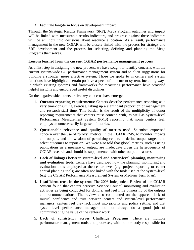• Facilitate long-term focus on development impact.

Through the Strategic Results Framework (SRF), Mega Program outcomes and impact will be linked with measurable results indicators, and progress against these indicators will be an input into decisions about resource allocation. As a result, performance management in the new CGIAR will be closely linked with the process for strategy and SRF development and the process for selecting, defining and planning the Mega Programs themselves.

#### **Lessons learned from the current CGIAR performance management process**

As a first step in designing the new process, we have sought to identify concerns with the current system-wide CG performance management system and to elicit suggestions for building a stronger, more effective system. Those we spoke to in centers and system functions have highlighted certain positive aspects of the current system, including ways in which existing systems and frameworks for measuring performance have provided helpful insights and encouraged useful disciplines.

On the negative side, however five key concerns have emerged:

- 1. **Onerous reporting requirements**: Centers describe performance reporting as a very time-consuming exercise, taking up a significant proportion of management and research staff time. This burden is the result of the multiplicity of donor reporting requirements that centers must contend with, as well as system-level Performance Measurement System (PMS) reporting that, some centers feel, employs an unnecessarily large set of metrics.
- 2. **Questionable relevance and quality of metrics used**: Scientists expressed concern over the use of "proxy" metrics, in the CGIAR PMS, to monitor impacts and outputs, and the wisdom of permitting centers to define output targets and select outcomes to report on. We were also told that global metrics, such as using publications as a measure of output, are inadequate given the heterogeneity of CGIAR research and should be supplemented with other output measures.
- 3. **Lack of linkages between system-level and center-level planning, monitoring and evaluation tools**: Centers have described how the planning, monitoring and evaluation tools employed at the center level (e.g. project reporting or center annual planning tools) are often not linked with the tools used at the system-level (e.g. the CGIAR Performance Measurement System or Medium Term Plan).
- 4. **Insufficient trust in the system**: The 2008 Independent Review of the CGIAR System found that centers perceive Science Council monitoring and evaluation activities as being conducted for donors, and feel little ownership of the outputs and recommendations. The review also commented on the apparent lack of mutual confidence and trust between centers and system-level performance managers; centers feel they lack input into priority and policy setting, and that system-level performance managers do not always do a good job of communicating the value of the centers' work.
- 5. **Lack of consistency across Challenge Program**s: There are multiple performance management tools and processes, with no one body responsible for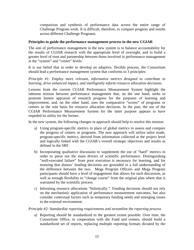comparison and synthesis of performance data across the entire range of Challenge Program work. It is difficult, therefore, to compare progress and results across different Challenge Programs.

#### **Principles to guide the performance management process in the new CGIAR**

The aim of performance management in the new system is to balance accountability for the results of CGIAR research with the appropriate level of oversight, and to build a greater level of trust and partnership between those involved in performance management at the "system" and "center" levels.

It is our belief that in order to develop an adaptive, flexible process, the Consortium should lead a performance management system that conforms to 3 principles:

#### *Principle #1: Employ more relevant, informative metrics designed to contribute to learning, drive enhanced impact, and intelligently inform resource allocation decisions.*

Lessons from the current CGIAR Performance Measurement System highlight the inherent tension between performance management that, on the one hand, seeks to promote honest appraisal of research progress for the purposes of learning and improvement, and, on the other hand, uses the comparative "scores" of programs or centers as the sole basis for resource allocation decisions. In the past, the use of the CGIAR Performance Measurement System for the latter purpose appears to have impeded its utility for the former.

In the new system, the following changes in approach should help to resolve this tension:

- a) Using program-specific metrics in place of global metrics to assess and compare the progress of centers or programs. The new approach will utilize tailor made, program-specific metrics, derived from information collected at the project level and logically linked with the CGIAR's overall strategic objectives and results as defined in the SRF.
- b) Incorporating qualitative discussion to supplement the use of "hard" metrics in order to parse out the main drivers of scientific performance. Distinguishing "well-executed failure" from poor execution is necessary for learning, and for ensuring that donors' funding decisions are grounded in a full understanding of the difference between the two. Mega Program Officers and Mega Program participants should have a level of engagement that allows for such discussion, as well as enough flexibility to "change course" from the original plan where that is warranted by the scientific process.
- c) Informing resource allocations "holistically.". Funding decisions should not rely on the mechanistic application of performance measurement outcomes, but also consider contextual factors such as temporary funding needs and emerging issues in the external environment.

## *Principle #2: Standardize reporting requirements and streamline the reporting process*

a) Reporting should be standardized to the greatest extent possible: Over time, the Consortium Office, in cooperation with the Fund and centers, should build a standardized set of reports, replacing multiple reporting formats dictated by the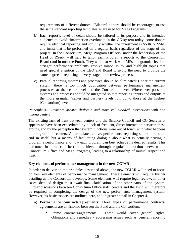requirements of different donors. Bilateral donors should be encouraged to use the same standard reporting templates as are used for Mega Programs.

- b) Each report's level of detail should be tailored to its purpose and its intended audience to avoid "information overload": In the CG system today, some donors require identical reporting and scrutiny whether the investment is \$50K or \$5M, and insist that it be performed on a regular basis regardless of the stage of the project. In the Consortium, Mega Program Officers, under the leadership of the Head of RS&P, will help to tailor each Program's reports to the Consortium Board (and in turn the Fund). They will also work with MPs at a granular level to "triage" performance problems, resolve minor issues, and highlight topics that need special attention of the CEO and Board to avoid the need to provide the same degree of reporting at every stage in the review process.
- c) Parallel reporting systems and processes should be eliminated: Under the current system, there is too much duplication between performance management processes at the center level and the Consortium level. Where ever possible, systems and processes should be integrated so that reporting inputs and outputs at the more granular (center and partner) levels roll up to those at the highest (Consortium) level.

## *Principle #3: Promote greater dialogue and more value-added interactions with and among centers.*

The existing lack of trust between centers and the Science Council and CG Secretariat appears to have been exacerbated by a lack of frequent, direct interaction between these groups, and by the perception that system functions were out of touch with what happens on the ground in centers. As articulated above, performance reporting should not be an end in itself, but a means of facilitating dialogue about what is actually driving a program's performance and how each program can best achieve its desired results. This outcome, in turn, can best be achieved through regular interaction between the Consortium Office and Mega Programs, leading to a relationship of mutual respect and trust.

## **Key elements of performance management in the new CGIAR**

In order to deliver on the principles described above, the new CGIAR will need to focus on four key elements of performance management. These elements will require further detailing as the Consortium develops. Some elements will require legal review; in other cases, detailed design must await final clarification of the other parts of the system. Further discussions between Consortium Office staff, centers and the Fund will therefore be required in completing the design of the new performance management system. However, its basic aspects are outlined here, and in greater detail in Chapter 4.

- a) **Performance contracts/agreements**: Three types of performance contracts/ agreements are envisioned between the Fund and the Consortium:
	- Frame contracts/agreements: These would cover general rights, obligations and remedies - addressing issues such as general reporting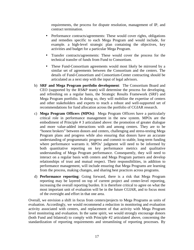requirements, the process for dispute resolution, management of IP, and contract termination.

- Performance contracts/agreements: These would cover rights, obligations and remedies specific to each Mega Program and would include, for example. a high-level strategic plan containing the objectives, key activities and budget for a particular Mega Program.
- Transfer contracts/agreements: These would cover the process for the technical transfer of funds from Fund to Consortium.
- These Fund-Consortium agreements would most likely be mirrored by a similar set of agreements between the Consortium and the centers. The details of Fund-Consortium and Consortium-Center contracting should be articulated as a next step with the input of legal advisors.
- b) **SRF and Mega Program portfolio development**: The Consortium Board and CEO (supported by the RS&P team) will determine the process for developing, and refreshing on a regular basis, the Strategic Results Framework (SRF) and Mega Program portfolio. In doing so, they will mobilize the expertise of centers and other stakeholders and experts to reach a robust and well-supported set of recommendations for fund allocation across the portfolio of CGIAR research.
- c) **Mega Program Officers (MPOs)**: Mega Program Officers have a particularly critical role in performance management in the new system. MPOs are the embodiment of Principle # 3 articulated above: the promotion of greater dialogue and more value-added interactions with and among centers. They are to be "honest brokers" between donors and centers, challenging and stress-testing Mega Program plans and progress while also ensuring that donors have an accurate understanding of programmatic progress and commit to stable, long-term funding where performance warrants it. MPOs' judgment will need to be informed by both quantitative reporting on key performance metrics and qualitative understanding of Mega Program performance. Consequently, they will need to interact on a regular basis with centers and Mega Program partners and develop relationships of trust and mutual respect. Their responsibilities, in addition to performance management, will include ensuring that Mega Programs are learning from the process, making changes, and sharing best practices across programs.
- d) **Performance reporting**: Going forward, there is a risk that Mega Program reporting may be layered on top of current project and center-level reporting, increasing the overall reporting burden. It is therefore critical to agree on what the most important unit of evaluation will be in the future CGIAR, and to focus most of the oversight and effort in that one area.

Overall, we envision a shift in focus from centers/projects to Mega Programs as units of evaluation. Accordingly, we would recommend a reduction in monitoring and evaluation activity associated with centers, and replacement of that activity with Mega Program level monitoring and evaluation. In the same spirit, we would strongly encourage donors (both Fund and bilateral) to comply with Principle #2 articulated above, concerning the standardization of reporting requirements and streamlining of reporting processes. By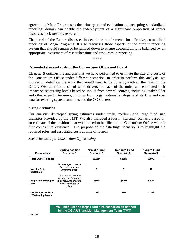agreeing on Mega Programs as the primary unit of evaluation and accepting standardized reporting, donors can enable the redeployment of a significant proportion of center resources back towards research.

Chapter 4 of the Report discusses in detail the requirements for effective, streamlined reporting of Mega Programs. It also discusses those aspects of the current reporting system that should remain or be ramped down to ensure accountability is balanced by an appropriate investment of researcher time and resources in reporting.

\*\*\*\*\*

#### **Estimated size and costs of the Consortium Office and Board**

**Chapter 5** outlines the analysis that we have performed to estimate the size and costs of the Consortium Office under different scenarios. In order to perform this analysis, we focused in detail on the work that would need to be done by each of the units in the Office. We identified a set of work drivers for each of the units, and estimated their impact on resourcing levels based on inputs from several sources, including: stakeholder and other expert interviews, findings from organizational analogs, and staffing and cost data for existing system functions and the CG Centers.

#### **Sizing Scenarios**

Our analysis developed sizing estimates under small, medium and large fund size scenarios provided by the TMT. We also included a fourth "starting" scenario based on an estimate of the positions that would need to be filled in the Consortium Office when it first comes into existence. The purpose of the "starting" scenario is to highlight the required roles and associated costs at time of launch.

#### *Scenarios used for Consortium Office sizing*

| <b>Parameters</b>                         | <b>Starting position</b><br>Scenario 0                                                                         | "Small" Fund<br>Scenario 1 | "Medium" Fund<br>Scenario 2 | "Large" Fund<br>Scenario 3 |
|-------------------------------------------|----------------------------------------------------------------------------------------------------------------|----------------------------|-----------------------------|----------------------------|
| Total CGIAR Fund (\$)                     |                                                                                                                | \$150M                     | \$350M                      | \$600M                     |
| No. of MPs in<br>portfolio (#)            | No assumptions about<br>Fund size or mega<br>programs made                                                     | 5                          | 7                           | 10                         |
| Avg size of MP (\$ per<br>MP)             | This scenario describes<br>the first set of positions<br>to be recruited once the<br>CEO and Board in<br>place | \$30M                      | \$50M                       | \$60M                      |
| CGIAR Fund as % of<br>2008 funding levels |                                                                                                                | 29%                        | 67%                         | 114%                       |

**Small, medium and large Fund size scenarios as defined by the CGIAR Transition Management Team (TMT)**

Source: TMT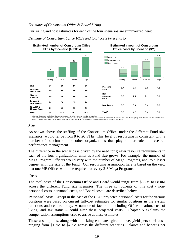#### *Estimates of Consortium Office & Board Sizing*

Our sizing and cost estimates for each of the four scenarios are summarized here:



#### *Estimate of Consortium Office FTEs and total costs by scenario*

1. Startup phase does not include change mgmt costs 2. Numbers may not sum due to rounding Source: Baseline FTE estimates provided by CG Secretariat, Alliance Office, and Science Council Secretaria; Framework Document for the CGIAR Fund; Aug. 2009 ITG report on the establishment<br>of ISPC; ICARDA, ILRI, IRRI, and

#### *Size*

As shown above, the staffing of the Consortium Office, under the different Fund size scenarios, would range from 8 to 26 FTEs. This level of resourcing is consistent with a number of benchmarks for other organizations that play similar roles in research performance management.

The difference in the scenarios is driven by the need for greater resource requirements in each of the four organizational units as Fund size grows. For example, the number of Mega Program Officers would vary with the number of Mega Programs, and, to a lesser degree, with the size of the Fund. Our resourcing assumption here is based on the view that one MP Officer would be required for every 2-3 Mega Programs.

#### *Costs*

The total costs of the Consortium Office and Board would range from \$3.2M to \$8.0M across the different Fund size scenarios. The three components of this cost - nonpersonnel costs, personnel costs, and Board costs - are described below.

**Personnel cost**s: Except in the case of the CEO, projected personnel costs for the various positions were based on current full-cost estimates for similar positions in the system functions and centers today. A number of factors – including Office location, cost of living, and tax status – could alter these projected costs. Chapter 5 explains the compensation assumptions used to arrive at these estimates.

These assumptions, along with the sizing estimates given above, yield personnel costs ranging from \$1.7M to \$4.2M across the different scenarios. Salaries and benefits per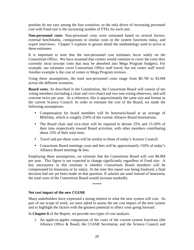position do not vary among the four scenarios, so the only driver of increasing personnel cost with Fund size is the increasing number of FTEs for each unit.

**Non-personnel costs**: Non-personnel costs were estimated based on several factors: external benchmarks, comparisons to similar costs in the system functions today, and expert interviews. Chapter 5 explains in greater detail the methodology used to arrive at these estimates.

It is important to note that the non-personnel cost estimates focus solely on the Consortium Office. We have assumed that centers would continue to cover the costs they currently incur (except costs that may be absorbed into Mega Program budgets). For example, our estimates cover Consortium Office staff travel, but not center staff travel. Another example is the cost of center or Mega Program reviews.

Using these assumptions, the total non-personnel costs range from \$0.7M to \$3.0M across the different scenarios.

**Board costs**: As described in the Constitution, the Consortium Board will consist of ten voting members (including a chair and vice-chair) and two non-voting observers, and will convene twice per year. As a reference, this is approximately the same size and format as the current Science Council. In order to estimate the cost of the Board, we made the following assumptions:

- Compensation for board members will be honoraria-based at an average of \$850/day, which is roughly 250% of the current Alliance Board honorarium;
- The Board chair and vice-chair will be required to devote 25% and 15-20% of their time respectively toward Board activities, with other members contributing about 15% of their total time;
- Travel and per-diem costs will be similar to those of today's Science Council;
- Consortium Board meetings costs and fees will be approximately 150% of today's Alliance Board meetings & fees.

Employing these assumptions, we estimate that the Consortium Board will cost \$0.8M per year. This figure is not expected to change significantly regardless of Fund size. A key uncertainty in this estimate is whether Consortium Board members will be compensated by honoraria or by salary. At the time this report was being finalized, a final decision had not yet been made on that question. If salaries are used instead of honoraria, the total costs of the Consortium Board would increase markedly.

\*\*\*\*\*

## **Net cost impact of the new CGIAR**

Many stakeholders have expressed a strong interest in what the new system will cost. As part of our scope of work, we were asked to assess the net cost impact of the new system and to highlight the factors with the greatest potential to affect costs going forward.

In **Chapter 6** of the Report, we provide two types of cost analysis:

1. An apple-to-apples comparison of the costs of the current system functions (the Alliance Office & Board, the CGIAR Secretariat, and the Science Council and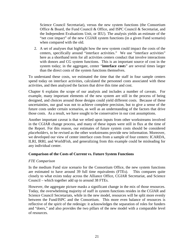Science Council Secretariat), versus the new system functions (the Consortium Office & Board, the Fund Council & Office, and ISPC Council & Secretariat, and the Independent Evaluations Unit, or IEU). The analysis yields an estimate of the "net cost impact" of the new CGIAR system functions (in a given Fund scenario) when compared with the old.

2. A set of analyses that highlight how the new system could impact the costs of the centers, specifically around "interface activities." We use "interface activities" here as a shorthand term for all activities centers conduct that involve interactions with donors and CG system functions. This is an important source of cost in the system today; in the aggregate, center "**interface cost**s" are several times larger than the direct costs of the system functions themselves.

To understand these costs, we estimated the time that the staff in four sample centers spend today on interface activities, calculated the personnel costs associated with these activities, and then analyzed the factors that drive this time and cost.

Chapter 6 explains the scope of our analysis and includes a number of caveats. For example, many important elements of the new system are still in the process of being designed, and choices around those designs could yield different costs. Because of these uncertainties, our goal was not to achieve complete precision, but to give a sense of the future costs under certain scenarios, as well as an understanding of the factors that drive those costs. As a result, we have sought to be conservative in our cost assumptions.

Another important caveat is that we relied upon inputs from other workstreams involved in the CGIAR change process, and many of these inputs were still in flux at the time of the Report. For this reason, our estimates of future system costs should be considered *placeholders*, to be revised as the other workstreams provide new information. Moreover, we developed our view of center interface costs from a sample of four centers: ICARDA, ILRI, IRRI, and WorldFish, and generalizing from this example could be misleading for any individual center.

## **Comparison of the Costs of Current vs. Future System Functions**

#### *FTE Comparison*

In the medium Fund size scenario for the Consortium Office, the new system functions are estimated to have around 39 full time equivalents (FTEs). This compares quite closely to what exists today across the Alliance Office, CGIAR Secretariat, and Science Council – which together add up to around 38 FTEs.

However, the aggregate picture masks a significant change in the mix of those resources. Today, the overwhelming majority of staff in system functions resides in the CGIAR and Science Council Secretariats, while in the new model, resources will be split more evenly between the Fund/ISPC and the Consortium. This more even balance of resources is reflective of the spirit of the redesign: it acknowledges the separation of roles for funders and "doers," and also provides the two pillars of the new model with a comparable level of resources.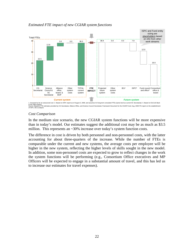

*Estimated FTE impact of new CGIAR system functions* 

1. Assumed to be an outsourced cost 2. Based on ISPC report as of August 3, 2009, and assumes 0.8 long-term consultant FTEs (same level as current SC Secretariat) 3. Based on ExCo16 Back to the Office Report<br>Source: Baseline FTE estimates provided by CG Secretariat, Alliance Office, and Science Council Secretariat; Framework Document for the CGIAR Fund; Aug. 2009 ITG report on the establishment<br>of ISPC: BC

#### *Cost Comparison*

In the medium size scenario, the new CGIAR system functions will be more expensive than in today's model. Our estimates suggest the additional cost may be as much as \$3.5 million. This represents an  $\sim$ 30% increase over today's system function costs.

The difference in cost is driven by both personnel and non-personnel costs, with the latter accounting for about three-quarters of the increase. While the number of FTEs is comparable under the current and new systems, the average costs per employee will be higher in the new system, reflecting the higher levels of skills sought in the new model. In addition, some non-personnel costs are expected to grow to reflect changes in the work the system functions will be performing (e.g., Consortium Office executives and MP Officers will be expected to engage in a substantial amount of travel, and this has led us to increase our estimates for travel expenses).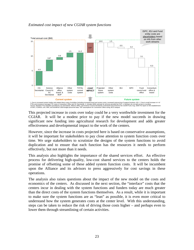

#### *Estimated cost impact of new CGIAR system functions*

1. Due to increasel system bodies and related direct costs of activities (including increased travel and seven<br>FTEs and increase in average FTE costs in Consortium Office and SC Secretariat 3. Includes \$25K estimate for s

This projected increase in costs over today could be a very worthwhile investment for the CGIAR. It will be a modest price to pay if the new model succeeds in drawing significant new funding into agricultural research for development and adds greater effectiveness and developmental impact to the work of the centers.

However, since the increase in costs projected here is based on conservative assumptions, it will be important for stakeholders to pay close attention to system function costs over time. We urge stakeholders to scrutinize the designs of the system functions to avoid duplication and to ensure that each function has the resources it needs to perform effectively, but not more than it needs.

This analysis also highlights the importance of the shared services effort. An effective process for delivering high-quality, low-cost shared services to the centers holds the promise of offsetting some of these added system function costs. It will be incumbent upon the Alliance and its advisors to press aggressively for cost savings in these operations.

The analysis also raises questions about the impact of the new model on the costs and economics of the centers. As discussed in the next section, the "interface" costs that the centers incur in dealing with the system functions and funders today are much greater than the direct costs of the system functions themselves. As a result, while it is important to make sure the system functions are as "lean" as possible, it is even more critical to understand how the system generates costs at the center level. With this understanding, steps can be taken to reduce the risk of driving those costs higher – and perhaps even to lower them through streamlining of certain activities.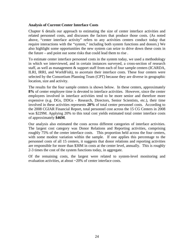#### **Analysis of Current Center Interface Costs**

Chapter 6 details our approach to estimating the size of center interface activities and related personnel costs, and discusses the factors that produce those costs. (As noted above, "center interface activity" refers to any activities centers conduct today that require interactions with the "system," including both system functions and donors.) We also highlight some opportunities the new system can seize to drive down these costs in the future – and point out some risks that could lead them to rise .

To estimate center interface personnel costs in the system today, we used a methodology in which we interviewed, and in certain instances surveyed, a cross-section of research staff, as well as management & support staff from each of four sample centers (ICARDA, ILRI, IRRI, and WorldFish), to ascertain their interface costs. These four centers were selected by the Consortium Planning Team (CPT) because they are diverse in geographic location, size and activity.

The results for the four sample centers is shown below. In these centers, approximately **8%** of center employee time is devoted to interface activities. However, since the center employees involved in interface activities tend to be more senior and therefore more expensive (e.g. DGs, DDGs - Research, Directors, Senior Scientists, etc.), their time involved in these activities represents **20%** of total center personnel costs. According to the 2008 CGIAR Financial Report, total personnel cost across the 15 CG Centers in 2008 was \$229M. Applying 20% to this total cost yields estimated total center interface costs of approximately **\$46M**.

Our analysis also estimated the costs across different categories of interface activities. The largest cost category was Donor Relations and Reporting activities, comprising roughly 75% of the center interface costs. This proportion held across the four centers, with some modest variation within the sample. If one applies this percentage to the personnel costs of all 15 centers, it suggests that donor relations and reporting activities are responsible for more than \$30M in costs at the center level, annually. This is roughly 2-3 times the cost of the system functions today, in aggregate.

Of the remaining costs, the largest were related to system-level monitoring and evaluation activities, at about ~20% of center interface costs.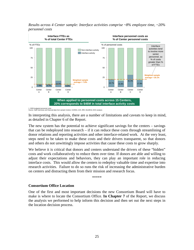



. 2009 budgeted personnel costs<br>iource: Staff interviews and financi data from sample Centers: ICARDA, ILRI, IRRI, WorldFish; BCG analysis

In interpreting this analysis, there are a number of limitations and caveats to keep in mind, as detailed in Chapter 6 of the Report.

The new system has the potential to achieve significant savings for the centers – savings that can be redeployed into research – if it can reduce these costs through streamlining of donor relations and reporting activities and other interface-related work. At the very least, steps need to be taken to make these costs and their drivers transparent, so that donors and others do not unwittingly impose activities that cause these costs to grow sharply.

We believe it is critical that donors and centers understand the drivers of these "hidden" costs and work collaboratively to reduce them over time. If donors are able and willing to adjust their expectations and behaviors, they can play an important role in reducing interface costs. This would allow the centers to redeploy valuable time and expertise into research activities. Failure to do so runs the risk of increasing the administrative burden on centers and distracting them from their mission and research focus.

\*\*\*\*\*

#### **Consortium Office Location**

One of the first and most important decisions the new Consortium Board will have to make is where to locate the Consortium Office. **In Chapter 7** of the Report, we discuss the analysis we performed to help inform this decision and then set out the next steps in the location decision process.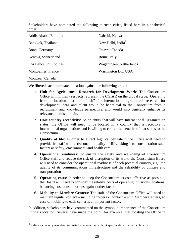Stakeholders have nominated the following thirteen cities, listed here in alphabetical order:

| Addis Ababa, Ethiopia  | Nairobi, Kenya                |  |
|------------------------|-------------------------------|--|
| Bangkok, Thailand      | New Delhi, India <sup>2</sup> |  |
| Bonn, Germany          | Ottawa, Canada                |  |
| Geneva, Switzerland    | Rome, Italy                   |  |
| Los Baños, Philippines | Wageningen, Netherlands       |  |
| Montpellier, France    | Washington DC, USA            |  |
| Montreal, Canada       |                               |  |

We filtered each nominated location against the following criteria:

- 1. **Hub for Agricultural Research for Development Work**: The Consortium Office will in many respects represent the CGIAR on the global stage. Operating from a location that is a "hub" for international agricultural research for development ideas and talent would be beneficial to the Consortium from a recruitment and knowledge perspective, and would also generally enhance its relevance in this domain.
- 2. **Host country receptivity**: As an entity that will have International Organization status, the Office will need to be located in a country that is receptive to international organizations and is willing to confer the benefits of that status to the Consortium.
- 3. **Quality of life**: In order to attract high caliber talent, the Office will need to provide its staff with a reasonable quality of life, taking into consideration such factors as safety, environment, and health care.
- 4. **Operational readiness**: To ensure the safety and well-being of Consortium Office staff and reduce the risk of disruption of its work, the Consortium Board will need to consider the operational readiness of each potential country, e.g., the quality of its communications infrastructure and the reliability of utilities and transportation
- 5. **Operating costs**: In order to keep the Consortium as cost-effective as possible, the Board will need to consider the relative costs of operating in various locations, balancing cost considerations against other factors.
- 6. **Mobility to Member Centers**: The staff of the Consortium Office will need to maintain regular contact – including in-person contact – with Member Centers, so ease of mobility to each center is an important factor.

In addition, stakeholders have commented on the symbolic importance of the Consortium Office's location. Several have made the point, for example, that locating the Office in

<u>.</u>

 $2$  India as a country was also nominated as a location, without specification of a particular city.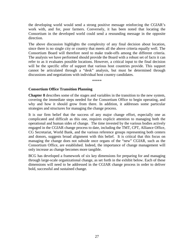the developing world would send a strong positive message reinforcing the CGIAR's work with, and for, poor farmers. Conversely, it has been noted that locating the Consortium in the developed world could send a resounding message in the opposite direction.

The above discussion highlights the complexity of any final decision about location, since there is no single city or country that meets all the above criteria equally well. The Consortium Board will therefore need to make trade-offs among the different criteria. The analysis we have performed should provide the Board with a robust set of facts it can refer to as it evaluates possible locations. However, a critical input to the final decision will be the specific offer of support that various host countries provide. This support cannot be articulated through a "desk" analysis, but must be determined through discussions and negotiations with individual host country candidates.

\*\*\*\*\*

#### **Consortium Office Transition Planning**

**Chapter 8** describes some of the stages and variables in the transition to the new system, covering the immediate steps needed for the Consortium Office to begin operating, and why and how it should grow from there. In addition, it addresses some particular strategies and structures for managing the change process.

It is our firm belief that the success of any major change effort, especially one as complicated and difficult as this one, requires explicit attention to managing both the operational and human sides of change. The time invested by the various bodies actively engaged in the CGIAR change process to date, including the TMT, CPT, Alliance Office, CG Secretariat, World Bank, and the various reference groups representing both centers and donors, suggests broad alignment with this belief. It is critical that this focus on managing the change does not subside once organs of the "new" CGIAR, such as the Consortium Office, are established. Indeed, the importance of change management will only increase as change becomes more tangible.

BCG has developed a framework of six key dimensions for preparing for and managing through large-scale organizational change, as set forth in the exhibit below. Each of these dimensions will need to be addressed in the CGIAR change process in order to deliver bold, successful and sustained change.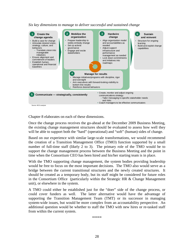*Six key dimensions to manage to deliver successful and sustained change* 



Chapter 8 elaborates on each of these dimensions.

Once the change process receives the go-ahead at the December 2009 Business Meeting, the existing change management structures should be evaluated to assess how well they will be able to support both the "hard" (operational) and "soft" (human) sides of change.

Based on our experience with similar large-scale transformations, we would recommend the creation of a Transition Management Office (TMO) function supported by a small number of full-time staff (likely 2 to 3). The primary role of the TMO would be to support the change management process between the Business Meeting and the point in time when the Consortium CEO has been hired and his/her starting team is in place.

With the TMO supporting change management, the system bodies providing leadership would be free to focus on the most important decisions. The TMO also would serve as a bridge between the current transitional structures and the newly created structures. It should be created as a temporary body, but its staff might be considered for future roles in the Consortium Office (particularly within the Strategic HR  $\&$  Change Management unit), or elsewhere in the system.

A TMO could either be established just for the "doer" side of the change process, or could cover funders as well. The latter alternative would have the advantage of supporting the Transition Management Team (TMT) or its successor in managing system-wide issues, but would be more complex from an accountability perspective. An additional question would be whether to staff the TMO with new hires or re-tasked staff from within the current system.

\*\*\*\*\*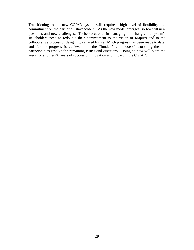Transitioning to the new CGIAR system will require a high level of flexibility and commitment on the part of all stakeholders. As the new model emerges, so too will new questions and new challenges. To be successful in managing this change, the system's stakeholders need to redouble their commitment to the vision of Maputo and to the collaborative process of designing a shared future. Much progress has been made to date, and further progress is achievable if the "funders" and "doers" work together in partnership to resolve the remaining issues and questions. Doing so now will plant the seeds for another 40 years of successful innovation and impact in the CGIAR.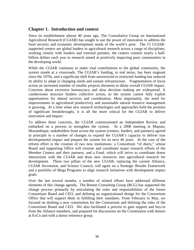# **Chapter 1. Introduction and context**

Since its establishment almost 40 years ago, The Consultative Group on International Agricultural Research (CGIAR) has sought to use the power of innovation to address the food security and economic development needs of the world's poor. The 15 CGIARsupported centers are global leaders in agricultural research across a range of disciplines; working closely with funders and external partners, the centers commit nearly a halfbillion dollars each year to research aimed at positively impacting poor communities in the developing world.

While the CGIAR continues to make vital contributions to the global community, the system stands at a crossroads. The CGIAR's funding, in real terms, has been stagnant since the 1970s, and a significant shift from unrestricted to restricted funding has reduced its ability to adapt to changing needs and sustain infrastructure. Fragmentation of focus across an increased number of smaller projects threatens to dilute overall CGIAR impact. Concerns about excessive bureaucracy and slow decision making are widespread. A cumbersome structure hinders collective action, so the system cannot fully exploit opportunities for shared services and coordination. Most importantly, the need for improvements in agricultural productivity and sustainable natural resource management is growing. At a time when new research technologies and approaches hold the promise of significant breakthroughs, it is all the more critical for the CGIAR to deliver innovation and impact.

To address these concerns, the CGIAR commissioned an Independent Review and embarked on a process to strengthen the system. At a 2008 meeting in Maputo, Mozambique, stakeholders from across the system (centers, funders, and partners) agreed in principle to a number of changes to expand the CGIAR's capacity to deliver true developmental impact and prepare the system for its next 40 years. At the core of the reform effort is the creation of two new institutions: a Consortium "of doers," whose Board and supporting Office will oversee and coordinate major research efforts of the Member Centers and their partners; and a Fund, which will strive to coordinate donor interactions with the CGIAR and draw new resources into agricultural research for development. These two pillars of the new CGIAR, replacing the current Alliance, CGIAR Secretariat, and Science Council, will agree on a Strategic Results Framework and a portfolio of Mega Programs to align research initiatives with development impact goals.

Over the last several months, a number of related efforts have addressed different elements of this change agenda. The Boston Consulting Group (BCG) has supported the change process primarily by articulating the roles and responsibilities of the future Consortium Board and CEO, and defining an organizational design for the Consortium Office that will support them in fulfilling their mandates. From February to May, we focused on drafting a new constitution for the Consortium and defining the roles of the Consortium Board and CEO. We also facilitated a process to gain support and buy-in from the Alliance members, and prepared for discussions on the Constitution with donors at ExCo and with a donor reference group.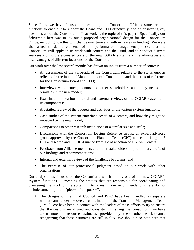Since June, we have focused on designing the Consortium Office's structure and functions to enable it to support the Board and CEO effectively, and on answering key questions about the Consortium. That work is the topic of this paper. Specifically, our deliverable here was to lay out a proposed organizational design for the Consortium Office, including how this will change over time and with increases in funding. We were also asked to define elements of the performance management process that the Consortium will apply in its work with centers and the Fund, and to conduct discrete analyses around the estimated costs of the new CGIAR system and the advantages and disadvantages of different locations for the Consortium.

Our work over the last several months has drawn on inputs from a number of sources:

- An assessment of the value-add of the Consortium relative to the status quo, as reflected in the intent of Maputo, the draft Constitution and the terms of reference for the Consortium Board and CEO;
- Interviews with centers, donors and other stakeholders about key needs and priorities in the new model;
- Examination of various internal and external reviews of the CGIAR system and its components;
- A detailed review of the budgets and activities of the various system functions;
- Case studies of the system "interface costs" of 4 centers, and how they might be impacted by the new model;
- Comparisons to other research institutions of a similar size and scale;
- Discussions with the Consortium Design Reference Group, an expert advisory group approved by the Consortium Planning Team (CPT) and comprising of 3 DDG-Research and 3 DDG-Finance from a cross-section of CGIAR Centers
- Feedback from Alliance members and other stakeholders on preliminary drafts of our findings and recommendations;
- Internal and external reviews of the Challenge Programs; and
- The exercise of our professional judgment based on our work with other organizations.

Our analysis has focused on the Consortium, which is only one of the new CGIAR's "system functions" – meaning the entities that are responsible for coordinating and overseeing the work of the system. As a result, our recommendations here do not include some important "pieces of the puzzle":

• The designs of the Fund Council and ISPC have been handled as separate workstreams under the overall coordination of the Transition Management Team (TMT). We have been in contact with the leaders of those efforts to try to ensure that the designs are aligned and consistent. In sizing the Consortium, we have taken note of resource estimates provided by these other workstreams, recognizing that those estimates are still in flux. We should also note here that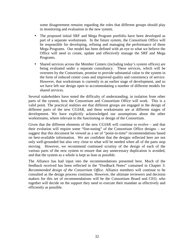some disagreement remains regarding the roles that different groups should play in monitoring and evaluation in the new system.

- The proposed initial SRF and Mega Program portfolio have been developed as part of a separate workstream. In the future system, the Consortium Office will be responsible for developing, refining and managing the performance of these Mega Programs. Our model has been defined with an eye to what we believe the Office will need to create, update and effectively manage the SRF and Mega Programs.
- Shared services across the Member Centers (including today's system offices) are being evaluated under a separate consultancy. These services, which will be overseen by the Consortium, promise to provide substantial value to the system in the form of reduced center costs and improved quality and consistency of service. However, that workstream is currently in an earlier stage of development, and so we have left our design open to accommodating a number of different models for shared services.

Several stakeholders have noted the difficulty of understanding, in isolation from other parts of the system, how the Consortium and Consortium Office will work. This is a valid point. The practical realities are that different groups are engaged in the design of different parts of the new CGIAR, and these workstreams are at different stages of development. We have explicitly acknowledged our assumptions about the other workstreams, where relevant to the functioning or design of the Consortium.

Given that the different elements of the new CGIAR will continue to evolve – and that their evolution will require some "fine-tuning" of the Consortium Office designs – we suggest that this document be viewed as a set of "point-in-time" recommendations based on best-available information. We are confident that the designs reflected here are not only well-grounded but also very close to what will be needed when all of the parts stop moving. However, we recommend continued scrutiny of the design of each of the various parts of the new system to ensure that any unnecessary duplication is avoided, and that the system as a whole is kept as lean as possible.

The Alliance has had input into the recommendations presented here. Much of the feedback received has been reflected in the "Feedback Notes" contained in Chapter 3: *Recommended design of the Consortium Office*. Alliance members will continue to be consulted as the design process continues. However, the ultimate reviewers and decision makers for this set of recommendations will be the Consortium Board and CEO, who together will decide on the support they need to execute their mandate as effectively and efficiently as possible.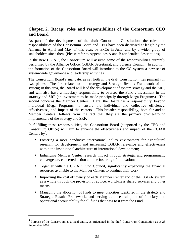# **Chapter 2. Recap: roles and responsibilities of the Consortium CEO and Board**

As part of the development of the draft Consortium Constitution, the roles and responsibilities of the Consortium Board and CEO have been discussed at length by the Alliance in April and May of this year, by ExCo in June, and by a wider group of stakeholders since then. (Please refer to Appendices A and B for detailed descriptions).

In the new CGIAR, the Consortium will assume some of the responsibilities currently performed by the Alliance Office, CGIAR Secretariat, and Science Council. In addition, the formation of the Consortium Board will introduce to the CG system a new set of system-wide governance and leadership activities.

The Consortium Board's mandate, as set forth in the draft Constitution, lies primarily in two planes. The first relates to the strategy and Strategic Results Framework of the system; in this area, the Board will lead the development of system strategy and the SRF, and will also have a fiduciary responsibility to oversee the Fund's investment in the strategy and SRF (an investment to be made principally through Mega Programs). The second concerns the Member Centers. Here, the Board has a responsibility, beyond individual Mega Programs, to ensure the individual and collective efficiency, effectiveness, and impact of the centers. This broader responsibility, both for and to Member Centers, follows from the fact that they are the primary on-the-ground implementers of the strategy and SRF.

In fulfilling these responsibilities, the Consortium Board (supported by the CEO and Consortium Office) will aim to enhance the effectiveness and impact of the CGIAR Centers by<sup>3</sup>:

- Fostering a more conducive international policy environment for agricultural research for development and increasing CGIAR relevance and effectiveness within the institutional architecture of international development;
- Enhancing Member Center research impact through strategic and programmatic convergence, concerted action and the fostering of innovation;
- Together with the CGIAR Fund Council, significantly expanding the financial resources available to the Member Centers to conduct their work;
- Improving the cost efficiency of each Member Center and of the CGIAR system as a whole through the provision of advice, world-class shared services and other means;
- Managing the allocation of funds to meet priorities identified in the strategy and Strategic Results Framework, and serving as a central point of fiduciary and operational accountability for all funds that pass to it from the Fund

<u>.</u>

<sup>&</sup>lt;sup>3</sup> Purpose of the Consortium as a legal entity, as articulated in the draft Consortium Constitution as at 23 September 2009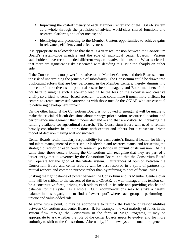- Improving the cost-efficiency of each Member Center and of the CGIAR system as a whole through the provision of advice, world-class shared functions and research platforms, and other means; and
- Identifying and promoting to the Member Centers opportunities to achieve gains in relevance, efficiency and effectiveness.

It is appropriate to acknowledge that there is a very real tension between the Consortium Board's system-wide mandate and the role of individual center Boards. Various stakeholders have recommended different ways to resolve this tension. What is clear is that there are significant risks associated with deciding this issue too sharply on either side.

If the Consortium is too powerful relative to the Member Centers and their Boards, it runs the risk of undermining the principle of subsidiarity. The Consortium could be drawn into duplicating efforts that are best performed in the Member Centers, thereby diminishing the centers' attractiveness to potential researchers, managers, and Board members. It is not hard to imagine such a scenario leading to the loss of the expertise and creative vitality so critical to center-based research. It also could make it much more difficult for centers to create successful partnerships with those outside the CGIAR who are essential to delivering development impact.

On the other hand, if the Consortium Board is not powerful enough, it will be unable to make the crucial, difficult decisions about strategy prioritization, resource allocation, and performance management that funders demand – and that are critical to increasing the funding available for agricultural research. The Consortium Board will need to remain heavily consultative in its interactions with centers and others, but a consensus-driven model of decision making will not succeed.

Center Boards retain fiduciary responsibility for each center's financial health, for hiring and talent management of center senior leadership and research teams, and for setting the strategic direction of each center's research portfolios in pursuit of its mission. At the same time, those centers joining the Consortium will recognize that they are part of a larger entity that is governed by the Consortium Board, and that the Consortium Board will operate for the good of the whole system. Differences of opinion between the Consortium Board and center Boards will be best resolved in a spirit of partnership, mutual respect, and common purpose rather than by referring to a set of formal rules.

Striking the right balance of power between the Consortium and its Member Centers over time will be critical to the success of the new CGIAR. If well-managed, this tension can be a constructive force, driving each side to excel in its role and providing checks and balances for the system as a whole. Our recommendations seek to strike a careful balance in this regard, and to find a "sweet spot" where each group is performing a unique and value-added role.

At some future point, it may be appropriate to rethink the balance of responsibilities between Consortium and center Boards. If, for example, the vast majority of funds in the system flow through the Consortium in the form of Mega Programs, it may be appropriate to ask whether the role of the center Boards needs to evolve, and for more authority to shift to the Consortium. Alternately, if the new system is unable to generate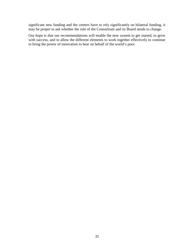significant new funding and the centers have to rely significantly on bilateral funding, it may be proper to ask whether the role of the Consortium and its Board needs to change.

Our hope is that our recommendations will enable the new system to get started, to grow with success, and to allow the different elements to work together effectively to continue to bring the power of innovation to bear on behalf of the world's poor.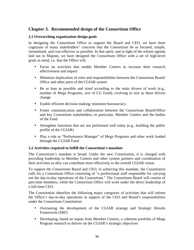# **Chapter 3. Recommended design of the Consortium Office**

## **3.1 Overarching organization design goals**

In designing the Consortium Office to support the Board and CEO, we have been cognizant of many stakeholders' concerns that the Consortium be as focused, simple, streamlined, and cost-effective as possible. In that spirit, and in light of the reform agenda laid out in Maputo, we have designed the Consortium Office with a set of high-level goals in mind, i.e. that the Office will:

- Focus on activities that enable Member Centers to increase their research effectiveness and impact
- Minimize duplication of roles and responsibilities between the Consortium Board/ Office and other parts of the CGIAR system
- Be as lean as possible and sized according to the main drivers of work (e.g., number of Mega Programs, size of CG Fund), evolving in size as these drivers change
- Enable efficient decision making; minimize bureaucracy
- Foster communication and collaboration between the Consortium Board/Office and key Consortium stakeholders, in particular, Member Centers and the bodies of the Fund
- Strengthen functions that are not performed well today (e.g., building the public profile of the CGIAR)
- Play a role as "Performance Manager" of Mega Programs and other work funded through the CGIAR Fund

## **3.2 Activities required to fulfill the Consortium's mandate**

The Consortium's mandate is broad. Under the new Constitution, it is charged with providing leadership to Member Centers and other system partners and coordination of their activities so they can contribute most effectively to the overall CGIAR vision.

To support the Consortium Board and CEO, in achieving this mandate, the Constitution calls for a Consortium Office consisting of "a professional staff responsible for carrying out the day-to-day operations of the Consortium." The Consortium Board will consist of part-time members, while the Consortium Office will work under the direct leadership of a full-time CEO.

The Constitution identifies the following major categories of activities that will inform the Office's day-to-day operations in support of the CEO and Board's responsibilities under the Consortium Constitution:

- Overseeing the development of the CGIAR strategy and Strategic Results Framework (SRF)
- Developing, based on inputs from Member Centers, a coherent portfolio of Mega Program research to deliver on the CGIAR's strategic objectives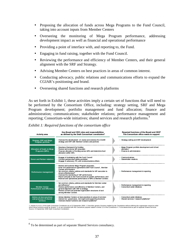- Proposing the allocation of funds across Mega Programs to the Fund Council, taking into account inputs from Member Centers
- Overseeing the monitoring of Mega Program performance, addressing development impact as well as financial and operational performance
- Providing a point of interface with, and reporting to, the Fund.
- Engaging in fund raising, together with the Fund Council.
- Reviewing the performance and efficiency of Member Centers, and their general alignment with the SRF and Strategy.
- Advising Member Centers on best practices in areas of common interest.
- Conducting advocacy, public relations and communications efforts to expand the CGIAR's positioning and brand.
- Overseeing shared functions and research platforms

As set forth in Exhibit 1, these activities imply a certain set of functions that will need to be performed by the Consortium Office, including: strategy setting, SRF and Mega Program development; portfolio management and fund allocation; finance and administration; communications; stakeholder relations; performance management and reporting; Consortium-wide initiatives; shared services and research platforms.<sup>4</sup>

#### *Exhibit 1: Required functions of the consortium office*

| <b>Activity area</b>                                            | Key Board and CEO roles and responsibilities<br>as defined by the Draft Consortium constitution <sup>1</sup>                                                                                                                                                                                                                                                                                                                       | Required functions of the Board and CEO <sup>2</sup><br>The Consortium office needs to support |
|-----------------------------------------------------------------|------------------------------------------------------------------------------------------------------------------------------------------------------------------------------------------------------------------------------------------------------------------------------------------------------------------------------------------------------------------------------------------------------------------------------------|------------------------------------------------------------------------------------------------|
| <b>Strategy, SRF and Mega</b><br>Program portfolio              | • Oversee the development of, review and endorse the CGIAR<br>strategy and SRF with Member Centers and partners                                                                                                                                                                                                                                                                                                                    | • Strategy setting and SRF development                                                         |
| Allocation of funds to Mega<br>Programs (MPs)                   | • Develop a framework for funding<br>• Review and endorse MP proposals<br>• Propose allocation of funding across MPs and determine fund<br>allocation within MPs                                                                                                                                                                                                                                                                   | . Mega Program portfolio development and & fund<br>allocation<br>· Finance & administration    |
| <b>Donor and Partner relations</b>                              | • Engage in fundraising with the Fund Council<br>• Conduct partnership building activities<br>Engage in advocacy, PR, and communications efforts                                                                                                                                                                                                                                                                                   | • Communications<br>· Stakeholder relations                                                    |
| Performance management                                          | • Review and endorse Mega Program proposals<br>. Enter into performance agreements with Fund Council . Member<br>Centers and Partners<br>• Set common criteria, policies and standards for MP execution to<br>ensure effectiveness <sup>3</sup><br>• Oversee the monitoring of MP performance<br>. Report annually to the Fund Council on system performance, and<br>financial and operational performance of MPs & Member Centers | • Performance management & reporting                                                           |
| <b>Member Center</b><br><b>Performance and Efficiency</b>       | • Set common criteria, policies and standards for Member center<br>and efficiency <sup>3</sup><br>· Review performance and efficiency of Member Centers, and<br>general alignment with SRF & strategy<br>• Review current and potential organization structures of and<br>among Member Centers                                                                                                                                     | • Performance management & reporting<br>Consortium-wide initiatives                            |
| Advice on best practices<br>and provision of shared<br>services | • Advise Member Centers on best practices in a reas of common<br>interest incl. gove mance, risk mgmt and supporting functions<br>• Oversee shared functions and research platforms <sup>4</sup>                                                                                                                                                                                                                                   | · Consortium-wide initiatives<br>Shared services / research platforms <sup>4</sup>             |

1. Articles 6.4 & 8.1 of the draft Consortium Constiution as at 23 September 2009. 2. Describes generic functions implied by the Constitution without defining the organization structure under<br>which those functions would be

 $\overline{a}$ 

<sup>&</sup>lt;sup>4</sup> To be determined as part of separate Shared Services consultancy.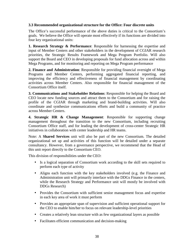#### **3.3 Recommended organizational structure for the Office: Four discrete units**

The Office's successful performance of the above duties is critical to the Consortium's goals. We believe the Office will operate most effectively if its functions are divided into four key organizational units:

**1. Research Strategy & Performance**: Responsible for harnessing the expertise and input of Member Centers and other stakeholders in the development of CGIAR research priorities, the Strategic Results Framework and Mega Program Portfolio. Will also support the Board and CEO in developing proposals for fund allocation across and within Mega Programs, and for monitoring and reporting on Mega Program performance

**2. Finance and Administration**: Responsible for providing financial oversight of Mega Programs and Member Centers, performing aggregated financial reporting, and improving the efficiency and effectiveness of financial management by coordinating activities across Member Centers. Also responsible for financial management of the Consortium Office itself.

**3. Communications and Stakeholder Relations**: Responsible for helping the Board and CEO locate new funding sources and attract them to the Consortium and for raising the profile of the CGIAR through marketing and brand-building activities. Will also coordinate and synthesize communications efforts and build a community of practice across Member Centers.

**4. Strategic HR & Change Management**: Responsible for supporting change management throughout the transition to the new Consortium, including recruiting Consortium Office staff, and for leading the development of cross-center Strategic HR initiatives in collaboration with center leadership and HR teams.

Note: A **Shared Services** unit will also be part of the new Consortium. The detailed organizational set up and activities of this function will be detailed under a separate consultancy. However, from a governance perspective, we recommend that the Head of this unit report directly to the Consortium CEO.

This division of responsibilities under the CEO:

- Is a logical separation of Consortium work according to the skill sets required to perform each type of activity
- Aligns each function with the key stakeholders involved (e.g. the Finance and Administration unit will primarily interface with the DDGs Finance in the centers, while the Research Strategy and Performance unit will mostly be involved with DDGs Research)
- Provides the Consortium with sufficient senior management focus and expertise in each key area of work it must perform
- Provides an appropriate span of supervision and sufficient operational support for the CEO to enable him/her to focus on relevant leadership-level priorities
- Creates a relatively lean structure with as few organizational layers as possible
- Facilitates efficient communication and decision-making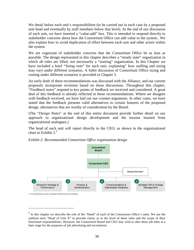We detail below each unit's responsibilities (to be carried out in each case by a proposed unit head and eventually by staff members below that level). At the end of our discussion of each unit, we have inserted a "value-add" box. This is intended to respond directly to stakeholder concerns about how the Consortium Office can add value to the system.. We also explain how to avoid duplication of effort between each unit and other actors within the system.

We are cognizant of stakeholder concerns that the Consortium Office be as lean as possible. The design represented in this chapter describes a "steady state" organization in which all roles are filled, not necessarily a "starting" organization. In this Chapter we have included a brief "*Sizing note*" for each unit, explaining" how staffing and sizing may vary under different scenarios. A fuller discussion of Consortium Office sizing and costing under different scenarios is provided in Chapter 5.

An early draft of these recommendations was discussed with the Alliance, and our current proposals incorporate revisions based on those discussions. Throughout this chapter, "*Feedback notes*" respond to key points of feedback we received and considered. A great deal of this feedback is already reflected in these recommendations. Where we disagree with feedback received, we have laid out our counter-arguments. In other cases, we have stated that the feedback presents valid alternatives to certain features of the proposed design, alternatives that are worthy of consideration by the Board.

(The "*Design Notes*" at the end of this entire document provide further detail on our approach to organizational design development and the lessons learned from organizational analogues.)

The head of each unit will report directly to the CEO, as shown in the organizational chart in Exhibit  $2<sup>5</sup>$ 



*Exhibit 2: Recommended Consortium Office organization design* 

 $\overline{a}$ 

<sup>&</sup>lt;sup>5</sup> In this chapter we describe the role of the "Head" of each of the Consortium Office's units. We use the uniform term "Head of Unit X" to provide clarity as to the level of these roles and the scope of their functional responsibilities. However, the Consortium Board and CEO may wish to alter these job titles at a later stage for the purposes of job advertising and recruitment.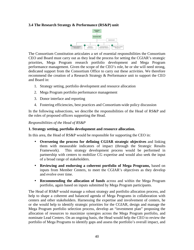# **3.4 The Research Strategy & Performance (RS&P) unit**



The Consortium Constitution articulates a set of essential responsibilities the Consortium CEO and Board must carry out as they lead the process for setting the CGIAR's strategic priorities, Mega Program research portfolio development and Mega Program performance management. Given the scope of the CEO's role, he or she will need strong, dedicated support from the Consortium Office to carry out these activities. We therefore recommend the creation of a Research Strategy & Performance unit to support the CEO and Board in:

- 1. Strategy setting, portfolio development and resource allocation
- 2. Mega Program portfolio performance management
- 3. Donor interface and reporting
- 4. Fostering efficiencies, best practices and Consortium-wide policy discussion

In the following subsections, we describe the responsibilities of the Head of RS&P and the roles of proposed officers supporting the Head.

#### *Responsibilities of the Head of RS&P*

# **1. Strategy setting, portfolio development and resource allocation.**

In this area, the Head of RS&P would be responsible for supporting the CEO in:

- **Overseeing the process for defining CGIAR strategic objectives** and linking them with measurable indicators of impact (through the Strategic Results Framework). This strategy development process would be performed in partnership with centers to mobilize CG expertise and would also seek the input of a broad range of stakeholders.
- **Reviewing and endorsing a coherent portfolio of Mega Programs,** based on inputs from Member Centers, to meet the CGIAR's objectives as they develop and evolve over time.
- **Recommending the allocation of funds** across and within the Mega Program portfolio, again based on inputs submitted by Mega Program participants.

The Head of RS&P would manage a robust strategy and portfolio allocation process, and help to shape a coherent and balanced agenda of Mega Programs in collaboration with centers and other stakeholders. Harnessing the expertise and involvement of centers, he or she would help to identify strategic priorities for the CGIAR, design and manage the Mega Program portfolio selection process, develop an "investment plan" proposing the allocation of resources to maximize synergies across the Mega Program portfolio, and nominate Lead Centers. On an ongoing basis, the Head would help the CEO to review the portfolio of Mega Programs to identify gaps and assess the portfolio's overall impact, and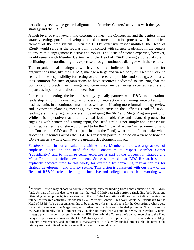periodically review the general alignment of Member Centers' activities with the system strategy and the  $SRF<sup>6</sup>$ .

A high level of *engagement and dialogue* between the Consortium and the centers in the strategy setting, portfolio development and resource allocation process will be a critical element of the new system. Given the CEO's extensive responsibilities, the Head of RS&P would serve as the regular point of contact with science leadership in the centers to ensure this engagement is active and robust. The locus of science expertise, however, would remain with Member Centers, with the Head of RS&P playing a collegial role in facilitating and coordinating this expertise through continuous dialogue with the centers.

The organizational analogues we have studied indicate that it is common for organizations that, like the CGIAR, manage a large and varied body of research work, to centralize the responsibility for setting overall research priorities and strategy. Similarly, it is common for such organizations to have resources dedicated to ensuring that the portfolio of projects they manage and coordinate are delivering expected results and impact, as input to fund allocation decisions.

In a corporate setting, the head of strategy typically partners with R&D and operations leadership through some regular process of interaction (remaining networked with business units in a continuous manner, as well as facilitating more formal strategy review and investment planning meetings). We would envision the Office's Head of RS&P leading a similarly regular process in developing the SRF and Mega Program portfolio. While it is imperative that this individual lead an objective and balanced process for engaging with centers and gaining input, the Head's role is not simply about consensus building. Rather, he or she would need to be the "impartial arbiter" in recommending to the Consortium CEO and Board (and in turn the Fund) what trade-offs to make when allocating resources across the CGIAR's research portfolio, based on a view of how the CG system as a whole can have the greatest development impact.

*Feedback note*: In our consultations with Alliance Members, there was a great deal of emphasis placed on the need for the Consortium to respect Member Center "subsidiarity," and to mobilize center expertise as part of the process for strategy and Mega Program portfolio development. Some suggested that DDG-Research should explicitly dedicate time to this work, for example by convening regular forums for strategy development and priority setting, This vision is consistent with our view of the Head of RS&P's role in leading an inclusive and collegial approach to working with

<u>.</u>

<sup>6</sup> Member Centers may choose to continue receiving bilateral funding from donors outside of the CGIAR fund. As part of its mandate to ensure that the total CGIAR research portfolio (including both Fund and bilaterally-funded projects) is consistent with the SRF, the Consortium will need to periodically review the full set of research activities undertaken by all Member Centers. This work would be undertaken by the Head of RS&P. We do not envision this to be a major or heavy-touch role for the Consortium, whose core focus will remain on the Mega Programs, rather than on bilaterally funded programs. The process for reviewing bilaterally-funded projects may involve no more than a periodic review of Member Centers' strategic plans in order to assess fit with the SRF. Similarly, the Consortium's annual reporting to the Fund on system performance vis-à-vis the CGIAR strategy and SRF will principally involve reporting on Mega Program performance, and performance management of bilaterally funded projects should remain the primary responsibility of centers, center Boards and bilateral donors.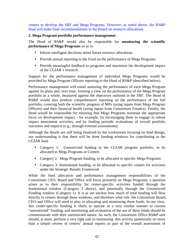centers to develop the SRF and Mega Programs. However, as noted above, the RS&P head will make final recommendations to the Board on resource allocations.

#### **2. Mega Program portfolio performance management**

The Head of RS&P would also be responsible for **monitoring the scientific performance of Mega Programs** so as to:

- Inform intelligent decisions about future resource allocations
- Provide annual reporting to the Fund on the performance of Mega Programs
- Provide meaningful feedback to programs and maximize the development impact of the CGIAR's research.

Support for the performance management of individual Mega Programs would be provided by Mega Program Officers reporting to the Head of RS&P (described below).

Performance management will entail assessing the performance of each Mega Program against its plans and, over time, forming a view on the performance of the Mega Program portfolio as a whole, measured against the objectives outlined in the SRF. The Head of RS&P would also produce comprehensive reporting on the performance of the full portfolio, covering both the scientific progress of MPs (using inputs from Mega Program Officers) and their financial health (using inputs from Consortium Finance). Finally, the Head would be responsible for ensuring that Mega Programs maintain the appropriate focus on development impact - for example, by encouraging them to engage in robust impact assessment activities, and by leading periodic evaluations of overall portfolio outcomes and impacts (e.g., through external assessments).

Although the details are still being finalized by the workstream focusing on fund design, our understanding is that there will be three funding windows for contributing to the CGIAR fund

- Category 1: Unrestricted funding to the CGIAR program portfolio, to be allocated to Mega Programs or Centers
- Category 2: Mega Program funding, to be allocated to specific Mega Programs
- Category 3: Institutional funding, to be allocated to specific centers for activities under the Strategic Results Framework

While the fund allocation and performance management responsibilities of the Consortium CEO, Board and Office will focus primarily on Mega Programs, a question arises as to their responsibility for center-specific activities funded through the Institutional window (Category 3 above), and potentially through the Unrestricted Funding window (Category 1). It is as yet unclear how much of total funding will flow directly to centers through these windows, and therefore what role the Consortium Board, CEO and Office will need to play in allocating and monitoring these funds. In our view, this center-specific funding is likely to operate in a very similar manner to current "unrestricted" funding, and monitoring and evaluation of the use of these funds should be commensurate with their unrestricted nature. As such, the Consortium Office RS&P unit should, at most, perform a very light role in monitoring this activity (potentially no more than a simple review of centers' annual reports as part of the overall assessment of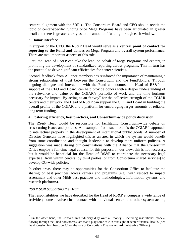centers' alignment with the  $SRF<sup>7</sup>$ ). The Consortium Board and CEO should revisit the topic of center-specific funding once Mega Programs have been articulated in greater detail and there is greater clarity as to the amount of funding through each window.

# **3. Donor interface**

In support of the CEO, the RS&P Head would serve as a **central point of contact for reporting to the Fund and donors** on Mega Program and overall system performance. There are two important aspects of this role.

First, the Head of RS&P can take the lead, on behalf of Mega Programs and centers, in promoting the development of standardized reporting across programs. This in turn has the potential to drive significant efficiencies for center scientists.

Second, feedback from Alliance members has reinforced the importance of maintaining a strong relationship of trust between the Consortium and the Fund/donors. Through ongoing dialogue and interaction with the Fund and donors, the Head of RS&P, in support of the CEO and Board, can help provide donors with a deeper understanding of the relevance and value of the CGIAR's portfolio of work and the time horizons necessary for impact. By acting as an "envoy" for the collective strength of the CGIAR centers and their work, the Head of RS&P can support the CEO and Board in building the overall profile of the CGIAR and a platform for encouraging larger amounts of reliable, long term funding.

# **4. Fostering efficiency, best practices, and Consortium-wide policy discussion**

The RS&P Head would be responsible for facilitating Consortium-wide debate on crosscutting issues and policies. An example of one such issue is the CGIAR's approach to intellectual property in the development of international public goods. A number of Director Generals have highlighted this as an area in which the system would benefit from some coordination and thought leadership to develop more uniform policies. A suggestion was made during our consultations with the Alliance that the Consortium Office employ a full-time legal counsel for this purpose. In our view, this is not necessary, but it would be beneficial for the Head of RS&P to coordinate the necessary legal expertise (from within centers, by third parties, or from Consortium shared services) to develop CG-wide policies.

In other areas, there may be opportunities for the Consortium Office to facilitate the sharing of best practices across centers and programs (e.g., with respect to impact assessment and other M&E best practices and methodologies, information systems, and research platforms).

# *RS&P Staff Supporting the Head*

<u>.</u>

The responsibilities we have described for the Head of RS&P encompass a wide range of activities; some involve close contact with individual centers and other system actors,

 $<sup>7</sup>$  On the other hand, the Consortium's fiduciary duty over all money – including institutional money-</sup> flowing through the Fund does necessitate that it play some role in oversight of center financial health. (See the discussion in subsection 3.2 on the role of Consortium Finance and Administrative Officer.)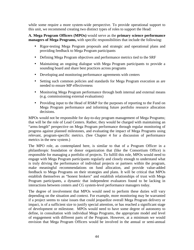while some require a more system-wide perspective. To provide operational support to this unit, we recommend creating two distinct types of roles to support the Head:

**A. Mega Program Officers (MPOs)** would serve as the **primary science performance managers of Mega Programs,** with specific responsibilities that include the following:

- Rigor-testing Mega Program proposals and strategic and operational plans and providing feedback to Mega Program participants
- Defining Mega Program objectives and performance metrics tied to the SRF
- Maintaining an ongoing dialogue with Mega Program participants to provide a sounding board and share best practices across programs
- Developing and monitoring performance agreements with centers
- Setting such common policies and standards for Mega Program execution as are needed to ensure MP effectiveness
- Monitoring Mega Program performance through both internal and external means (e.g. commissioning external evaluations)
- Providing input to the Head of RS&P for the purposes of reporting to the Fund on Mega Program performance and informing future portfolio resource allocation decisions.

MPOs would not be responsible for day-to-day program management of Mega Programs; that will be the role of Lead Centers. Rather, they would be charged with maintaining an "arms-length" perspective on Mega Program performance through regular monitoring of progress against planned milestones, and evaluating the impact of Mega Programs using relevant, program-specific metrics. (See Chapter 4 for a discussion of performance metrics in the new system.)

The MPO role, as contemplated here, is similar to that of a Program Officer in a philanthropic foundation or donor organization that (like the Consortium Office) is responsible for managing a portfolio of projects. To fulfill this role, MPOs would need to engage with Mega Program participants regularly and closely enough to understand what is truly driving the performance of individual projects or partners within the program, make meaningful recommendations on fund allocation, and provide value-added feedback to Mega Programs on their strategies and plans. It will be critical that MPOs establish themselves as "honest brokers" and establish relationships of trust with Mega Program participants, a dynamic that independent evaluators found to be lacking in interactions between centers and CG system-level performance managers today.

The degree of involvement that MPOs would need to perform these duties will vary depending on the situation and context. For example, more monitoring may be warranted if a project seems to raise issues that could jeopardize overall Mega Program delivery or impact, is of a sufficient size to justify special attention, or has reached a significant stage of development or milestone. MPOs would need to have some degree of autonomy to define, in consultation with individual Mega Programs, the appropriate model and level of engagement with different parts of the Program. However, at a minimum we would envision that Mega Program Officers would be involved in the annual or semi-annual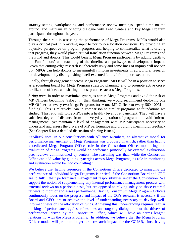strategy setting, workplanning and performance review meetings, spend time on the ground, and maintain an ongoing dialogue with Lead Centers and key Mega Program participants throughout the year.

Through their role in assessing the performance of Mega Programs, MPOs would also play a critical part in providing input to portfolio allocation decisions. By providing an objective perspective on program progress and helping to contextualize what is driving that progress, they would play a critical translation function between Mega Programs and the Fund and donors. This would benefit Mega Program participants by adding depth to the Fund/donors' understanding of the timeline and pathways to development impact. Given that cutting-edge research is inherently risky and some lines of inquiry will not pan out, MPOs can help donors to meaningfully inform investments in agricultural research for development by distinguishing "well-executed failure" from poor execution.

Finally, through engagement across Mega Programs, MPOs will be in a position to serve as a sounding board for Mega Program strategic planning, and to promote active crossfertilization of ideas and sharing of best practices across Mega Programs.

*Sizing note*: In order to maximize synergies across Mega Programs and avoid the risk of MP Officers becoming "siloed" in their thinking, we would recommend deploying one MP Officer for every two Mega Programs (or  $\sim$  one MP Officer to every \$60-100M in funding). This is relatively lean in comparison to similar programs at foundations we studied. This ratio will force MPOs into a healthy level of engagement: They will have a sufficient degree of distance from the everyday operation of programs to avoid "micromanagement", yet maintain a level of engagement with MP participants necessary to understand and assess the drivers of MP performance and providing meaningful feedback. (See Chapter 5 for a detailed discussion of sizing issues.)

*Feedback note*: In our consultations with Alliance Members, an alternative model for performance management of Mega Programs was proposed in which, rather than having a dedicated Mega Program Officer role in the Consortium Office, monitoring and evaluation of Mega Programs would be performed principally by external evaluations/ peer reviews commissioned by centers. The reasoning was that, while the Consortium Office can add value by guiding synergies across Mega Programs, its role in monitoring and evaluation would be "too controlling."

We believe that having resources in the Consortium Office dedicated to managing the performance of individual Mega Programs is critical if the Consortium Board and CEO are to fulfill their performance management responsibilities under the Constitution. We support the notion of supplementing any internal performance management process with external reviews on a periodic basis, but are opposed to relying solely on those external reviews to monitor and assess performance. Having Consortium Mega Program Officers continuously focus on the progress and impact of the CG's research is necessary if the Board and CEO are to achieve the level of understanding necessary to develop wellinformed views on the allocation of funds. Achieving this understanding requires regular tracking of performance against milestones and ongoing dialogue about the drivers of performance, driven by the Consortium Office, which will have an "arms length" relationship with the Mega Programs. In addition, we believe that the Mega Program Officer model will promote longer-term research impact for the CGIAR, since having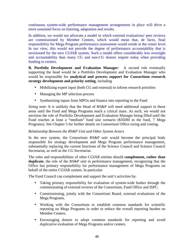continuous system-wide performance management arrangements in place will drive a more sustained focus on learning, adaptation and results.

In addition, we would not advocate a model in which external evaluations/ peer reviews are commissioned by Member Centers, which would mean that, de facto, final responsibility for Mega Program performance assessment would reside at the center level. In our view, this would not provide the degree of performance accountability that is envisioned for the new CGIAR system. Such a model offers considerably less oversight and accountability than many CG and non-CG donors require today when providing funding to centers.

**B. Portfolio Development and Evaluation Manager**: A second role eventually supporting the head would be a Portfolio Development and Evaluation Manager who would be responsible for **analytical and process support for Consortium research strategy development and priority setting**, including

- Mobilizing expert input (both CG and external) to inform research priorities
- Managing the MP selection process
- Synthesizing inputs from MPOs and finance into reporting to the Fund

*Sizing note*: It is unlikely that the Head of RS&P will need additional support in these areas until the Fund and Mega Programs reach a critical mass. As such, we would not envision the role of Portfolio Development and Evaluation Manager being filled until the Fund reaches at least a "medium" fund size scenario (\$350M in the fund, 7 Mega Programs). See Chapter 5 for further details on Consortium Office sizing and costing.

# *Relationship Between the RS&P Unit and Other System Actors*

In the new system, the Consortium RS&P unit would become the principal body responsible for strategy development and Mega Program performance management, substantially replacing the current functions of the Science Council and Science Council Secretariat, as well as the CG Secretariat.

The roles and responsibilities of other CGIAR entities should **complement, rather than duplicate**, the role of the RS&P unit in performance management, recognizing that the Office has primary responsibility for performance management of Mega Programs on behalf of the entire CGIAR system. In particular:

The Fund Council can complement and support the unit's activities by:

- Taking primary responsibility for evaluation of system-wide bodies through the commissioning of external reviews of the Consortium, Fund Office and ISPC.
- Commissioning, jointly with the Consortium Board, external evaluations of the Mega Programs.
- Working with the Consortium to establish common standards for scientific reporting on Mega Programs in order to reduce the overall reporting burden on Member Centers.
- Encouraging donors to adopt common standards for reporting and avoid duplicative evaluation of Mega Programs and/or centers.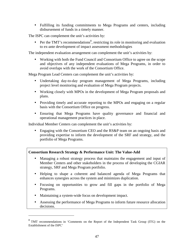• Fulfilling its funding commitments to Mega Programs and centers, including disbursement of funds in a timely manner.

The ISPC can complement the unit's activities by:

• Per the TMT's recommendations<sup>8</sup>, restricting its role in monitoring and evaluation to ex-ante development of impact assessment methodologies

The independent evaluation arrangement can complement the unit's activities by:

• Working with both the Fund Council and Consortium Office to agree on the scope and objectives of any independent evaluations of Mega Programs, in order to avoid overlaps with the work of the Consortium Office.

Mega Program Lead Centers can complement the unit's activities by:

- Undertaking day-to-day program management of Mega Programs, including project level monitoring and evaluation of Mega Program projects.
- Working closely with MPOs in the development of Mega Program proposals and plans.
- Providing timely and accurate reporting to the MPOs and engaging on a regular basis with the Consortium Office on progress.
- Ensuring that Mega Programs have quality governance and financial and operational management practices in place.

Individual Member Centers can complement the unit's activities by:

• Engaging with the Consortium CEO and the RS&P team on an ongoing basis and providing expertise to inform the development of the SRF and strategy, and the portfolio of Mega Programs.

# **Consortium Research Strategy & Performance Unit: The Value-Add**

- Managing a robust strategy process that maintains the engagement and input of Member Centers and other stakeholders in the process of developing the CGIAR strategy, SRF and Mega Program portfolio.
- Helping to shape a coherent and balanced agenda of Mega Programs that enhances synergies across the system and minimizes duplication.
- Focusing on opportunities to grow and fill gaps in the portfolio of Mega Programs.
- Maintaining a system-wide focus on development impact.

<u>.</u>

• Assessing the performance of Mega Programs to inform future resource allocation decisions.

<sup>&</sup>lt;sup>8</sup> TMT recommendations in 'Comments on the Report of the Independent Task Group (ITG) on the Establishment of the ISPC'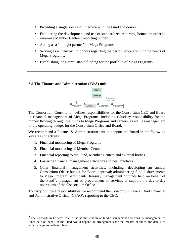- Providing a single source of interface with the Fund and donors.
- Facilitating the development and use of standardized reporting formats in order to minimize Member Centers' reporting burden.
- Acting as a "thought partner" to Mega Programs.
- Serving as an "envoy" to donors regarding the performance and funding needs of Mega Programs.
- Establishing long-term, stable funding for the portfolio of Mega Programs.

#### **3.5 The Finance and Administration (F&A) unit**



The Consortium Constitution defines responsibilities for the Consortium CEO and Board in financial management of Mega Programs, including fiduciary responsibility for the money flowing through the funds to Mega Programs and centers, as well as management of the operating budget for the Consortium Office and Board.

We recommend a Finance & Administration unit to support the Board in the following key areas of activity:

- 1. Financial monitoring of Mega Programs
- 2. Financial monitoring of Member Centers

<u>.</u>

- 3. Financial reporting to the Fund, Member Centers and external bodies
- 4. Fostering financial management efficiency and best practices
- 5. Other financial management activities, including: developing an annual Consortium Office budget for Board approval; administering fund disbursements to Mega Program participants; treasury management of funds held on behalf of the Fund<sup>9</sup>; management or procurement of services to support the day-to-day operations of the Consortium Office

To carry out these responsibilities we recommend the Consortium have a Chief Financial and Administrative Officer (CFAO), reporting to the CEO.

 $9<sup>9</sup>$  The Consortium Office's role in the administration of fund disbursement and treasury management of funds held on behalf of the Fund would depend on arrangements for the transfer of funds, the details of which are yet to be determined.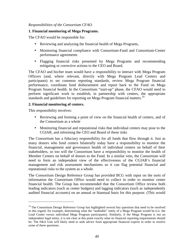#### *Responsibilities of the Consortium CFAO.*

#### **1. Financial monitoring of Mega Programs.**

The CFAO would be responsible for:

- Reviewing and analyzing the financial health of Mega Programs,
- Monitoring financial compliance with Consortium-Fund and Consortium-Center performance agreements
- Flagging financial risks presented by Mega Programs and recommending mitigating or corrective actions to the CEO and Board.

The CFAO and his/her team would have a responsibility to interact with Mega Program Officers (and, where relevant, directly with Mega Program Lead Centers and participants) to set common reporting standards, review Mega Program financial performance, coordinate fund disbursement and report back to the Fund on Mega Program financial health. In the Consortium "start-up" phase, the CFAO would need to perform significant work to establish, in partnership with centers, the appropriate standards and guidelines for reporting on Mega Program financial matters.<sup>10</sup>

#### **2. Financial monitoring of centers.**

This responsibility involves:

-

- Reviewing and forming a point of view on the financial health of centers, and of the Consortium as a whole
- Monitoring financial and reputational risks that individual centers may pose to the CGIAR, and informing the CEO and Board of these risks

The Consortium has a fiduciary responsibility for all funds that flow through it. Just as many donors who fund centers bilaterally today have a responsibility to monitor the financial, management and governance health of individual centers on behalf of their stakeholders, so too will the Consortium have a responsibility to monitor the health of Member Centers on behalf of donors to the Fund. In a similar vein, the Consortium will need to form an independent view of the effectiveness of the CGIAR's financial management and risk assessment mechanisms so it can flag potential financial and reputational risks to the system as a whole.

The Consortium Design Reference Group has provided BCG with input on the sorts of information the Consortium Office would need to collect in order to monitor center financial health. The Group has recommended that the Consortium Office review both leading indicators (such as center budgets) and lagging indicators (such as independently audited financial accounts) on an annual or biannual basis for this purpose. (This would

 $10$  The Consortium Design Reference Group has highlighted several key questions that need to be resolved in this regard; for example, determining what the "auditable" entity of a Mega Program would be (i.e. the Lead Center versus individual Mega Program participants). Similarly, if the Mega Program is not an independent legal entity, it is not clear at this point exactly what its financial reporting requirements should be. The F&A Unit will likely need to seek advice from appropriate financial experts in order to resolve some of these questions.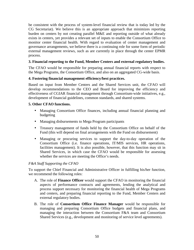be consistent with the process of system-level financial review that is today led by the CG Secretariat). We believe this is an appropriate approach that minimizes reporting burden on centers by not creating parallel M&E and reporting outside of what already exists in centers, yet provides a relevant set of inputs to enable the Consortium Office to monitor center financial health. With regard to evaluation of center management and governance arrangements, we believe there is a continuing role for some form of periodic external management reviews, such as are currently in place through the center EPMR process.

# **3. Financial reporting to the Fund, Member Centers and external regulatory bodies.**

The CFAO would be responsible for preparing annual financial reports with respect to the Mega Programs, the Consortium Office, and also on an aggregated CG-wide basis.

#### **4. Fostering financial management efficiency/best practices.**

Based on input from Member Centers and the Shared Services unit, the CFAO will develop recommendations to the CEO and Board for improving the efficiency and effectiveness of CGIAR financial management through Consortium-wide initiatives, e.g., development of financial guidelines, common standards, and shared systems.

#### **5. Other CFAO functions.**

- Managing Consortium Office finances, including annual financial planning and budgeting
- Managing disbursements to Mega Program participants
- Treasury management of funds held by the Consortium Office on behalf of the Fund (this will depend on final arrangements with the Fund on disbursement)
- Managing or procuring services to support the day-to-day operation of the Consortium Office (i.e. finance operations, IT/MIS services, HR operations, facilities management). It is also possible, however, that this function may sit in Shared Services, in which case the CFAO would be responsible for assessing whether the services are meeting the Office's needs.

#### *F&A Staff Supporting the CFAO*

To support the Chief Financial and Administrative Officer in fulfilling his/her function, we recommend the following roles:

- A. The role of **Finance Officer** would support the CFAO in monitoring the financial aspects of performance contracts and agreements, lending the analytical and process support necessary for monitoring the financial health of Mega Programs and centers, and preparing financial reporting to the Fund, Member Centers and external regulatory bodies.
- B. The role of **Consortium Office Finance Manager** would be responsible for managing and preparing Consortium Office budgets and financial plans, and managing the interaction between the Consortium F&A team and Consortium Shared Services (e.g., development and monitoring of service level agreements).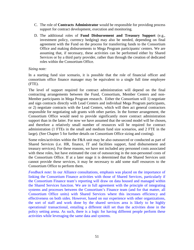- C. The role of **Contracts Administrator** would be responsible for providing process support for contract development, execution and monitoring.
- D. The additional roles of **Fund Disbursement and Treasury Support** (e.g., investment policy, currency hedging) may also be needed, depending on final agreement with the Fund on the process for transferring funds to the Consortium Office and making disbursements to Mega Program participants/ centers. We are assuming that, if necessary, these activities can be performed either by Shared Services or by a third party provider, rather than through the creation of dedicated roles within the Consortium Office.

#### *Sizing note:*

In a starting fund size scenario, it is possible that the role of financial officer and consortium office finance manager may be equivalent to a single full time employee (FTE).

The level of support required for contract administration will depend on the final contracting arrangements between the Fund, Consortium, Member Centers and non-Member participants in Mega Program research. Either the Consortium will 1) negotiate and sign contracts directly with Lead Centers and individual Mega Program participants, or 2) negotiate contracts with the Lead Centers, which will then act general contractors responsible for negotiating sub grants with other parties. In the former arrangement, the Consortium Office would need to provide significantly more contract administration support than in the latter. For now we have assumed that the second model will be chosen, and therefore a relatively small number of resources will be required for contract administration (1 FTEs in the small and medium fund size scenarios, and 2 FTE in the large). (See Chapter 5 for further details on Consortium Office sizing and costing).

Some roles/activities within the F&A unit may be also outsourced or conducted as part of Shared Services (i.e. HR, finance, IT and facilities support, fund disbursement and treasury services). For these reasons, we have not included any personnel costs associated with these roles, but have estimated the cost of outsourcing in the non-personnel costs of the Consortium Office. If at a later stage it is determined that the Shared Services unit cannot provide these services, it may be necessary to add some staff resources to the Consortium Office to perform them.

*Feedback note*: In our Alliance consultations, emphasis was placed on the importance of linking the Consortium Finance activities with those of Shared Services, particularly if the Consortium Finance team's reporting will draw on data housed and managed within the Shared Services function. We are in full agreement with the principle of integrating systems and processes between the Consortium's Finance team (and for that matter, all Consortium Office units) with Shared Services where this increases efficiency and effectiveness on both sides. However, based on our experience with other organizations, the sort of staff and work done by the shared services area is likely to be highly operational/ transactional, entailing a different skill set than the activities done in the policy setting arena. As such, there is a logic for having different people perform these activities while leveraging the same data and systems.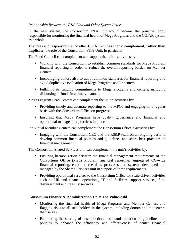# *Relationship Between the F&A Unit and Other System Actors*

In the new system, the Consortium F&A unit would become the principal body responsible for monitoring the financial health of Mega Programs and the CGIAR system as a whole.

The roles and responsibilities of other CGIAR entities should **complement, rather than duplicate**, the role of the Consortium F&A Unit. In particular:

The Fund Council can complement and support the unit's activities by:

- Working with the Consortium to establish common standards for Mega Program financial reporting in order to reduce the overall reporting burden on Member **Centers**
- Encouraging donors also to adopt common standards for financial reporting and avoid duplicative evaluation of Mega Programs and/or centers.
- Fulfilling its funding commitments to Mega Programs and centers, including disbursing of funds in a timely manner.

Mega Program Lead Centers can complement the unit's activities by:

- Providing timely and accurate reporting to the MPOs and engaging on a regular basis with the Consortium Office on progress.
- Ensuring that Mega Programs have quality governance and financial and operational management practices in place.

Individual Member Centers can complement the Consortium Office's activities by:

• Engaging with the Consortium CEO and the RS&P team on an ongoing basis to develop common financial policies and guidelines and share best practices in financial management

The Consortium Shared Services unit can complement the unit's activities by:

- Ensuring harmonization between the financial management requirements of the Consortium Office (Mega Program financial reporting, aggregated CG-wide financial reporting, etc.) and the data, processes and systems developed and managed by the Shared Services unit in support of these requirements.
- Providing operational services to the Consortium Office for scale-driven activities such as HR and finance operations, IT and facilities support services, fund disbursement and treasury services.

# **Consortium Finance & Administration Unit: The Value-Add**

- Monitoring the financial health of Mega Programs and Member Centers and flagging risks to all stakeholders in the system, including donors and the centers themselves.
- Facilitating the sharing of best practices and standardization of guidelines and policies to enhance the efficiency and effectiveness of center financial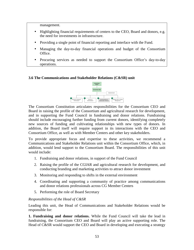management.

- Highlighting financial requirements of centers to the CEO, Board and donors, e.g. the need for investments in infrastructure.
- Providing a single point of financial reporting and interface with the Fund.
- Managing the day-to-day financial operations and budget of the Consortium Office.
- Procuring services as needed to support the Consortium Office's day-to-day operations.

# **3.6 The Communications and Stakeholder Relations (C&SR) unit**



The Consortium Constitution articulates responsibilities for the Consortium CEO and Board in raising the profile of the Consortium and agricultural research for development, and in supporting the Fund Council in fundraising and donor relations. Fundraising should include encouraging further funding from current donors, identifying completely new sources of funding and cultivating relationships with new types of donors. In addition, the Board itself will require support in its interactions with the CEO and Consortium Office, as well as with Member Centers and other key stakeholders.

To provide appropriate focus and expertise to these activities, we recommend a Communications and Stakeholder Relations unit within the Consortium Office, which, in addition, would lend support to the Consortium Board. The responsibilities of this unit would include:

- 1. Fundraising and donor relations, in support of the Fund Council
- 2. Raising the profile of the CGIAR and agricultural research for development, and conducting branding and marketing activities to attract donor investment
- 3. Monitoring and responding to shifts in the external environment
- 4. Coordinating and supporting a community of practice among communications and donor relations professionals across CG Member Centers
- 5. Performing the role of Board Secretary

# *Responsibilities of the Head of C&SR*

Leading this unit, the Head of Communications and Stakeholder Relations would be responsible for:

**1. Fundraising and donor relations.** While the Fund Council will take the lead in fundraising, the Consortium CEO and Board will play an active supporting role. The Head of C&SR would support the CEO and Board in developing and executing a strategy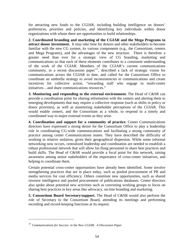for attracting new funds to the CGIAR, including building intelligence on donors' preferences, priorities and policies, and identifying key individuals within donor organizations with whom there are opportunities to build relationships.

**2. Coordinated branding and marketing of the CGIAR and the Mega Programs to attract donor investment.** It may take time for donors and other stakeholders to become familiar with the new CG system, its various components (e.g., the Consortium, centers and Mega Programs), and the advantages of the new structure. There is therefore a greater need than ever for a strategic view of CG branding, marketing and communications so that each of these elements contributes to a consistent understanding of the work of the CGIAR. Members of the CGIAR's current communications community, in a recent discussion paper<sup>11</sup>, described a lack of strategic vision for communications across the CGIAR to date, and called for the Consortium Office to coordinate an umbrella strategy to avoid inconsistencies in communications and create incentives for collective action, "rewarding staff who engage in multi-center initiatives…and share communications resources."

**3. Monitoring and responding to the external environment.** The Head of C&SR can provide a coordination point for sharing information with the centers and alerting them to emerging developments that may require a collective response (such as shifts in policy or donor priorities), as well as monitoring stakeholder perceptions of the CGIAR. This would enable centers, and the Consortium as a whole, to respond in a timely and coordinated way to major external events as they arise.

**4. Coordination and support for a community of practice.** Center Communications directors have expressed a strong desire for the Consortium Office to play a leadership role in coordinating CG-wide communications and facilitating a strong community of practice among center Communications teams. They have described the difficulty of working in relative isolation, given their geographical dispersion. While some informal networking now occurs, centralized leadership and coordination are needed to establish a robust professional network that will allow far-flung personnel to share best practices and build skills. The Head of C&SR would provide a focal point for this network, raising awareness among senior stakeholders of the importance of cross-center initiatives, and helping to coordinate them.

Certain potential cross-center opportunities have already been identified. Some involve strengthening practices that are in place today, such as pooled procurement of PR and media services for cost efficiency. Others constitute new opportunities, such as shared investor intelligence and pooled procurement of publications databases. Center directors also spoke about potential new activities such as convening working groups to focus on sharing best practices in key areas like advocacy, on-line branding and marketing.

**5. Consortium Board Secretary/support.** The Head of C&SR would also perform the role of Secretary to the Consortium Board, attending its meetings and performing recording and record-keeping functions at its request.

 $\overline{a}$ 

*<sup>11</sup> Communications for Success in the New CGIAR: A Discussion Paper*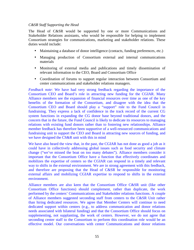#### *C&SR Staff Supporting the Head*

The Head of C&SR would be supported by one or more Communications and Stakeholder Relations assistants, who would be responsible for helping to implement Consortium strategies for communications, marketing and stakeholder relations. These duties would include:

- Maintaining a database of donor intelligence (contacts, funding preferences, etc.)
- Managing production of Consortium external and internal communications materials
- Monitoring of external media and publications and timely dissemination of relevant information to the CEO, Board and Consortium Office
- Coordination of forums to support regular interaction between Consortium and center communications and stakeholder relations managers.

*Feedback note*: We have had very strong feedback regarding the importance of the Consortium CEO and Board's role in attracting new funding for the CGIAR. Many Alliance members see the expansion of financial resources over time as one of the key benefits of the formation of the Consortium, and disagree with the idea that the Consortium CEO and Board should play a "support" role to the Fund Council in fundraising. They express a lack of confidence in the track record of the current CG system functions in expanding the CG donor base beyond traditional donors, and the concern that in the future, the Fund Council is likely to dedicate its resources to managing relations with existing fund donors rather than to fostering new relationships. Alliance member feedback has therefore been supportive of a well-resourced communications and fundraising unit to support the CEO and Board in attracting new sources of funding, and we have designed the CS&R unit with this in mind

We have also heard the view that, in the past, the CGIAR has not done as good a job as it could have in collectively addressing global issues such as food security and climate change ("we've missed the boat on too many debates"). Alliance members consider it important that the Consortium Office have a function that effectively coordinates and mobilizes the expertise of centers so the CGIAR can respond in a timely and relevant way to shifts in the external environment. We are in strong agreement with this feedback, and therefore are proposing that the Head of C&SR be responsible for monitoring external affairs and mobilizing CGIAR expertise to respond to shifts in the external environment.

Alliance members are also keen that the Consortium Office C&SR unit (like other Consortium Office functions) should complement, rather than duplicate, the work performed by the centers' Communications and Stakeholder relations functions. A couple of Alliance members suggested seconding staff from centers to the C&SR Unit rather than hiring dedicated resources. We agree that Member Centers will continue to need dedicated support within centers (e.g., to address communication and donor relations needs associated with bilateral funding) and that the Consortium Office should focus on supplementing, not supplanting, the work of centers. However, we do not agree that seconding center staff to the Consortium to perform this coordination role would be an effective model. Our conversations with center Communications and donor relations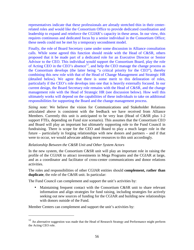representatives indicate that these professionals are already stretched thin in their centerrelated roles and would like the Consortium Office to provide dedicated coordination and leadership to expand and reinforce the CGIAR's capacity in these areas. In our view, this requires continuous and dedicated focus by a senior individual in the Consortium Office; these needs could not be met by a temporary secondment model.

Finally, the role of Board Secretary came under some discussion in Alliance consultation calls. While some agreed this function should reside with the Head of C&SR, others proposed that it be made part of a dedicated role for an Executive Director or Senior Advisor to the CEO. This individual would support the Consortium Board, play the role of Acting CEO in the CEO's absence<sup>12</sup>, and help the CEO manage the change process as the Consortium develops (the latter being "a critical priority for the CEO"), thereby combining this new role with that of the Head of Change Management and Strategic HR (detailed below). We agree that there is some merit to this delineation of roles, particularly if the CEO's role develops into one that is heavily externally focused. In our current design, the Board Secretary role remains with the Head of C&SR, and the change management role with the Head of Strategic HR (see discussion below). How well this ultimately works will depend on the capabilities of these individuals to take on additional responsibilities for supporting the Board and the change management process.

*Sizing note*: We believe the vision for Communications and Stakeholder Relations articulated above is consistent with the feedback we have received from Alliance Members. Currently this unit is anticipated to be very lean (Head of C&SR plus 1-2 support FTEs, depending on Fund size scenario). This assumes that the Consortium CEO and Board will play an important but ultimately supporting role to the Fund Council in fundraising. There is scope for the CEO and Board to play a much larger role in the future – particularly in forging relationships with new donors and partners – and if that were to occur, we would advocate adding more resources to this unit accordingly.

# *Relationship Between the C&SR Unit and Other System Actors*

In the new system, the Consortium C&SR unit will play an important role in raising the profile of the CGIAR to attract investments in Mega Programs and the CGIAR at large, and as a coordinator and facilitator of cross-center communications and donor relations activities.

The roles and responsibilities of other CGIAR entities should **complement, rather than duplicate**, the role of the C&SR unit. In particular:

The Fund Council can complement and support the unit's activities by:

• Maintaining frequent contact with the Consortium C&SR unit to share relevant information and align strategies for fund raising, including strategies for actively seeking out new sources of funding for the CGIAR and building new relationships with donors outside of the Fund.

Member Centers can complement and support the unit's activities by:

 $\overline{a}$ 

<sup>&</sup>lt;sup>12</sup> An alternative suggestion was made that the Head of Research Strategy and Performance might perform the Acting CEO role.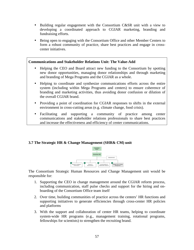- Building regular engagement with the Consortium C&SR unit with a view to developing a coordinated approach to CGIAR marketing, branding and fundraising efforts.
- Being open to engaging with the Consortium Office and other Member Centers to form a robust community of practice, share best practices and engage in crosscenter initiatives.

#### **Communications and Stakeholder Relations Unit: The Value-Add**

- Helping the CEO and Board attract new funding to the Consortium by spotting new donor opportunities, managing donor relationships and through marketing and branding of Mega Programs and the CGIAR as a whole.
- Helping to coordinate and synthesize communications efforts across the entire system (including within Mega Programs and centers) to ensure coherence of branding and marketing activities, thus avoiding donor confusion or dilution of the overall CGIAR brand.
- Providing a point of coordination for CGIAR responses to shifts in the external environment in cross-cutting areas (e.g. climate change, food crisis).
- Facilitating and supporting a community of practice among center communications and stakeholder relations professionals to share best practices and increase the effectiveness and efficiency of center communications.

# **3.7 The Strategic HR & Change Management (SHR& CM) unit**



The Consortium Strategic Human Resources and Change Management unit would be responsible for:

- 1. Supporting the CEO in change management around the CGIAR reform process, including communication, staff pulse checks and support for the hiring and onboarding of the Consortium Office team itself
- 2. Over time, building communities of practice across the centers' HR functions and supporting initiatives to generate efficiencies through cross-center HR policies and platforms
- 3. With the support and collaboration of center HR teams, helping to coordinate system-wide HR programs (e.g., management training, rotational programs, fellowships for scientists) to strengthen the recruiting brand.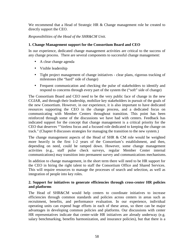We recommend that a Head of Strategic HR & Change management role be created to directly support the CEO.

*Responsibilities of the Head of the SHR&CM Unit.* 

#### **1. Change Management support for the Consortium Board and CEO**

In our experience, dedicated change management activities are critical to the success of any change process. There are several components to successful change management:

- A clear change agenda
- Visible leadership
- Tight project management of change initiatives clear plans, rigorous tracking of milestones (the "hard" side of change)
- Frequent communication and checking the pulse of stakeholders to identify and respond to concerns through every part of the system the ("soft" side of change)

The Consortium Board and CEO need to be the very public face of change in the new CGIAR, and through their leadership, mobilize key stakeholders in pursuit of the goals of the new Consortium. However, in our experience, it is also important to have dedicated resources supporting the CEO in the change process, and a dedicated focus on communicating with Member Centers throughout transition. This point has been reinforced through some of the discussions we have had with centers. Feedback has indicated support for the concept that change management is a critical priority for the CEO that deserves ""tireless focus and a focused role dedicated to keeping the change on track." (Chapter 8 discusses strategies for managing the transition to the new system.)

The change management aspects of the Head of SHR & CM role would be weighted more heavily in the first 1-2 years of the Consortium's establishment, and then, depending on need, could be ramped down. However, some change management activities (e.g., staff pulse check surveys, regular Member Center internal communications) may transition into permanent survey and communications mechanisms.

In addition to change management, in the short term there will need to be HR support for the CEO in hiring the right talent to staff the Consortium Office and Shared Services. This will require resources to manage the processes of search and selection, as well as integration of people into key roles.

# **2. Support for initiatives to generate efficiencies through cross-center HR policies and platforms**

The Head of SHR&CM would help centers to coordinate initiatives to increase efficiencies through common standards and policies across centers in areas such as recruitment, benefits, and performance evaluation. In our experience, individual operating units can expend huge efforts in each of these areas, so there can be major advantages in developing common policies and platforms. Our discussions with center HR representatives indicate that center-wide HR initiatives are already underway (e.g. salary benchmarking, benefits harmonization, and insurance policies), but that there is a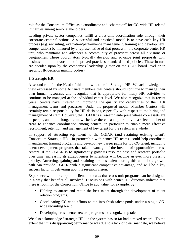role for the Consortium Office as a coordinator and "champion" for CG-wide HR-related initiatives among senior stakeholders.

Leading private sector companies fulfill a cross-unit coordination role through their corporate center functions. A successful and practiced model is to have each key HR process (e.g. recruiting, evaluation/performance management, training and development, compensation) be mirrored by a representative of that process in the corporate center HR unit, who maintains and advances a "community of practice" across all divisions or geographies. These coordinators typically develop and advance joint proposals with business units to advocate for improved practices, standards and policies. These in turn are decided upon by the company's leadership (either on the CEO/ board level or in specific HR decision making bodies).

# **3. Strategic HR**

A second role for the Head of this unit would be in Strategic HR. We acknowledge the view expressed by some Alliance members that centers should continue to manage their own human resources and recognize that is appropriate for many HR activities to continue to be managed at the individual center level. We also recognize that in recent years, centers have invested in improving the quality and capabilities of their HR management teams and processes. Under the proposed model, Member Centers will certainly retain responsibility for HR decisions, especially with respect to the hiring and management of staff. However, the CGIAR is a research enterprise whose core assets are its people, and in the longer term, we believe there is an opportunity in a select number of areas to enhance coordination among centers, in particular to enable more effective recruitment, retention and management of key talent for the system as a whole.

In support of attracting top talent to the CGIAR (and retaining existing talent), Consortium Strategic HR - in partnership with center HR teams- could help coordinate management training programs and develop new career paths for top CG talent, including talent development programs that take advantage of the breadth of opportunities across centers. If the CGIAR is to significantly grow its resource base and research portfolio over time, increasing its attractiveness to scientists will become an ever more pressing priority. Attracting, gaining and retaining the best talent during this ambitious growth path can provide CGIAR with a significant competitive advantage, and will be a key success factor in delivering upon its research vision.

Experience with our corporate clients indicates that cross-unit programs can be designed in a way that benefits all involved. Discussions with center HR directors indicate that there is room for the Consortium Office to add value, for example, by:

- Helping to attract and retain the best talent through the development of talent rotation programs.
- Coordinating CG-wide efforts to tap into fresh talent pools under a single CGwide recruiting brand.
- Developing cross-center reward programs to recognize top talent.

We also acknowledge "strategic HR" in the system has so far had a mixed record. To the extent that this disappointing performance was due to a lack of clear mandate, we believe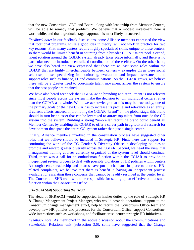that the new Consortium, CEO and Board, along with leadership from Member Centers, will be able to remedy that problem. We believe that a modest investment here is worthwhile, and that a gradual, staged approach is most likely to succeed.

*Feedback note*: In our feedback discussions, some Alliance members expressed the view that rotational programs, while a good idea in theory, will not work in practice for two key reasons. First, many centers require highly specialized skills, unique to those centers, so there would be limited benefit in sourcing from a broader CGIAR talent pool. Second, talent rotation around the CGIAR system already takes place informally, and there is no particular need to introduce centralized coordination of these efforts. On the other hand, we have also heard the view expressed that there are at least some roles within the CGIAR that are highly interchangeable between centers – examples given were social scientists, those specializing in monitoring, evaluation and impact assessment, and support roles such as finance, IT and communications. As the CGIAR grows, we believe there will be a greater need to coordinate talent movement across the system to ensure that the best people are retained.

We have also heard feedback that CGIAR-wide branding and recruitment is not relevant since most people across the system make the decision to join individual centers rather than the CGIAR as a whole. While we acknowledge that this may be true today, one of the primary goals of the new CGIAR is to increase its profile and relevance as an entity. If current efforts succeed in promoting the CGIAR "brand" on the global stage, this brand should in turn be an asset that can be leveraged to attract top talent from outside the CG system into the system. Building a strong "umbrella" recruiting brand could benefit all Member Centers by enabling the CGIAR to offer a career path in agricultural research for development that spans the entire CG system rather than just a single center.

Finally, Alliance members involved in the consultation process have suggested other roles that we believe should be included in Strategic HR. First, there was support for continuing the work of the CG Gender  $\&$  Diversity Office in developing policies to promote and reward greater diversity across the CGIAR. Second, we head the view that management training courses currently organized at the system level should continue. Third, there was a call for an ombudsman function within the CGIAR to provide an independent review process to deal with possible violations of HR policies within centers. Although center leadership and boards have put mechanisms in place to address HRrelated complaints, we believe that there is benefit in having an independent process available for escalating those concerns that cannot be readily resolved at the center level. The Consortium SHR team would be responsible for setting up an effective ombudsman function within the Consortium Office.

#### *SHR&CM Staff Supporting the Head*

The Head of SHR&CM would be supported in his/her duties by the role of Strategic HR & Change Management Project Manager, who would provide operational support to the Consortium change management effort, help to recruit the Consortium Office team and develop new HR policies and processes for the Consortium Office, support Consortiumwide interactions such as workshops, and facilitate cross-center strategic HR initiatives.

*Feedback note*: As mentioned in the above discussion about the Communications and Stakeholder Relations unit (subsection 3.6), some have suggested that the Change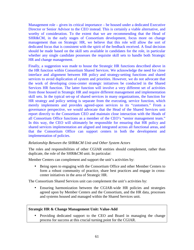Management role – given its critical importance – be housed under a dedicated Executive Director or Senior Advisor to the CEO instead. This is certainly a viable alternative, and worthy of consideration. To the extent that we are recommending that the Head of SHR&CM, in the early stages of Consortium development, focus more on change management than on Strategic HR, we believe that this role will allow the sort of dedicated focus that is consistent with the spirit of the feedback received. A final decision should be made based on the skill sets available in candidates for the role, in particular whether any single candidate possesses the requisite skill sets to handle both Strategic HR and change management.

Finally, a suggestion was made to house the Strategic HR functions described above in the HR function within Consortium Shared Services. We acknowledge the need for close interface and alignment between HR policy and strategy-setting functions and shared services to avoid duplication of system and priorities. However, we do not advocate that the work of developing cross-center strategic initiatives be conducted in the Shared Services HR function. The latter function will involve a very different set of activities from those housed in Strategic HR and require different management and implementation skill sets. In the typical set-up of shared services in many organizations, the function for HR strategy and policy setting is separate from the executing, service function, which merely implements and provides agreed-upon services to its "customers." From a governance perspective, we would advocate that the Head of the Shared Services unit report directly to the Consortium CEO and maintain close interaction with the Heads of all Consortium Office functions as a member of the CEO's "senior management team." In this way, the CEO will ultimately be responsible for ensuring that HR policy and shared services implementation are aligned and integrated across all functional areas, and that the Consortium Office can support centers in both the development and implementation of policies.

#### *Relationship Between the SHR&CM Unit and Other System Actors*

The roles and responsibilities of other CGIAR entities should complement, rather than duplicate, the role of the SHR&CM unit. In particular:

Member Centers can complement and support the unit's activities by:

• Being open to engaging with the Consortium Office and other Member Centers to form a robust community of practice, share best practices and engage in crosscenter initiatives in the area of Strategic HR.

The Consortium Shared Services unit can complement the unit's activities by:

• Ensuring harmonization between the CGIAR-wide HR policies and strategies agreed upon by Member Centers and the Consortium, and the HR data, processes and systems housed and managed within the Shared Services unit.

#### **Strategic HR & Change Management Unit: Value-Add**

• Providing dedicated support to the CEO and Board in managing the change process for success at this crucial turning point for the CGIAR.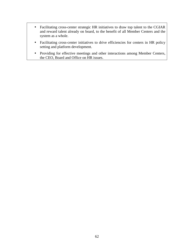- Facilitating cross-center strategic HR initiatives to draw top talent to the CGIAR and reward talent already on board, to the benefit of all Member Centers and the system as a whole.
- Facilitating cross-center initiatives to drive efficiencies for centers in HR policy setting and platform development.
- Providing for effective meetings and other interactions among Member Centers, the CEO, Board and Office on HR issues.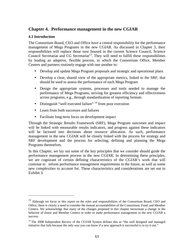# **Chapter 4. Performance management in the new CGIAR**

#### **4.1 Introduction**

 $\overline{a}$ 

The Consortium Board, CEO and Office have a central responsibility for the performance management of Mega Programs in the new CGIAR. As discussed in Chapter 3, their responsibilities will replace those now housed in the current Science Council, Science Council Secretariat and CG Secretariat<sup>13</sup>. They will need to fulfill these responsibilities by leading an adaptive, flexible process, in which the Consortium Office, Member Centers and partners routinely engage with one another to:

- Develop and update Mega Program proposals and strategic and operational plans
- Develop a clear, shared view of the appropriate metrics, linked to the SRF, that should be used to assess the performance of each Mega Program
- Design the appropriate systems, processes and tools needed to manage the performance of Mega Programs, striving for greatest efficiency and effectiveness across programs, e.g., through standardization of reporting formats
- Distinguish "well executed failure"  $14$  from poor execution
- Learn from both successes and failures
- Facilitate long-term focus on development impact

Through the Strategic Results Framework (SRF), Mega Program outcomes and impact will be linked with measurable results indicators, and progress against these indicators will be factored into decisions about resource allocation. As such, performance management in the new CGIAR will be closely linked with the process for strategy and SRF development and the process for selecting, defining and planning the Mega Programs themselves.

In this Chapter, we lay out some of the key principles that we consider should guide the performance management process in the new CGIAR. In determining these principles, we are cognizant of certain defining characteristics of the CGIAR's work that will continue to inform performance management requirements in the future, as well as some new complexities to account for. These characteristics and considerations are set out in Exhibit 3.

<sup>&</sup>lt;sup>13</sup> Although we focus in this report on the roles and responsibilities of the Consortium Board, CEO and Office, there is clearly a need to consider the mutual accountabilities of the Consortium, Fund, and Member Centers. We acknowledge that many of the changes proposed in this chapter necessitate a change in the behavior of donor and Member Centers in order to make performance management in the new CGIAR a success.

<sup>&</sup>lt;sup>14</sup> The 2008 Independent Review of the CGIAR System defines this as "the well designed and managed initiative that fails because the only way you can know if a new approach is successful is to try it out."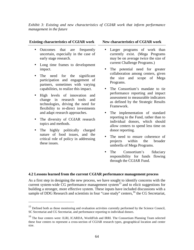*Exhibit 3: Existing and new characteristics of CGIAR work that inform performance management in the future* 

#### **Existing characteristics of CGIAR work New characteristics of CGIAR work**

- Outcomes that are frequently uncertain, especially in the case of early stage research.
- Long time frames to development impact.
- The need for the significant participation and engagement of partners, sometimes with varying capabilities, to realize this impact.
- High levels of innovation and change in research tools and technologies, driving the need for flexibility to re-direct investments and adapt research approaches.
- The diversity of CGIAR research topics and methods.
- The highly politically charged nature of food issues, and the critical role of policy in addressing these issues.

<u>.</u>

- Larger programs of work than currently exist. (Mega Programs may be on average twice the size of current Challenge Programs.)
- The potential need for greater collaboration among centers, given the size and scope of Mega Programs.
- The Consortium's mandate to tie performance reporting and impact assessment to measurable indicators as defined by the Strategic Results Framework.
- The implementation of standard reporting to the Fund, rather than to individual donors, which should allow centers to spend less time on donor reporting.
- The need to ensure coherence of projects within the broader umbrella of Mega Programs.
- The Consortium's fiduciary responsibility for funds flowing through the CGIAR Fund.

# **4.2 Lessons learned from the current CGIAR performance management process**

As a first step in designing the new process, we have sought to identify concerns with the current system-wide CG performance management system<sup>15</sup> and to elicit suggestions for building a stronger, more effective system. These inputs have included discussions with a sample of DDG Research and scientists in four "case study" centers,<sup>16</sup> the CG Secretariat,

<sup>&</sup>lt;sup>15</sup> Defined both as those monitoring and evaluation activities currently performed by the Science Council, SC Secretariat and CG Secretariat, and performance reporting to individual donors.

<sup>&</sup>lt;sup>16</sup> The four centers were: ILRI, ICARDA, WorldFish and IRRI. The Consortium Planning Team selected these four centers to represent a cross-section of CGIAR research types, geographical location and center size.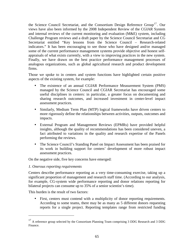the Science Council Secretariat, and the Consortium Design Reference Group<sup>17</sup>. Our views have also been informed by the 2008 Independent Review of the CGIAR System and internal reviews of the current monitoring and evaluation (M&E) system, including Challenge Program reviews and a draft paper by the Science Council Secretariat and CG Secretariat entitled "Key lessons from the Science Council – Research-related indicators." It has been encouraging to see those who have designed and/or managed some of the current performance management systems provide objective and honest selfappraisals of what exists currently, with a view to improving practices in the new system. Finally, we have drawn on the best practice performance management processes of analogous organizations, such as global agricultural research and product development firms.

Those we spoke to in centers and system functions have highlighted certain positive aspects of the existing system, for example:

- The existence of an annual CGIAR Performance Measurement System (PMS) managed by the Science Council and CGIAR Secretariat has encouraged some useful disciplines in centers: in particular, a greater focus on documenting and sharing research outcomes, and increased investment in center-level impact assessment practices.
- Similarly, Medium Term Plan (MTP) logical frameworks have driven centers to more rigorously define the relationships between activities, outputs, outcomes and impacts.
- External Program and Management Reviews (EPMRs) have provided helpful insights, although the quality of recommendations has been considered uneven, a fact attributed to variations in the quality and research expertise of the Panels performing the reviews.
- The Science Council's Standing Panel on Impact Assessment has been praised for its work in building support for centers' development of more robust impact assessment practices.

On the negative side, five key concerns have emerged:

# *1. Onerous reporting requirements*

Centers describe performance reporting as a very time-consuming exercise, taking up a significant proportion of management and research staff time. (According to our analysis, for example, CG-system wide performance reporting and donor relations reporting for bilateral projects can consume up to 35% of a senior scientist's time).

This burden is the result of two factors:

 $\overline{a}$ 

• First, centers must contend with a multiplicity of donor reporting requirements. According to some teams, there may be as many as 5 different donors requesting reports for a single project. Reporting templates range from restricted funding

<sup>&</sup>lt;sup>17</sup> A reference group selected by the Consortium Planning Team comprising 3 DDG Research and 3 DDG Finance.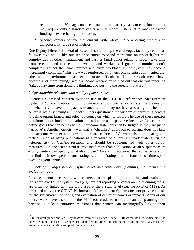reports running 50+pages on a semi-annual or quarterly basis to core funding that may require only a standard center annual report. The shift towards restricted funding is exacerbating the situation.

• Second, centers believe that current system-level PMS reporting employs an unnecessarily large set of metrics.

One Deputy Director General of Research summed up the challenges faced by centers as follows: "We would like our senior scientists to spend more time on research, but the complexities of other management and partner [and] donor relations largely take time from research and also eat into evening and weekends. I guess the numbers don't completely reflect the 'time famine' and extra workload as the system has become increasingly complex." This view was reinforced by others; one scientist commented that "the funding environment has become more difficult [and] donor requirements have become a lot more taxing," while a second researcher pointed out that onerous reporting "takes away time from doing the thinking and pushing the research forward."

#### *2. Questionable relevance and quality of metrics used*

<u>.</u>

Scientists expressed concern over the use in the CGIAR Performance Measurement System of "proxy" metrics to monitor impacts and outputs, since, as one interviewee put it, "whether you have an impact assessment culture may not have a bearing on whether a center is actually having an impact." Others questioned the wisdom of permitting centers to define output targets and select outcomes on which to report. The use of these metrics to inform donor funding allocations is said to create a perverse incentive for centers to define goals that can be easily met ("outcome statements can be fudged as they are just a narrative"). Another criticism was that a "checklist" approach to scoring does not take into account whether and how policies are enforced. We were also told that global metrics, such as using publications as a measure of output, are inadequate given the heterogeneity of CGIAR research, and should be supplemented with other output measures<sup>18</sup>. As one scientist put it: "We need more than publications as an output measure – only centers can specify what else to use." Overall, it appeared that some centers did not find their own performance ratings credible (ratings "are a function of time spent tweaking your inputs").

#### *3. Lack of linkages between system-level and center-level planning, monitoring and evaluation tools*

It is clear from discussions with centers that the planning, monitoring and evaluation tools employed at the system level (e.g., project reporting or center annual planning tools) are often not linked with the tools used at the system level (e.g. the PMS or MTP). As described above, the CGIAR Performance Measurement System does not provide a basis for the systematic monitoring and evaluation of center outcomes or impacts. Many of our interviewees have also found the MTP too crude to use as an annual planning tool because it lacks quantitative milestones that centers can meaningfully link to their

<sup>18</sup> In its draft paper entitled 'Key lessons from the Science Council - Research Related indicators', the Science Council and CGIAR Secretariat identified additional indicators that could be used, i.e., those that measure capacity-building and public access to data.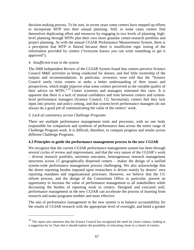decision-making process. To be sure, in recent years some centers have stepped up efforts to incorporate MTP into their annual planning. Still, in some cases centers find themselves duplicating effort and resources by engaging in two levels of planning: highlevel planning through MTPs plus their own more granular center-research portfolio and project planning. As with the annual CGIAR Performance Measurement System, there is a perception that MTP is flawed because there is insufficient rigor testing of the information provided by centers ("everyone knows you can write something to get it approved").

#### *4. Insufficient trust in the system*

 $\overline{a}$ 

The 2008 Independent Review of the CGIAR System found that centers perceive Science Council M&E activities as being conducted for donors, and feel little ownership of the outputs and recommendations. In particular, reviewers were told that the "Science Council rarely visits centers or seeks a better understanding of their issues and perspectives, which might improve what some centers perceived as the variable quality of their advice on MTPs." <sup>19</sup> Center scientists and managers reiterated this view. It is apparent that there is a lack of mutual confidence and trust between centers and systemlevel performance managers (Science Council, CG Secretariat); centers feel they lack input into priority and policy setting, and that system-level performance managers do not always do a good job of communicating the value of the centers' work.

# *5. Lack of consistency across Challenge Programs*

There are multiple performance management tools and processes, with no one body responsible for comparison and synthesis of performance data across the entire range of Challenge Program work. It is difficult, therefore, to compare progress and results across different Challenge Programs.

# **4.3 Principles to guide the performance management process in the new CGIAR**

We recognize that the current CGIAR performance management system has been through several cycles of review and improvement, and that the very nature of the CGIAR's work – diverse research portfolio, uncertain outcomes, heterogeneous research management structures across 15 geographically dispersed centers – makes the design of a unified system-wide performance management process challenging. We also acknowledge that the donor reporting burden imposed upon researchers is driven mainly by donors' own reporting mandates and organizational processes. However, we believe that the CG reform process, and the design of the Consortium Office in particular, present an opportunity to increase the value of performance management to all stakeholders while decreasing the burden of reporting work in centers. Designed and executed well, performance management in the new CGIAR can accelerate the process of learning from research and make programs nimbler and more effective.

The aim of performance management in the new system is to balance accountability for the results of CGIAR research with the appropriate level of oversight, and build a greater

<sup>&</sup>lt;sup>19</sup> The report also mentions that the Science Council has recognized the need for closer contact, leading to a suggestion by its Chair that it should explore the possibility of relocating closer to a cluster of centers.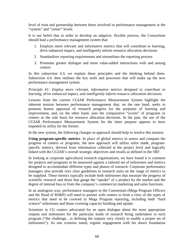level of trust and partnership between those involved in performance management at the "system" and "center" levels.

It is our belief that in order to develop an adaptive, flexible process, the Consortium should lead a performance management system that:

- 1. Employs more relevant and informative metrics that will contribute to learning, drive enhanced impact, and intelligently inform resource allocation decisions
- 2. Standardizes reporting requirements and streamlines the reporting process
- 3. Promotes greater dialogue and more value-added interactions with and among centers

In this subsection 4.3, we explain these principles and the thinking behind them. Subsection 4.4. then outlines the key tools and processes that will make up the new performance management system.

*Principle #1: Employ more relevant, informative metrics designed to contribute to learning, drive enhanced impact, and intelligently inform resource allocation decisions.* 

Lessons from the current CGIAR Performance Measurement System highlight the inherent tension between performance management that, on the one hand, seeks to promote honest appraisal of research progress for the purposes of learning and improvement, and, on the other hand, uses the comparative "scores" of programs or centers as the sole basis for resource allocation decisions. In the past, the use of the CGIAR Performance Measurement System for the latter purpose appears to have impeded its utility for the former.

In the new system, the following changes in approach should help to resolve this tension:

**Using program-specific metrics**. In place of global metrics to assess and compare the progress of centers or programs, the new approach will utilize tailor made, programspecific metrics, derived from information collected at the project level and logically linked with the CGIAR's overall strategic objectives and results as defined in the SRF.

In looking at corporate agricultural research organizations, we have found it is common for projects and programs to be measured against a tailored set of milestones and metrics designed to accommodate different types and phases of research. Corporate performance managers also provide very clear guidelines to research units on the range of metrics to be supplied. These metrics typically include both milestones that measure the progress of scientific research and those that gauge the "uptake" of a product by the market and the degree of internal buy-in from the company's commercial marketing and sales functions.

In an analogous way, performance managers in the Consortium (Mega Program Officers and the Head of RS&P) will need to partner with centers to form a view of the types of metrics that need to be covered in Mega Program reporting, including both "hard science" milestones and those covering capacity building and uptake.

Scientists in CG centers advocated for an open dialogue about the most appropriate outputs and milestones for the particular kinds of research being undertaken in each program ("the challenge…is defining the outputs very clearly to enable a proper set of milestones"). As one scientist noted, regular engagement with his donor foundation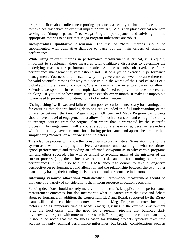program officer about milestone reporting "produces a healthy exchange of ideas…and forces a healthy debate on eventual impact." Similarly, MPOs can play a critical role here, serving as "thought partners" to Mega Program participants, and advising on the appropriate metrics to ensure that Mega Program milestones are robust.

**Incorporating qualitative discussion**. The use of "hard" metrics should be supplemented with qualitative dialogue to parse out the main drivers of scientific performance.

While using relevant metrics in performance measurement is critical, it is equally important to supplement these measures with qualitative discussion to determine the underlying reasons for performance results. As one scientist observed, the future performance management system "should not just be a yes/no exercise in performance management. You need to understand why things were not achieved, because there can be valid scientific reasons for why this occurs." In the words of the Head of R&D of a global agricultural research company, "the art is in what variances to allow or not allow". Scientists we spoke to in centers emphasized the "need to provide latitude for creative thinking…if you define how much is spent exactly every month, it makes it impossible …you need to promote innovation, not a tick-the-box routine."

Distinguishing "well-executed failure" from poor execution is necessary for learning, and for ensuring that donors' funding decisions are grounded in a full understanding of the difference between the two. Mega Program Officers and Mega Program participants should have a level of engagement that allows for such discussion, and enough flexibility to "change course" from the original plan where that is warranted by the scientific process. This engagement will encourage appropriate risk-taking, because researchers will feel that they have a channel for debating performance and approaches, rather than simply being "scored" on a narrow set of indicators.

This adaptive process will allow the Consortium to play a critical "translator" role for the system as a whole by helping to arrive at a common understanding of what constitutes "good performance," and providing an informed viewpoint as to why certain programs fail and others succeed. This will be critical to avoiding many of the mistakes of the current process (e.g., the disincentive to take risks and be forthcoming on program performance). It will also help the CGIAR encourage donors to take a long-term perspective on performance, fund allocation and the relationship between the two, rather than simply basing their funding decisions on annual performance indicators.

**Informing resource allocations "holistically."** Performance measurement should be only one of a variety of considerations that inform resource allocation decisions.

Funding decisions should not rely merely on the mechanistic application of performance measurement outcomes, but also incorporate what is learned from dialogue and debate about performance. In addition, the Consortium CEO and Board, supported by the RS&P team, will need to consider the context in which a Mega Program operates, including factors such as temporary funding needs, emerging issues in the external environment (e.g., the food crisis), and the need for a research pipeline that balances startup/innovative projects with more mature research. Turning again to the corporate analogy, it should be noted that the "business case" for funding projects typically takes into account not only technical performance milestones, but broader considerations such as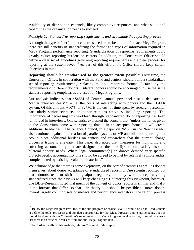availability of distribution channels, likely competitive responses, and what skills and capabilities the organization needs to succeed.

#### *Principle #2: Standardize reporting requirements and streamline the reporting process*

Although the types of performance metrics used are to be tailored for each Mega Program, there are still benefits in standardizing the format and types of information required in Mega Program performance reporting. Standardization of reporting requirements could greatly reduce reporting burdens on centers. In addition, the Consortium Office should define a clear set of guidelines governing reporting requirements and a clear process for reporting at the system level.  $^{20}$ As part of this effort, the Office should keep certain objectives in mind:

**Reporting should be standardized to the greatest extent possible**: Over time, the Consortium Office, in cooperation with the Fund and centers, should build a standardized set of reporting requirements, replacing multiple reporting formats dictated by the requirements of different donors. Bilateral donors should be encouraged to use the same standard reporting templates as are used for Mega Programs.

Our analysis indicates that ~\$46M of Centers' annual personnel cost is dedicated to "center interface costs"<sup>21</sup> – i.e. the costs of interacting with donors and the CGIAR system. Of this amount, ~60%, or \$27M, is the cost of time spent by research personnel, particularly senior scientists, on donor relations activities, including reporting. The importance of decreasing this workload through standardized donor reporting has been reinforced in interviews. One scientist expressed the concern that "unless the funds given to the Consortium come with reporting that is in an accepted format, it will create additional headaches." The Science Council, in a paper on "M&E in the New CGIAR" also cautioned against the creation of parallel systems of MP and bilateral reporting that "could place additional burdens on centers and researchers that the current change process is trying to alleviate." This paper also noted that "measures for monitoring and enforcing accountability that are designed for the new System can satisfy also the bilateral donors' needs. Where legal commitment[s] on donors demand very specific project-specific accountability this should be agreed to be met by relatively simple audits, complemented by existing evaluation materials."

We acknowledge that there is some skepticism, on the part of scientists as well as donors themselves, about donor acceptance of standardized reporting. One scientist pointed out that "donors tend to shift the goalpost regularly, so they won't accept anything standardized since their views will keep changing." Countering this viewpoint, however, one DDG-Research noted that much of the content of donor reports is similar and that it is the formats that differ, so that  $-$  in theory  $-$  it should be possible to move donors toward largely common sets of metrics and performance indicators. The reform process

 $\overline{a}$ 

<sup>&</sup>lt;sup>20</sup> Below the Mega Program level (i.e. at the sub-program or project level) it would be up to Lead Centers to define the tools, processes and templates appropriate for that Mega Program and its participants, but this should be done with the Consortium's requirements for Mega Program level reporting in mind, to ensure that there is an efficient "roll-up" from the sub-Mega Program level.

 $^{21}$  For further details of this analysis, refer to Chapter 6 of this report.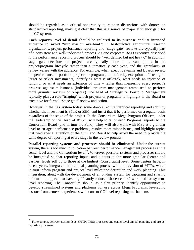should be regarded as a critical opportunity to re-open discussions with donors on standardized reporting, making it clear that this is a source of major efficiency gain for the CG system.

**Each report's level of detail should be tailored to its purpose and its intended audience to avoid "information overload"**: In best-practice agricultural research organizations, project performance reporting and "stage gate" reviews are typically part of a consistent and well-understood process. As one corporate R&D executive described it, the performance reporting process should be "well defined but not heavy." In addition, stage gate decisions on projects are typically made at relevant points in the project/program lifecycle rather than automatically each year, and the granularity of review varies with the audience. For example, when executive teams and Boards review the performance of portfolio projects or programs, it is often by exception – focusing on larger or riskier investments, identifying what is off-track, what needs an injection of funding, or what needs an extension of time – rather than measuring every project's progress against milestones. (Individual program management teams tend to perform more granular reviews of projects.) The head of Strategy or Portfolio Management typically plays a role "triaging" which projects or programs to highlight to the Board or executive for formal "stage gate" review and action.

However, in the CG system today, some donors require identical reporting and scrutiny whether the investment is \$50K or \$5M, and insist that it be performed on a regular basis regardless of the stage of the project. In the Consortium, Mega Program Officers, under the leadership of the Head of RS&P, will help to tailor each Programs' reports to the Consortium Board (and in turn the Fund). They will also work with MPs at a granular level to "triage" performance problems, resolve more minor issues, and highlight topics that need special attention of the CEO and Board to help avoid the need to provide the same degree of reporting at every stage in the review process.

**Parallel reporting systems and processes should be eliminated**: Under the current system, there is too much duplication between performance management processes at the center level and the Consortium level<sup>22</sup>. Wherever possible, systems and processes should be integrated so that reporting inputs and outputs at the more granular (center and partner) levels roll up to those at the highest (Consortium) level. Some centers have, in recent years, integrated their annual planning process with the revision of MTPs, which in turn inform program and project level milestone definition and work planning. This integration, along with the development of an on-line system for capturing and sharing information, appears to have significantly reduced those centers' workload for systemlevel reporting. The Consortium should, as a first priority, identify opportunities to develop streamlined systems and platforms for use across Mega Programs, leveraging lessons from centers' experiences with current CG-level reporting mechanisms.

<u>.</u>

<sup>&</sup>lt;sup>22</sup> For example, between System level (MTP, PMS) processes and center level annual planning and project reporting processes.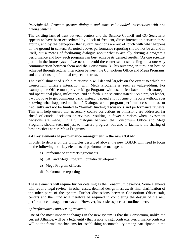# *Principle #3: Promote greater dialogue and more value-added interactions with and among centers.*

The existing lack of trust between centers and the Science Council and CG Secretariat appears to have been exacerbated by a lack of frequent, direct interaction between these groups, and by the perception that system functions are out of touch with what happens on the ground in centers. As noted above, performance reporting should not be an end in itself, but a means of facilitating dialogue about what is actually driving a program's performance and how each program can best achieve its desired results. (As one scientist put it, in the future system "we need to avoid the center scientists feeling it's a one-way communication between them and the Consortium.") This outcome, in turn, can best be achieved through regular interaction between the Consortium Office and Mega Programs, and a relationship of mutual respect and trust.

The establishment of such a relationship will depend largely on the extent to which the Consortium Office's interaction with Mega Programs is seen as value-adding. For example, the Office must provide Mega Programs with useful feedback on their strategic and operational plans, milestones, and so forth. One scientist stated: "As a project leader, I would love to get comments back; instead, I spend a lot of time on reports without ever knowing what happened to them." Dialogue about program performance should occur frequently and not be limited to "formal" funding discussions and performance reviews. This will help ensure that necessary course corrections or omissions are addressed far ahead of crucial decisions or reviews, resulting in fewer surprises when investment decisions are made. Finally, dialogue between the Consortium Office and Mega Programs should seek not just to measure progress, but also to facilitate the sharing of best practices across Mega Programs.

# **4.4 Key elements of performance management in the new CGIAR**

In order to deliver on the principles described above, the new CGIAR will need to focus on the following four key elements of performance management.

- a) Performance contracts/agreements
- b) SRF and Mega Program Portfolio development
- c) Mega Program officers
- d) Performance reporting

These elements will require further detailing as the Consortium develops. Some elements will require legal review; in other cases, detailed design must await final clarification of the other parts of the system. Further discussions between Consortium Office staff, centers and the Fund will therefore be required in completing the design of the new performance management system. However, its basic aspects are outlined here.

#### *a) Performance contracts/agreements*

One of the most important changes in the new system is that the Consortium, unlike the current Alliance, will be a legal entity that is able to sign contracts. Performance contracts will be the formal mechanisms for establishing accountability among participants in the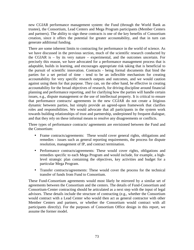new CGIAR performance management system: the Fund (through the World Bank as trustee), the Consortium, Lead Centers and Mega Program participants (Member Centers and partners). The ability to sign these contracts is one of the key benefits of Consortium creation, since it offers the potential for greater accountability, and that in turn can generate additional funding.

There are some inherent limits to contracting for performance in the world of science. As we have discussed in the previous section, much of the scientific research conducted by the CGIAR is – by its very nature – experimental, and the outcomes uncertain. For precisely this reason, we have advocated for a performance management process that is adaptable, builds in learning, and encourages appropriate risk taking that is beneficial to the pursuit of scientific innovation. Contracts - being formal documents that bind the parties for a set period of time - tend to be an inflexible mechanism for creating accountability for very specific research outputs and outcomes, and we would caution against using them for that purpose. They can, on the other hand, be effective in creating accountability for the broad objectives of research, for driving discipline around financial planning and performance reporting, and for clarifying how the parties will handle certain issues, e.g., dispute management or the use of intellectual property. It is critical to ensure that performance contracts/ agreements in the new CGIAR do not create a litigious dynamic between parties, but simply provide an agreed-upon framework that clarifies roles and responsibilities. We would advocate that all participants in the system work towards building relationships of trust and partnership, underpinned by frequent dialogue, and that they rely on these informal means to resolve any disagreements or conflicts.

Three types of performance contracts/ agreements are envisioned between the Fund and the Consortium:

- Frame contracts/agreements: These would cover general rights, obligations and remedies - issues such as general reporting requirements, the process for dispute resolution, management of IP, and contract termination.
- Performance contracts/agreements: These would cover rights, obligations and remedies specific to each Mega Program and would include, for example, a highlevel strategic plan containing the objectives, key activities and budget for a particular Mega Program.
- Transfer contracts/agreements: These would cover the process for the technical transfer of funds from Fund to Consortium.

These Fund-Consortium agreements would most likely be mirrored by a similar set of agreements between the Consortium and the centers. The details of Fund-Consortium and Consortium-Center contracting should be articulated as a next step with the input of legal advisors. These details include the structure of contracting (e.g., whether the Consortium would contract with a Lead Center who would then act as general contractor with other Member Centers and partners, or whether the Consortium would contract with all participants directly). For the purposes of Consortium Office design in this report, we assume the former model.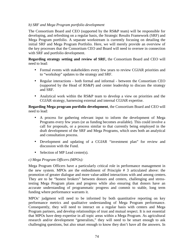## *b) SRF and Mega Program portfolio development*

The Consortium Board and CEO (supported by the RS&P team) will be responsible for developing, and refreshing on a regular basis, the Strategic Results Framework (SRF) and Mega Program portfolio. A separate workstream is currently focusing on detailing the initial SRF and Mega Program Portfolio. Here, we will merely provide an overview of the key processes that the Consortium CEO and Board will need to oversee in connection with SRF and portfolio development.

**Regarding strategy setting and review of SRF,** the Consortium Board and CEO will need to lead:

- Formal events with stakeholders every few years to review CGIAR priorities and to "workshop" updates to the strategy and SRF.
- Regular interactions both formal and informal between the Consortium CEO (supported by the Head of RS&P) and center leadership to discuss the strategy and SRF.
- Analytical work within the RS&P team to develop a view on priorities and the CGIAR strategy, harnessing external and internal CGIAR expertise.

**Regarding Mega program portfolio development**, the Consortium Board and CEO will need to lead:

- A process for gathering relevant input to inform the development of Mega Programs every few years (or as funding becomes available). This could involve a call for proposals, or a process similar to that currently being employed in the draft development of the SRF and Mega Programs, which uses both an analytical and consultation process.
- Development and updating of a CGIAR "investment plan" for review and discussion with the Fund.
- Selection of MP Lead center(s).

# *c) Mega Program Officers (MPOs):*

Mega Program Officers have a particularly critical role in performance management in the new system. MPOs are the embodiment of Principle # 3 articulated above: the promotion of greater dialogue and more value-added interactions with and among centers. They are to be "honest brokers" between donors and centers, challenging and stresstesting Mega Program plans and progress while also ensuring that donors have an accurate understanding of programmatic progress and commit to stable, long term funding where performance warrants it.

MPOs' judgment will need to be informed by both quantitative reporting on key performance metrics and qualitative understanding of Mega Program performance. Consequently, they will need to interact on a regular basis with centers and Mega Program partners, and develop relationships of trust and mutual respect. It is not essential that MPOs have deep expertise in all topic areas within a Mega Program. As agricultural research and/or development "generalists," they will need to be smart enough to ask challenging questions, but also smart enough to know they don't have all the answers. In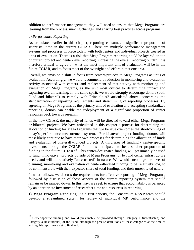addition to performance management, they will need to ensure that Mega Programs are learning from the process, making changes, and sharing best practices across programs.

#### *d) Performance Reporting*

<u>.</u>

As articulated earlier in this chapter, reporting consumes a significant proportion of scientists' time in the current CGIAR. There are multiple performance management systems and processes in place today, with both centers and individual projects treated as units of evaluation. There is a risk that Mega Program reporting could be layered on top of current project and center-level reporting, increasing the overall reporting burden. It is therefore critical to agree on what the most important unit of evaluation will be in the future CGIAR, and to focus most of the oversight and effort in that one area.

Overall, we envision a shift in focus from centers/projects to Mega Programs as units of evaluation. Accordingly, we would recommend a reduction in monitoring and evaluation activity associated with centers, and replacement of that activity with monitoring and evaluation of Mega Programs, as the unit most critical to determining impact and capturing overall learning. In the same spirit, we would strongly encourage donors (both Fund and bilateral) to comply with Principle #2 articulated above, concerning the standardization of reporting requirements and streamlining of reporting processes. By agreeing on Mega Programs as the primary unit of evaluation and accepting standardized reporting, donors can enable the redeployment of a significant proportion of center resources back towards research.

In the new CGIAR, the majority of funds will be directed toward either Mega Programs or bilateral projects. We have articulated in this chapter a process for determining the allocation of funding for Mega Programs that we believe overcomes the shortcomings of today's performance measurement system. For bilateral project funding, donors will most likely continue to have their own processes for determining the allocation of funds and evaluation of bilaterally-funded projects. A third area of funding - center-specific investments through the CGIAR fund - is anticipated to be a smaller proportion of funding in the future CGIAR  $^{23}$ . This center-designated funding will presumably be used to fund "innovative" projects outside of Mega Programs, or to fund center infrastructure needs, and will be relatively "unrestricted" in nature. We would encourage the level of planning, monitoring and evaluation of center-allocated funding to be relatively low, to be commensurate with their expected share of total funding, and their unrestricted nature.

In what follows, we discuss the requirements for effective reporting of Mega Programs, followed by discussion of those aspects of the current reporting system that should remain or be ramped down. In this way, we seek to ensure that accountability is balanced by an appropriate investment of researcher time and resources in reporting.

**1) Mega Program Reporting**: As a first priority, the Consortium RS&P team should develop a streamlined system for review of individual MP performance, and the

<sup>&</sup>lt;sup>23</sup> Center-specific funding and would presumably be provided through Category 1 (unrestricted) and Category 3 (institutional) of the Fund, although the precise definitions of these categories at the time of writing this report were yet to finalized.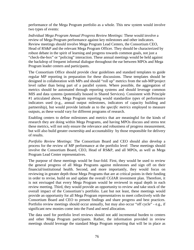performance of the Mega Program portfolio as a whole. This new system would involve two types of events:

*Individual Mega Program Annual Progress Review Meetings:* These would involve a review of Mega Program performance against key milestones and other indicators. Review meetings should involve Mega Program Lead Centers, the Consortium CEO, Head of RS&P and the relevant Mega Program Officer. They should be characterized by robust debate in the spirit of learning and progress towards common goals, not just a "check-the-box" or "policing" interaction. These annual meetings would be held against the backdrop of frequent informal dialogue throughout the ear between MPOs and Mega Program leader centers and participants.

The Consortium Office should provide clear guidelines and standard templates to guide regular MP reporting in preparation for these discussions. These templates should be designed in collaboration with MPs and should "roll up" metrics from the sub-MP/project level rather than being part of a parallel system. Where possible, the aggregation of metrics should be automated through reporting systems and should leverage common MIS and data systems (potentially housed in Shared Services). Consistent with Principle #1 articulated above, Mega Program reporting would standardize *types* of performance indicators used (e.g., annual output milestones, indicators of capacity building and partnership), but would provide latitude as to the *specific metrics* employed to measure outputs, as these would vary for different programs of research.

Enabling centers to define milestones and metrics that are meaningful for the kinds of research they are doing within Mega Programs, and having MPOs discuss and stress test these metrics, will not only ensure the relevance and robustness of progress measurement, but will also build greater ownership and accountability by those responsible for delivery of results.

*Portfolio Review Meetings:* The Consortium Board and CEO should also develop a process for the review of MP performance at the portfolio level These meetings should involve the Consortium Board, CEO, Head of RS&P, and all MPOs, as well as Mega Program Lead Center representatives.

The purpose of these meetings would be four-fold. First, they would be used to review the general progress of all Mega Programs against milestones and sign off on their financial/institutional health. Second, and more importantly, they would focus on reviewing in greater depth those Mega Programs that are at critical points in their funding in order to revise, build on and update the overall CGIAR investment plan. Therefore, it is not envisaged that every Mega Program would be reviewed in equal depth in each review meeting. Third, they would provide an opportunity to review and take stock of the overall impact of the Consortium's portfolio. Last but not least, these meetings would provide an opportunity for all Mega Program representatives to meet collectively with the Consortium Board and CEO to present findings and share progress and best practices. Portfolio review meetings should occur annually, but may also occur "off cycle" - e.g., if significant new monies come into the Fund and need allocation.

The data used for portfolio level reviews should not add incremental burden to centers and other Mega Program participants. Rather, the information provided in review meetings should leverage the standard Mega Program reporting that will be in place as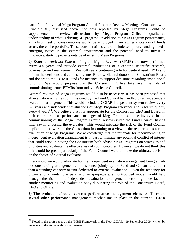part of the Individual Mega Program Annual Progress Review Meetings. Consistent with Principle #1, discussed above, the data reported by Mega Programs would be supplemented in review discussions by Mega Program Officers' qualitative understanding of what is driving MP progress. In addition to Mega Program performance, a "holistic" set of considerations would be employed in reviewing allocation of funds across the entire portfolio. These considerations could include temporary funding needs, emerging issues in the external environment and the potential need to invest in innovative/start-up projects outside of existing Mega Programs

2) **External reviews:** External Program Mgmt Reviews (EPMR) are now performed every 4-5 years and provide external evaluations of a center's scientific research, governance and management. We still see a continuing role for center-based EPMRs to inform the decisions and actions of center Boards, bilateral donors, the Consortium Board, and donors to the CGIAR Fund (for instance, to support decisions regarding institutional funding). We would propose that the Consortium Office take over the role of commissioning center EPMRs from today's Science Council.

External reviews of Mega Programs would also be necessary. It has been proposed that all evaluation activities commissioned by the Fund Council be handled by an independent evaluation arrangement. This would include a CGIAR independent system review every 5-6 years and independent evaluations of Mega Program relevance and research quality every 4 years<sup>24</sup>. We believe that it is appropriate for the Consortium CEO and Board, in their central role as performance manager of Mega Programs, to be involved in the commissioning of the Mega Program external reviews (with the Fund Council having final say in choosing the evaluator). This would mitigate the risk of the Fund Council duplicating the work of the Consortium in coming to a view of the requirements for the evaluation of Mega Programs. We acknowledge that the rationale for recommending an independent evaluation arrangement is in part to manage any potential conflict of interest that could arise in having the Consortium both advise Mega Programs on strategies and priorities and evaluate the effectiveness of such strategies. However, we do not think this risk would be great, particularly if the Fund Council were to make the ultimate decision on the choice of external evaluator.

In addition, we would advocate for the independent evaluation arrangement being an adhoc outsourcing arrangement commissioned jointly by the Fund and Consortium, rather than a standing capacity or unit dedicated to external evaluation. Given the tendency for organizational units to expand and self-perpetuate, an outsourced model would help manage the risk of the independent evaluation arrangement becoming – de facto – another monitoring and evaluation body duplicating the role of the Consortium Board, CEO and Office.

**3) The evolution of other current performance management elements**: There are several other performance management mechanisms in place in the current CGIAR

 $\overline{a}$ 

<sup>&</sup>lt;sup>24</sup> Noted in the draft paper on the 'M&E Framework in the New CGIAR', 19 September 2009, written by members of the Accountability workstream.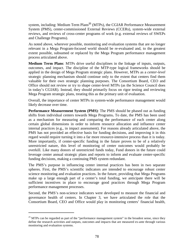system, including: Medium Term Plans**<sup>25</sup>** (MTPs), the CGIAR Performance Measurement System (PMS), center-commissioned External Reviews (CCERs), system-wide external reviews, and reviews of cross-center programs of work (e.g. external reviews of SWEPs and Challenge Programs).

As noted above, wherever possible, monitoring and evaluation systems that are no longer relevant in a Mega Program-focused world should be re-evaluated and, to the greatest extent possible, subsumed or replaced by the Mega Program performance management process articulated above.

**Medium Term Plans**: MTPs drive useful disciplines in the linkage of inputs, outputs, outcomes, and impact. The discipline of the MTP-type logical frameworks should be applied in the design of Mega Program strategic plans. However, MTPs as a *center-level* strategic planning mechanism should continue only to the extent that centers find them valuable for their own strategic planning purposes. The Consortium Board, CEO and Office should not review or try to shape center-level MTPs (as the Science Council does in today's CGIAR). Instead, they should primarily focus on rigor testing and reviewing Mega Program strategic plans, treating this as the primary unit of evaluation.

Overall, the importance of center MTPs in system-wide performance management would likely decrease over time.

**Performance Measurement System (PMS)**: The PMS should be phased out as funding shifts from individual centers towards Mega Programs**.** To date, the PMS has been used as a mechanism for measuring and comparing the performance of each center along certain global dimensions in order to inform resource allocation and influence center internal practices (e.g., in impact assessment). For reasons already articulated above, the PMS has not provided an effective basis for funding decisions, and improving it in this regard would require turning it into a far more resource-intensive process than it is today. More importantly, if center-specific funding in the future proves to be of a relatively unrestricted nature, this level of monitoring of center outcomes would probably be overkill. Like many donors of unrestricted funds today, Fund donors in the future could leverage center annual strategic plans and reports to inform and evaluate center-specific funding decisions, making a continuing PMS system redundant.

The PMS's purpose in influencing center internal practices has been in two separate spheres. First, the PMS's scientific indicators are intended to encourage robust center science monitoring and evaluation practices. In the future, providing that Mega Programs make up a large enough part of a center's total funding, we anticipate there will be sufficient incentives in place to encourage good practices through Mega Program performance management processes.

Second, the PMS's non-science indicators were developed to measure the financial and governance health of centers. In Chapter 3, we have articulated the role that the Consortium Board, CEO and Office would play in monitoring centers' financial health,

<u>.</u>

 $25$  MTPs can be regarded as part of the "performance management system" in the broadest sense, since they define the research activities and outputs, outcomes and impacts that are measured ex-ante through various monitoring and evaluation systems.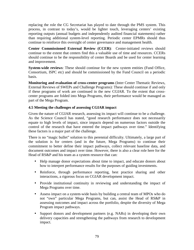replacing the role the CG Secretariat has played to date through the PMS system. This process, in contrast to today's, would be lighter touch, leveraging centers' existing reporting outputs (annual budgets and independently audited financial statements) rather than requiring additional system-level reporting. Periodic center EPMRs should thus continue to reinforce this oversight of center governance and management health.

**Center Commissioned External Review (CCER)**: Center-initiated reviews should continue to the extent that centers find this a valuable use of time and resources. CCERs should continue to be the responsibility of center Boards and be used for center learning and improvement.

**System-wide reviews:** These should continue for the new system entities (Fund Office, Consortium, ISPC etc) and should be commissioned by the Fund Council on a periodic basis.

**Monitoring and evaluation of cross-center programs** (Inter Center Thematic Reviews, External Reviews of SWEPs and Challenge Programs): These should continue if and only if these programs of work are continued in the new CGIAR. To the extent that crosscenter programs are folded into Mega Programs, their performance would be managed as part of the Mega Program.

# **4.5 Meeting the challenges of assessing CGIAR impact**

Given the nature of CGIAR research, assessing its impact will continue to be a challenge. As the Science Council has stated, "good research performance does not necessarily equate to high levels of impact, since impacts depend on numerous factors outside the control of the research that have entered the impact pathways over time." Identifying these factors is a major part of the challenge.

There is no "magic bullet" solution to this perennial difficulty. Ultimately, a large part of the solution is for centers (and in the future, Mega Programs) to continue their commitment to better define their impact pathways, collect relevant baseline data, and document outcomes and impact over time. However, there is also a clear role here for the Head of RS&P and his team as a system resource that can:

- Help manage donor expectations about time to impact, and educate donors about how to interpret performance results for the purposes of guiding investments.
- Reinforce, through performance reporting, best practice sharing and other interactions, a rigorous focus on CGIAR development impact.
- Provide institutional continuity in reviewing and understanding the impact of Mega Programs over time.
- Assess impact on a system-wide basis by building a central team of MPOs who do not "own" particular Mega Programs, but can, assist the Head of RS&P in assessing outcomes and impact across the portfolio, despite the diversity of Mega Program impact pathways.
- Support donors and development partners (e.g. NARs) in developing their own delivery capacities and strengthening the pathways from research to development impact.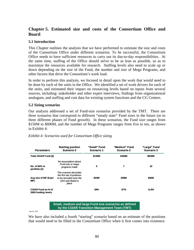# **Chapter 5. Estimated size and costs of the Consortium Office and Board**

#### **5.1 Introduction**

This Chapter outlines the analysis that we have performed to estimate the size and costs of the Consortium Office under different scenarios. To be successful, the Consortium Office needs to have sufficient resources to carry out its day-to-day responsibilities. At the same time, staffing of the Office should strive to be as lean as possible, so as to maximize the resources available for research. Staffing levels also need to scale up or down depending on the size of the Fund, the number and size of Mega Programs, and other factors that drive the Consortium's work load.

In order to perform this analysis, we focused in detail upon the work that would need to be done by each of the units in the Office. We identified a set of work drivers for each of the units, and estimated their impact on resourcing levels based on inputs from several sources, including: stakeholder and other expert interviews, findings from organizational analogues, and staffing and cost data for existing system functions and the CG Centers.

#### **5.2 Sizing scenarios**

Our analysis addressed a set of Fund-size scenarios provided by the TMT. There are three scenarios that correspond to different "steady state" Fund sizes in the future (or to three different phases of Fund growth). In these scenarios, the Fund size ranges from \$150M to \$600M, and the number of Mega Programs ranges from five to ten, as shown in Exhibit 4:

| <b>Parameters</b>                                | <b>Starting position</b><br>Scenario 0                                                                         | "Small" Fund<br>Scenario 1 | "Medium" Fund<br>Scenario 2 | "Large" Fund<br>Scenario 3 |
|--------------------------------------------------|----------------------------------------------------------------------------------------------------------------|----------------------------|-----------------------------|----------------------------|
| Total CGIAR Fund (\$)                            |                                                                                                                | \$150M                     | \$350M                      | \$600M                     |
| No. of MPs in<br>portfolio (#)                   | No assumptions about<br>Fund size or mega<br>programs made                                                     | 5                          | 7                           | 10                         |
| Avg size of MP (\$ per<br>MP)                    | This scenario describes<br>the first set of positions<br>to be recruited once the<br>CEO and Board in<br>place | \$30M                      | \$50M                       | \$60M                      |
| <b>CGIAR Fund as % of</b><br>2008 funding levels |                                                                                                                | 29%                        | 67%                         | 114%                       |

#### *Exhibit 4: Scenarios used for Consortium Office sizing*

**Small, medium and large Fund size scenarios as defined by the CGIAR Transition Management Team (TMT)**

Source: TMT

We have also included a fourth "starting" scenario based on an estimate of the positions that would need to be filled in the Consortium Office when it first comes into existence.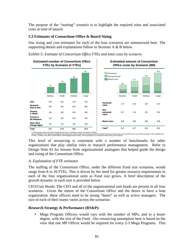The purpose of the "starting" scenario is to highlight the required roles and associated costs at time of launch.

## **5.3 Estimates of Consortium Office & Board Sizing**

Our sizing and cost estimates for each of the four scenarios are summarized here. The supporting details and explanations follow in Sections A & B below.

## *Exhibit 5: Estimate of Consortium Office FTEs and total costs by scenario*



1. Startup phase does not include change mgmt costs 2. Numbers may not sum due to rounding<br>Source: Baseline FTE estimates provided by CG Secretariat, Alliance Office, and Science Council Secretariat; Framework Document fo

This level of resourcing is consistent with a number of benchmarks for other organizations that play similar roles in research performance management. Refer to Design Note #2 for lessons from organizational analogues that helped guide the design and sizing of the Consortium Office.

### *A. Explanation of FTE estimates*

The staffing of the Consortium Office, under the different Fund size scenarios, would range from 8 to 26 FTEs. This is driven by the need for greater resource requirements in each of the four organizational units as Fund size grows. A brief description of the growth dynamic in each unit is provided below.

CEO/Unit Heads: The CEO and all of the organizational unit heads are present in all four scenarios. Given the nature of the Consortium Office and the desire to have a lean organization, these officers need to be strong "doers" as well as active managers. The size of each of their teams varies across the scenarios:

### **Research Strategy & Performance (RS&P):**

• Mega Program Officers would vary with the number of MPs, and to a lesser degree, with the size of the Fund. Our resourcing assumption here is based on the view that one MP Officer would be required for every 2-3 Mega Programs. This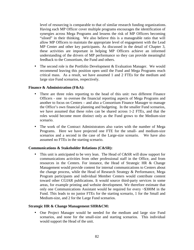level of resourcing is comparable to that of similar research funding organizations. Having each MP Officer cover multiple programs encourages the identification of synergies across Mega Programs and lessens the risk of MP Officers becoming "siloed" in their thinking. We also believe this is a manageable ratio that will allow MP Officers to maintain the appropriate level of engagement with the Lead MP Center and other key participants. As discussed in the detail of Chapter 3, these activities are important in helping MP Officers achieve an informed understanding of the drivers of MP performance so they can provide meaningful feedback to the Consortium, the Fund and others.

• The second role is the Portfolio Development & Evaluation Manager. We would recommend leaving this position open until the Fund and Mega Programs reach critical mass. As a result, we have assumed 1 and 2 FTEs for the medium and large size Fund scenarios, respectively.

#### **Finance & Administration (F&A):**

- There are three roles reporting to the head of this unit: two different Finance Officers - one to oversee the financial reporting aspects of Mega Programs and another to focus on Centers – and also a Consortium Finance Manager to manage the Office's own financial planning and budgeting. In the smaller Fund scenarios, we have assumed that these roles can be shared across 1-2 FTEs, and that the roles would become more distinct only as the Fund grows to the Medium-size scenario.
- The work of the Contract Administrators also varies with the number of Mega Programs. Here we have projected one FTE for the small- and medium-size scenarios and a second in the case of the Large-size scenario. We have also assumed no FTEs in the starting scenario.

#### **Communications & Stakeholder Relations (C&SR):**

• This unit is anticipated to be very lean. The Head of C&SR will draw support for communications activities from other professional staff in the Office, and from resources in the Centers. For instance, the Head of Strategic HR & Change Management would provide content for internal communications to Centers about the change process, while the Head of Research Strategy & Performance, Mega Program participants and individual Member Centers would contribute content toward other CGIAR publications. It would source third-party services in some areas, for example printing and website development. We therefore estimate that only one Communications Assistant would be required for every ~\$300M in the Fund. This leads to no junior FTEs for the starting scenario, 1 for the Small and Medium-size, and 2 for the Large Fund scenarios.

#### **Strategic HR & Change Management SHR&CM:**

• One Project Manager would be needed for the medium and large size Fund scenarios, and none for the small-size and starting scenarios. This individual would support the Head of the unit.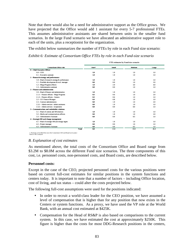Note that there would also be a need for administrative support as the Office grows. We have projected that the Office would add 1 assistant for every 5-7 professional FTEs. This assumes administrative assistants are shared between units in the smaller fund scenarios. In the large Fund scenario we have allocated an administrative support role to each of the units, plus a receptionist for the organization.

The exhibit below summarizes the number of FTEs by role in each Fund size scenario:

*Exhibit 6: Estimate of Consortium Office FTEs by role in each Fund-size scenario* 

|                                               | FTE estimates by Fund size scenario |              |        |       |  |
|-----------------------------------------------|-------------------------------------|--------------|--------|-------|--|
| <b>Consortium Office role</b>                 | Start <sup>1</sup>                  | <b>Small</b> | Medium | Large |  |
| 0 - Chief Executive Officer                   |                                     |              |        |       |  |
| $0.0 - CEO$                                   | 1.0                                 | 1.0          | 1.0    | 1.0   |  |
| $0.1 -$ Executive assistant                   | 1.0                                 | 1.0          | 1.0    | 1.0   |  |
| 1 - Research strategy and performance         |                                     |              |        |       |  |
| 1.0 - Head of research strategy & performance | 1.0                                 | 1.0          | 1.0    | 1.0   |  |
| 1.1 - Portfolio development & eval. manager   | 0.0                                 | 0.0          | 1.0    | 2.0   |  |
| 1.2 - Mega-Program officers                   | 1.0                                 | 2.0          | 3.0    | 4.0   |  |
| 1.3 - Administrative assistant                | 0.0                                 | 0.0          | 1.0    | 1.0   |  |
| 2 - Finance and administration                |                                     |              |        |       |  |
| $2.0 -$ Head of finance and administration    | 1.0                                 | 1.0          | 1.0    | 1.0   |  |
| 2.1.1 - Finance officers - Mega Programs      | 0.3                                 | 0.6          | 1.0    | 2.0   |  |
| 2.1.2 – Finance officers - Centers            | 0.3                                 | 0.6          | 1.0    | 1.0   |  |
| 2.2 - CO Finance Msnager                      | 0.4                                 | 0.8          | 1.0    | 1.0   |  |
| 2.3 - Contract administrators                 | 0.0                                 | 1.0          | 1.0    | 2.0   |  |
| 2.3.1 - Admin services - admin assistants     | 0.0                                 | 1.0          | 1.0    | 1.0   |  |
| 2.3.2 - Admin services - receptionist         | 0.0                                 | 0.0          | 0.0    | 1.0   |  |
| 3 - Communications and stakeholder relations  |                                     |              |        |       |  |
| 3.1 - Head of comms and SH relations          | 1.0                                 | 1.0          | 1.0    | 1.0   |  |
| 3.2 – Media and communications officers       | 0.0                                 | 1.0          | 1.0    | 2.0   |  |
| 3.3 - Administrative Assistant                | 0.0                                 | 0.0          | 0.5    | 1.0   |  |
| 4 - Strategic HR and change management        |                                     |              |        |       |  |
| 4.1 - Head of strategic HR and change mgmt    | 1.0                                 | 1.0          | 1.0    | 1.0   |  |
| 4.2 – Project manager                         | 0.0                                 | 0.0          | 1.0    | 1.0   |  |
| 4.3 - Administrative Assistant                | 0.0                                 | 0.0          | 0.5    | 1.0   |  |
| <b>Total</b>                                  | 8.0                                 | 13.0         | 19.0   | 26.0  |  |

1. Positions to be filled first once the Consortium CEO and Board are in place Source: BCG analysis

#### *B. Explanation of cost estimates*

As mentioned above, the total costs of the Consortium Office and Board range from \$3.2M to \$8.0M across the different Fund size scenarios. The three components of this cost, i.e. personnel costs, non-personnel costs, and Board costs, are described below.

#### **Personnel costs:**

Except in the case of the CEO, projected personnel costs for the various positions were based on current full-cost estimates for similar positions in the system functions and centers today. It is important to note that a number of factors – including Office location, cost of living, and tax status – could alter the costs projected below.

The following full-cost assumptions were used for the positions indicated:

- In order to recruit a world-class leader for the CEO position, we have assumed a level of compensation that is higher than for any position that now exists in the Centers or system functions. As a proxy, we have used the VP role at the World Bank, with an annual cost estimated at \$425K.
- Compensation for the Head of RS&P is also based on comparisons to the current system. In this case, we have estimated the cost at approximately \$250K. This figure is higher than the costs for most DDG-Research positions in the centers,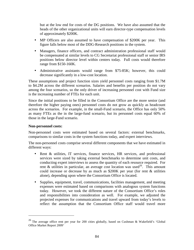but at the low end for costs of the DG positions. We have also assumed that the heads of the other organizational units will earn director-type compensation levels of approximately \$200K.

- MP Officers are also assumed to have compensation of \$200K per year. This figure falls below most of the DDG-Research positions in the system.
- Managers, finance officers, and contract administration professional staff would be compensated at similar levels to CG Secretariat professional staff or senior IRS positions below director level within centers today. Full costs would therefore range from \$150-160K.
- Administrative assistants would range from \$75-85K; however, this could decrease significantly in a low-cost location.

These assumptions and project function sizes yield personnel costs ranging from \$1.7M to \$4.2M across the different scenarios. Salaries and benefits per position do not vary among the four scenarios, so the only driver of increasing personnel cost with Fund size is the increasing number of FTEs for each unit.

Since the initial positions to be filled in the Consortium Office are the more senior (and therefore the higher paying ones) personnel costs do not grow as quickly as headcount across the scenarios. For example, in the small-Fund scenario, the Office has only 50% as many FTEs as the in the large-fund scenario, but its personnel costs equal 60% of those in the large-Fund scenario.

#### **Non-personnel costs:**

 $\overline{a}$ 

Non-personnel costs were estimated based on several factors: external benchmarks, comparisons to similar costs in the system functions today, and expert interviews.

The non-personnel costs comprise several different components that we have estimated in different ways:

- Rent & utilities, IT services, finance services, HR services, and professional services were sized by taking external benchmarks to determine unit costs, and conducting expert interviews to assess the quantity of each resource required. For rent & utilities in particular, an average cost location was used<sup>26</sup>. This amount could increase or decrease by as much as \$200K per year (for rent & utilities alone), depending upon where the Consortium Office is located.
- Supplies, equipment, travel, communications, facilities management, and meeting expenses were estimated based on comparisons with analogous system functions today. However, we took the different nature of the Consortium Office's roles and responsibilities into consideration as well. For example, we adjusted the projected expenses for communications and travel upward from today's levels to reflect the assumption that the Consortium Office staff would travel more

<sup>26</sup> The average office rent per year for 200 cities globally, based on Cushman & Wakefield's 'Global Office Market Report 2009'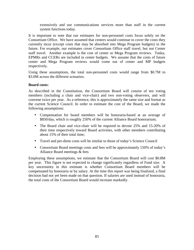extensively and use communications services more than staff in the current system functions today.

It is important to note that our estimates for non-personnel costs focus solely on the Consortium Office. We have assumed that centers would continue to cover the costs they currently incur (except costs that may be absorbed into Mega Program budgets) in the future. For example, our estimates cover Consortium Office staff travel, but not Center staff travel. Another example is the cost of center or Mega Program reviews. Today, EPMRs and CCERs are included in center budgets. We assume that the costs of future center and Mega Program reviews would come out of center and MP budgets respectively.

Using these assumptions, the total non-personnel costs would range from \$0.7M to \$3.0M across the different scenarios.

#### **Board costs:**

As described in the Constitution, the Consortium Board will consist of ten voting members (including a chair and vice-chair) and two non-voting observers, and will convene twice per year. As a reference, this is approximately the same size and format as the current Science Council. In order to estimate the cost of the Board, we made the following assumptions:

- Compensation for board members will be honoraria-based at an average of \$850/day, which is roughly 250% of the current Alliance Board honorarium;
- The Board chair and vice-chair will be required to devote 25% and 15-20% of their time respectively toward Board activities, with other members contributing about 15% of their total time;
- Travel and per-diem costs will be similar to those of today's Science Council
- Consortium Board meetings costs and fees will be approximately 150% of today's Alliance Board meetings & fees

Employing these assumptions, we estimate that the Consortium Board will cost \$0.8M per year. This figure is not expected to change significantly regardless of Fund size. A key uncertainty in this estimate is whether Consortium Board members will be compensated by honoraria or by salary. At the time this report was being finalized, a final decision had not yet been made on that question. If salaries are used instead of honoraria, the total costs of the Consortium Board would increase markedly.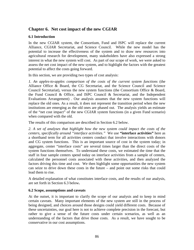# **Chapter 6. Net cost impact of the new CGIAR**

## **6.1 Introduction**

In the new CGIAR system, the Consortium, Fund and ISPC will replace the current Alliance, CGIAR Secretariat, and Science Council. While the new model has the potential to increase the effectiveness of the system and to draw new resources into agricultural research for development, many stakeholders have also expressed a strong interest in what the new system will cost. As part of our scope of work, we were asked to assess the net cost impact of the new system, and to highlight the factors with the greatest potential to affect the costs going forward.

In this section, we are providing two types of cost analysis:

*1. An apples-to-apples comparison of the costs of the current system functions* (the Alliance Office & Board, the CG Secretariat, and the Science Council and Science Council Secretariat), versus the new system functions (the Consortium Office & Board, the Fund Council & Office, and ISPC Council & Secretariat, and the Independent Evaluations Arrangement) . Our analysis assumes that the new system functions will replace the old ones. As a result, it does not represent the transition period when the new institutions are emerging as the old ones are phased out. The analysis yields an estimate of the "net cost impact" of the new CGIAR system functions (in a given Fund scenario) when compared with the old.

The results of this comparison are described in Section 6.2 below.

*2. A set of analyses that highlight how the new system could impact the costs of the centers, specifically around "interface activities."* We use **"interface activities"** here as a shorthand term for all activities centers conduct that involve interactions with donors and CG system functions. This is an important source of cost in the system today; in aggregate, center "interface costs" are several times larger than the direct costs of the system functions themselves. To understand these costs, we estimated the time that the staff in four sample centers spend today on interface activities from a sample of centers, calculated the personnel costs associated with these activities, and then analyzed the factors driving this time and cost. We then highlight some opportunities the new system can seize to drive down these costs in the future – and point out some risks that could lead them to rise.

A detailed explanation of what constitutes interface costs, and the results of our analysis, are set forth in Section 6.3 below**.** 

### **6.2 Scope, assumptions and caveats**

At the outset, it is important to clarify the scope of our analysis and to keep in mind certain caveats. Many important elements of the new system are still in the process of being designed, and choices around those designs could yield different costs. Because of these uncertainties, our goal here is not to achieve complete precision in the forecast, but rather to give a sense of the future costs under certain scenarios, as well as an understanding of the factors that drive those costs. As a result, we have sought to be conservative in our cost assumptions.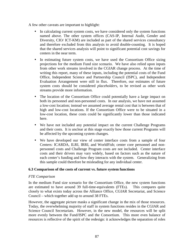A few other caveats are important to highlight:

- In calculating current system costs, we have considered only the system functions named above. The other system offices (CAS-IP, Internal Audit, Gender and Diversity, CIO/ ICT-KM) are included as part of the shared services consultancy and therefore excluded from this analysis to avoid double-counting. It is hoped that the shared services analysis will point to significant potential cost savings for centers in the near term.
- In estimating future system costs, we have used the Consortium Office sizing projections for the medium Fund size scenario. We have also relied upon inputs from other work streams involved in the CGIAR change process. At the time of writing this report, many of these inputs, including the potential costs of the Fund Office, Independent Science and Partnership Council (ISPC), and Independent Evaluation Arrangement were still in flux. Therefore, our estimates of future system costs should be considered *placeholders*, to be revised as other work streams provide more information.
- The location of the Consortium Office could potentially have a large impact on both its personnel and non-personnel costs. In our analysis, we have not assumed a low-cost location; instead we assumed average rental cost that is between that of high and low-cost locations. If the Consortium Office were to be situated in a low-cost location, these costs could be significantly lower than those indicated here.
- We have not included any potential impact on the current Challenge Programs and their costs. It is unclear at this stage exactly how those current Programs will be affected by the upcoming system changes.
- We have developed our view of center interface costs from a sample of four Centers: ICARDA, ILRI, IRRI, and WorldFish; center core personnel and nonpersonnel costs and Challenge Program costs are not included. Center interface costs and their drivers may vary widely, based on factors such as the nature of each center's funding and how they interacts with the system. Generalizing from this sample could therefore be misleading for any individual center.

### **6.3 Comparison of the costs of current vs. future system functions**

#### *FTE Comparison*

In the medium Fund size scenario for the Consortium Office, the new system functions are estimated to have around 39 full-time-equivalents (FTEs). This compares quite closely to what exists today across the Alliance Office, CGIAR Secretariat, and Science Council – which together add up to around 38 FTEs.

However, the aggregate picture masks a significant change in the mix of those resources. Today, the overwhelming majority of staff in system functions resides in the CGIAR and Science Council Secretariats. However, in the new model, the resources will be split more evenly between the Fund/ISPC and the Consortium. This more even balance of resources is reflective of the spirit of the redesign: it acknowledges the separation of roles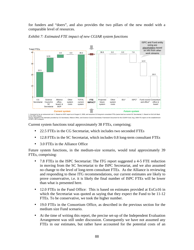for funders and "doers", and also provides the two pillars of the new model with a comparable level of resources.



*Exhibit 7: Estimated FTE impact of new CGIAR system functions* 

1. Assumed to be an outsourced cost 2. Based on ISPC report as of August 3, 2009, and assumes 0.8 long-term consultant FTEs (same level as current SC Secretariat) 3. Based on ExCo16 Back<br>Source: Baseline FTE estimates prov

Current system functions total approximately 38 FTEs, comprising;

- 22.5 FTEs in the CG Secretariat, which includes two seconded FTEs
- 12.8 FTEs in the SC Secretariat, which includes 0.8 long-term consultant FTEs
- 3.0 FTEs in the Alliance Office

Future system functions, in the medium-size scenario, would total approximately 39 FTEs, comprising:

- 7.8 FTEs in the ISPC Secretariat: The ITG report suggested a 4-5 FTE reduction in moving from the SC Secretariat to the ISPC Secretariat, and we also assumed no change to the level of long-term consultant FTEs. As the Alliance is reviewing and responding to these ITG recommendations, our current estimates are likely to prove conservative, i.e. it is likely the final number of ISPC FTEs will be lower than what is presented here.
- 12.0 FTEs in the Fund Office: This is based on estimates provided at ExCo16 in which the Secretariat was quoted as saying that they expect the Fund to be 11-12 FTEs. To be conservative, we took the higher number.
- 19.0 FTEs in the Consortium Office, as described in the previous section for the medium size Fund scenario.
- At the time of writing this report, the precise set-up of the Independent Evaluation Arrangement was still under discussion. Consequently we have not assumed any FTEs in our estimates, but rather have accounted for the potential costs of an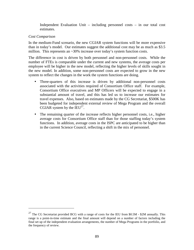Independent Evaluation Unit – including personnel costs – in our total cost estimates.

#### *Cost Comparison*

<u>.</u>

In the medium-Fund scenario, the new CGIAR system functions will be more expensive than in today's model. Our estimates suggest the additional cost may be as much as \$3.5 million. This represents an ~30% increase over today's system function costs.

The difference in cost is driven by both personnel and non-personnel costs. While the number of FTEs is comparable under the current and new systems, the average costs per employee will be higher in the new model, reflecting the higher levels of skills sought in the new model. In addition, some non-personnel costs are expected to grow in the new system to reflect the changes in the work the system functions are doing.

- Three-quarters of this increase is driven by additional non-personnel costs associated with the activities required of Consortium Office staff. For example, Consortium Office executives and MP Officers will be expected to engage in a substantial amount of travel, and this has led us to increase our estimates for travel expenses. Also, based on estimates made by the CG Secretariat, \$500K has been budgeted for independent external review of Mega Program and the overall CGIAR system by the  $IEU^{27}$ .
- The remaining quarter of the increase reflects higher personnel costs, i.e., higher average costs for Consortium Office staff than for those staffing today's system functions. In addition, average costs in the ISPC are anticipated to be higher than in the current Science Council, reflecting a shift in the mix of personnel.

<sup>&</sup>lt;sup>27</sup> The CG Secretariat provided BCG with a range of costs for the IEU from \$0.5M - \$2M annually. This range is a point-in-time estimate and the final amount will depend on a number of factors including the final set up of the independent evaluation arrangements, the number of Mega Programs in the portfolio, and the frequency of review.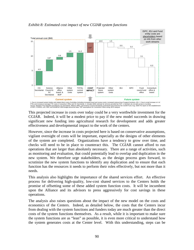

*Exhibit 8: Estimated cost impact of new CGIAR system functions* 

This projected increase in costs over today could be a very worthwhile investment for the CGIAR. Indeed, it will be a modest price to pay if the new model succeeds in drawing significant new funding into agricultural research for development and adds greater effectiveness and developmental impact to the work of the centers.

However, since the increase in costs projected here is based on conservative assumptions, vigilant oversight of costs will be important, especially as the designs of other elements of the system are completed. Organizations have a tendency to grow over time, and checks will need to be in place to counteract this. The CGIAR cannot afford to run operations that are larger than absolutely necessary. There are a range of activities, such as monitoring and evaluation, that could potentially lead to overlap and duplication in the new system. We therefore urge stakeholders, as the design process goes forward, to scrutinize the new system functions to identify any duplication and to ensure that each function has the resources it needs to perform their roles effectively, but not more than it needs.

This analysis also highlights the importance of the shared services effort. An effective process for delivering high-quality, low-cost shared services to the Centers holds the promise of offsetting some of these added system function costs. It will be incumbent upon the Alliance and its advisors to press aggressively for cost savings in these operations.

The analysis also raises questions about the impact of the new model on the costs and economics of the Centers. Indeed, as detailed below, the costs that the Centers incur from dealing with the system functions and funders today are much greater than the direct costs of the system functions themselves. As a result, while it is important to make sure the system functions are as "lean" as possible, it is even more critical to understand how the system generates costs at the Center level. With this understanding, steps can be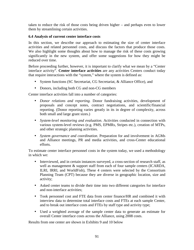taken to reduce the risk of those costs being driven higher – and perhaps even to lower them by streamlining certain activities.

### **6.4 Analysis of current center interface costs**

In this section, we describe our approach to estimating the size of center interface activities and related personnel costs, and discuss the factors that produce those costs. We also highlight some thoughts about how to manage the risk of these costs growing significantly in the new system, and offer some suggestions for how they might be reduced over time.

Before proceeding further, however, it is important to clarify what we mean by a "Center interface activity". **Center interface activities** are any activities Centers conduct today that require interactions with the "system," where the system is defined as:

- System functions (SC Secretariat, CG Secretariat, & Alliance Office), and
- Donors, including both CG and non-CG members

Center interface activities fall into a number of categories:

- *Donor relations and reporting.* Donor fundraising activities, development of proposals and concept notes, contract negotiations, and scientific/financial reporting. (Donor reporting varies greatly in its in degree of complexity, across both small and large grant sizes.)
- *System-level monitoring and evaluation*. Activities conducted in connection with various system-level reviews (e.g. PMS, EPMRs, Stripes etc.), creation of MTPs, and other strategic planning activities.
- *System governance and coordination*. Preparation for and involvement in AGMs and Alliance meetings, PR and media activities, and cross-Center educational efforts.

To estimate center interface personnel costs in the system today, we used a methodology in which we:

- Interviewed, and in certain instances surveyed, a cross-section of research staff, as well as management & support staff from each of four sample centers (ICARDA, ILRI, IRRI, and WorldFish), These 4 centers were selected by the Consortium Planning Team (CPT) because they are diverse in geographic location, size and activity;
- Asked center teams to divide their time into two different categories for interface and non-interface activities;
- Took personnel cost and FTE data from center finance/HR and combined it with interview data to determine total interface costs and FTEs at each sample Center, and to break out interface costs and FTEs by staff type and activity type;
- Used a weighted average of the sample center data to generate an estimate for overall Center interface costs across the Alliance, using 2008 costs.

Results from one center are shown in Exhibits 9 and 10 below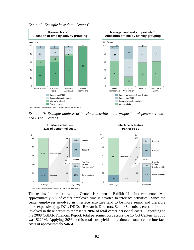

*Exhibit 9: Example base data: Center C* 





The results for the four sample Centers is shown in Exhibit 11. In these centers we, approximately **8%** of center employee time is devoted to interface activities. Since the center employees involved in interface activities tend to be more senior and therefore more expensive (e.g. DGs, DDGs - Research, Directors, Senior Scientists, etc.), their time involved in these activities represents **20%** of total center personnel costs. According to the 2008 CGIAR Financial Report, total personnel cost across the 15 CG Centers in 2008 was **\$**229M. Applying 20% to this total cost yields an estimated total center interface costs of approximately **\$46M**.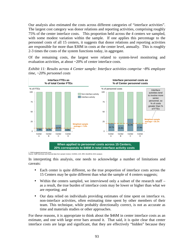Our analysis also estimated the costs across different categories of "interface activities". The largest cost category was donor relations and reporting activities, comprising roughly 75% of the center interface costs. This proportion held across the 4 centers we sampled, with some modest variation within the sample. If one applies this percentage to the personnel costs of all 15 centers, it suggests that donor relations and reporting activities are responsible for more than \$30M in costs at the center level, annually. This is roughly 2-3 times the costs of the system functions today, in aggregate.

Of the remaining costs, the largest were related to system-level monitoring and evaluation activities, at about ~20% of center interface costs.

*Exhibit 11: Results across 4 Center sample: Interface activities comprise ~8% employee time, ~20% personnel costs* 



<sup>1. 2009</sup> budgeted personnel costs Source: Staff interviews and financial data from sample Centers: ICARDA, ILRI, IRRI, WorldFish; BCG analysis

In interpreting this analysis, one needs to acknowledge a number of limitations and caveats:

- Each center is quite different, so the true proportion of interface costs across the 15 Centers may be quite different than what the sample of 4 centers suggests;
- Within the centers sampled, we interviewed only a subset of the research staff as a result, the true burden of interface costs may be lower or higher than what we are reporting; and
- Our data relied on individuals providing estimates of time spent on interface vs. non-interface activities, often estimating time spent by other members of their team. This technique, while probably directionally correct, is not as accurate as time and materials studies or other approaches.

For these reasons, it is appropriate to think about the \$46M in center interface costs as an estimate, and one with large error bars around it. That said, it is quite clear that center interface costs are large and significant, that they are effectively "hidden" because they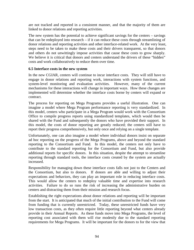are not tracked and reported in a consistent manner, and that the majority of them are linked to donor relations and reporting activities.

The new system has the potential to achieve significant savings for the centers – savings that can be redeployed into research – if it can reduce these costs through streamlining of donor relations and reporting activities and other interface-related work. At the very least, steps need to be taken to make these costs and their drivers transparent, so that donors and others do not unwittingly impose activities that cause these costs to grow sharply. We believe it is critical that donors and centers understand the drivers of these "hidden" costs and work collaboratively to reduce them over time.

#### **6.5 Interface costs in the new system**

In the new CGIAR, centers will continue to incur interface costs. They will still have to engage in donor relations and reporting work, interactions with system functions, and system-level monitoring and evaluation activities. However, many of the current mechanisms for these interactions will change in important ways. How these changes are implemented will determine whether the interface costs borne by centers will expand or contract.

The process for reporting on Mega Programs provides a useful illustration. One can imagine a model where Mega Program performance reporting is very standardized. In this model, centers who participate in a Mega Program would work with the Consortium Office to compile progress reports using standardized templates, which would then be shared with the Fund and subsequently the donors who have provided their support. In this model, the costs of donor reporting are greatly reduced; the centers still have to report their progress comprehensively, but only once and relying on a single template.

Unfortunately, one can also imagine a model where individual donors insist on separate ad hoc reporting on the progress of the Mega Programs, above and beyond the standard reporting to the Consortium and Fund. In this model, the centers not only have to contribute to the standard reporting for the Consortium and Fund, but also provide additional reports for specific donors. In this situation, despite the attempt to streamline reporting through standard tools, the interface costs created by the system are actually increased.

Responsibility for managing down these interface costs falls not just to the Centers and the Consortium, but also to donors. If donors are able and willing to adjust their expectations and behaviors, they can play an important role in reducing interface costs. This would allow the centers to redeploy valuable time and expertise into research activities. Failure to do so runs the risk of increasing the administrative burden on centers and distracting them from their mission and research focus.

Establishing the right expectations about donor relations and reporting will be important from the start. It is anticipated that much of the initial contribution to the Fund will come from funding that is currently unrestricted. Today, these unrestricted funds have very low transaction costs, as they often require little reporting beyond what centers already provide in their Annual Reports. As these funds move into Mega Programs, the level of reporting cost associated with them will rise modestly due to the standard reporting requirements for Mega Programs. It will be important for the donors to for the view that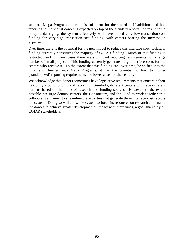standard Mega Program reporting is sufficient for their needs. If additional ad hoc reporting to individual donors is expected on top of the standard reports, the result could be quite damaging; the system effectively will have traded very low-transaction-cost funding for very-high transaction-cost funding, with centers bearing the increase in expense.

Over time, there is the potential for the new model to reduce this interface cost. Bilateral funding currently constitutes the majority of CGIAR funding. Much of this funding is restricted, and in many cases there are significant reporting requirements for a large number of small projects. This funding currently generates large interface costs for the centers who receive it. To the extent that this funding can, over time, be shifted into the Fund and directed into Mega Programs, it has the potential to lead to lighter (standardized) reporting requirements and lower costs for the centers.

We acknowledge that donors sometimes have legislative requirements that constrain their flexibility around funding and reporting. Similarly, different centers will have different burdens based on their mix of research and funding sources. However, to the extent possible, we urge donors, centers, the Consortium, and the Fund to work together in a collaborative manner to streamline the activities that generate these interface costs across the system. Doing so will allow the system to focus its resources on research and enable the donors to achieve greater developmental impact with their funds, a goal shared by all CGIAR stakeholders.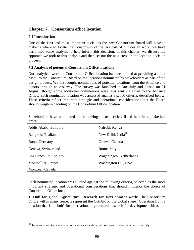# **Chapter 7. Consortium office location**

# **7.1 Introduction**

 $\overline{a}$ 

One of the first and most important decisions the new Consortium Board will have to make is where to locate the Consortium office. As part of our design work, we have performed some analysis to help inform this decision. In this chapter, we discuss the approach we took to this analysis and then set out the next steps in the location decision process.

# **7.2 Analysis of potential Consortium Office locations**

Our analytical work on Consortium Office location has been aimed at providing a ''fact base'' to the Consortium Board on the locations nominated by stakeholders as part of the design process. We first sought nominations of potential locations from the Alliance and donors through an e-survey. The survey was launched in late July and closed on 21 August, though some additional nominations were later sent via email to the Alliance Office. Each nominated location was assessed against a set of criteria, described below. These criteria reflect important strategic and operational considerations that the Board should weigh in deciding on the Consortium Office location.

Stakeholders have nominated the following thirteen cities, listed here in alphabetical order:

| Addis Ababa, Ethiopia  | Nairobi, Kenya                 |
|------------------------|--------------------------------|
| Bangkok, Thailand      | New Delhi, India <sup>28</sup> |
| Bonn, Germany          | Ottawa, Canada                 |
| Geneva, Switzerland    | Rome, Italy                    |
| Los Baños, Philippines | Wageningen, Netherlands        |
| Montpellier, France    | Washington DC, USA             |
| Montreal, Canada       |                                |

Each nominated location was filtered against the following criteria, selected as the most important strategic and operational considerations that should influence the choice of Consortium Office location.

**1. Hub for global Agricultural Research for Development work**: The Consortium Office will in many respects represent the CGIAR on the global stage. Operating from a location that is a "hub" for international agricultural research for development ideas and

<sup>28</sup> India as a country was also nominated as a location, without specification of a particular city.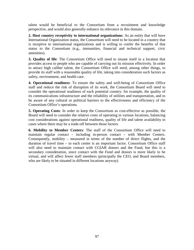talent would be beneficial to the Consortium from a recruitment and knowledge perspective, and would also generally enhance its relevance in this domain.

**2. Host country receptivity to international organizations**: As an entity that will have International Organization status, the Consortium will need to be located in a country that is receptive to international organizations and is willing to confer the benefits of that status to the Consortium (e.g., immunities, financial and technical support, civic amenities).

**3. Quality of life**: The Consortium Office will need to situate itself in a location that provides access to people who are capable of carrying out its mission effectively. In order to attract high caliber talent, the Consortium Office will need, among other things, to provide its staff with a reasonable quality of life, taking into consideration such factors as safety, environment, and health care.

**4. Operational readiness**: To ensure the safety and well-being of Consortium Office staff and reduce the risk of disruption of its work, the Consortium Board will need to consider the operational readiness of each potential country: for example, the quality of its communications infrastructure and the reliability of utilities and transportation, and to be aware of any cultural or political barriers to the effectiveness and efficiency of the Consortium Office's operations.

**5. Operating Costs**: In order to keep the Consortium as cost-effective as possible, the Board will need to consider the relative costs of operating in various locations, balancing cost considerations against operational readiness, quality of life and talent availability in cases where there may be a trade-off between those factors

**6. Mobility to Member Centers**: The staff of the Consortium Office will need to maintain regular contact – including in-person contact – with Member Centers. Consequently, mobility – measured in terms of the number of direct flights, and the duration of travel time – to each center is an important factor. Consortium Office staff will also need to maintain contact with CGIAR donors and the Fund, but this is a secondary consideration, since contact with the Fund and donors is more likely to be virtual, and will affect fewer staff members (principally the CEO, and Board members, who are likely to be situated in different locations anyway).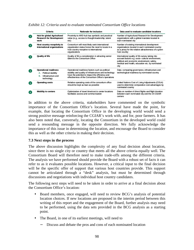|                | Criteria                                                                                            | <b>Rationale for inclusion</b>                                                                                                                                                                                      | Data used to evaluate candidate locations<br>Number of Agricultural Research for Development<br>organizations with a global mandate located in<br>each nominated city                                          |  |  |
|----------------|-----------------------------------------------------------------------------------------------------|---------------------------------------------------------------------------------------------------------------------------------------------------------------------------------------------------------------------|----------------------------------------------------------------------------------------------------------------------------------------------------------------------------------------------------------------|--|--|
|                | Hub for global Agricultural<br><b>Research for Development</b><br>work                              | Proximity to ARD hub has symbolic and practical<br>value (e.g., access to thought-leadership, talent<br>etc)                                                                                                        |                                                                                                                                                                                                                |  |  |
| $\overline{2}$ | Host country receptivity to<br>international organizations                                          | Consortium will most likely seek international<br>organization status hence the need to locate in a<br>host country receptive to international<br>organizations                                                     | Number of existing international development<br>organizations located in each nominated country<br>as a proxy for the relative attractiveness of a given<br>host country                                       |  |  |
| $\mathbf{3}$   | Quality of life                                                                                     | Quality of life a consideration in attracting senior<br>talent to the Consortium Office                                                                                                                             | International quality of life survey taking into<br>account factors e.g. socio-cultural environment,<br>political and economic environment, safety,<br>medical and health, education etc. by nominated<br>city |  |  |
|                | <b>Operational readiness</b><br>Political stability<br>А.<br>Infrastructure and<br>B.<br>technology | Operational readiness factors such as political<br>stability and quality of infrastructure and technology<br>have the potential to impact the efficiency and<br>effectiveness of the Consortium Office's operations | Data comparing governance, infrastructure and<br>technological readiness by nominated country                                                                                                                  |  |  |
| -5             | <b>Operating costs</b>                                                                              | Relative operating costs of the consortium office<br>should be kept as lean as possible                                                                                                                             | United Nations Cost of Living Adjustments (COLA)<br>used to determine comparative cost advantages by<br>nominated country                                                                                      |  |  |
| -6             | <b>Mobility to centers</b>                                                                          | Optimization of travel time/cost to center locations<br>facilitates access and communication                                                                                                                        | Data on number of direct flights and flight duration<br>between each nominated city and the 15 CGIAR<br>centers                                                                                                |  |  |

|  |  |  | Exhibit 12: Criteria used to evaluate nominated Consortium Office locations |  |
|--|--|--|-----------------------------------------------------------------------------|--|
|  |  |  |                                                                             |  |

In addition to the above criteria, stakeholders have commented on the symbolic importance of the Consortium Office's location. Several have made the point, for example, that locating the Consortium Office in the developing world would send a strong positive message reinforcing the CGIAR's work with, and for, poor farmers. It has also been noted that, conversely, locating the Consortium in the developed world could send a resounding message in the opposite direction. We fully acknowledge the importance of this issue in determining the location, and encourage the Board to consider this as well as the other criteria in making their decision.

### **7.3 Next steps in the process**

The above discussion highlights the complexity of any final decision about location, since there is no single city or country that meets all the above criteria equally well. The Consortium Board will therefore need to make trade-offs among the different criteria. The analysis we have performed should provide the Board with a robust set of facts it can refer to as it evaluates possible locations. However, a critical input to the final decision will be the specific offer of support that various host countries provide. This support cannot be articulated through a "desk" analysis, but must be determined through discussions and negotiations with individual host country candidates.

The following next steps will need to be taken in order to arrive at a final decision about the Consortium Office's location:

- Board members, once engaged, will need to review BCG's analysis of potential location choices. If new locations are proposed in the interim period between this writing of this report and the engagement of the Board, further analysis may need to be performed, using the data sets provided in the BCG analysis as a starting point.
- The Board, in one of its earliest meetings, will need to
	- Discuss and debate the pros and cons of each nominated location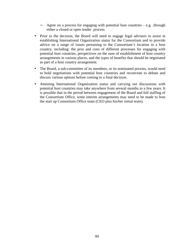- − Agree on a process for engaging with potential host countries e.g. .through either a closed or open tender process
- Prior to the decision, the Board will need to engage legal advisors to assist in establishing International Organization status for the Consortium and to provide advice on a range of issues pertaining to the Consortium's location in a host country, including: the pros and cons of different processes for engaging with potential host countries, perspectives on the ease of establishment of host country arrangements in various places, and the types of benefits that should be negotiated as part of a host country arrangement.
- The Board, a sub-committee of its members, or its nominated proxies, would need to hold negotiations with potential host countries and reconvene to debate and discuss various options before coming to a final decision.
- Attaining International Organization status and carrying out discussions with potential host countries may take anywhere from several months to a few years. It is possible that in the period between engagement of the Board and full staffing of the Consortium Office, some interim arrangements may need to be made to host the start up Consortium Office team (CEO plus his/her initial team).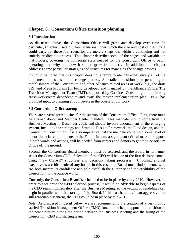# **Chapter 8. Consortium Office transition planning**

## **8.1 Introduction**

As discussed above, the Consortium Office will grow and develop over time. In particular, Chapter 5 sets out four scenarios under which the size and cost of the Office could vary, but these four scenarios are merely snapshots within a continuing and not entirely predictable process. This chapter describes some of the stages and variables in that process, covering the immediate steps needed for the Consortium Office to begin operating, and why and how it should grow from there. In addition, this chapter addresses some particular strategies and structures for managing the change process.

It should be noted that this chapter does not attempt to identify exhaustively all of the implementation steps in the change process. A detailed transition plan pertaining to establishment of the Consortium and other Alliance-related areas of work (e.g., the draft SRF and Mega Programs) is being developed and managed by the Alliance Office. The Transition Management Team (TMT), supported by Considea Consulting, is monitoring cross-workstream dependencies and owns the master implementation plan. BCG has provided input to planning at both levels in the course of our work.

### **8.2 Consortium Office startup**

There are several prerequisites for the startup of the Consortium Office. First, there must be a broad donor and Member Center mandate. This mandate should come from the Business Meeting in December 2009, and should involve endorsement of the emerging system, including the strategy and Strategic Results Framework, the Fund design, and the Consortium Constitution. It is also imperative that the mandate come with some level of donor financial commitments to the Fund. In sum, a significant critical mass of support, in both words and actions, will be needed from centers and donors to get the Consortium Office off the ground.

Second, the Consortium Board members must be selected, and the Board in turn must select the Consortium CEO. Selection of the CEO will be one of the first decisions made using "new CGIAR" structures and decision-making processes. Choosing a chief executive is a critical role of any board; in this case, the Board must find someone who can both inspire its confidence and help establish the authority and the credibility of the Consortium to the outside world.

Currently, the Consortium Board is scheduled to be in place by early 2010. However, in order to accelerate the CEO selection process, it would be advisable to begin aspects of the CEO search immediately after the Business Meeting, so the vetting of candidates can begin in parallel with the start-up of the Board. If this can be done, in an aggressive but still reasonable scenario, the CEO could be in place by mid-2010.

*Note*: As discussed in detail below, we are recommending the creation of a very lightly staffed Transition Management Office (TMO) function to help support the transition to the new structure during the period between the Business Meeting and the hiring of the Consortium CEO and starting team.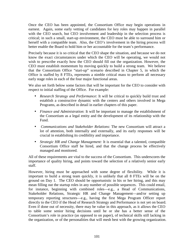Once the CEO has been appointed, the Consortium Office may begin operations in earnest. Again, some early vetting of candidates for key roles may happen in parallel with the CEO search, but CEO involvement and leadership in the selection process is critical; in such a small, start-up environment, the CEO must be able to surround him or herself with a compatible team. Also, the CEO's involvement in the hiring process will better enable the Board to hold him or her accountable for the team's performance.

Precisely because it is so critical that the CEO shape the situation, and because we do not know the exact circumstances under which the CEO will be operating, we would not wish to prescribe exactly how the CEO should fill out the organization. However, the CEO must establish momentum by moving quickly to build a strong team. We believe that the Consortium Office "start-up" scenario described in Chapter 5, in which the Office is staffed by 8 FTEs, represents a nimble critical mass to perform all necessary early stage roles in each of the four major functional areas.

We also set forth below some factors that will be important for the CEO to consider with respect to initial staffing of the Office. For example:

- *Research Strategy and Performance*: It will be critical to quickly build trust and establish a constructive dynamic with the centers and others involved in Mega Programs, as described in detail in earlier chapters of this paper.
- *Finance and Administration*: It will be important to manage the establishment of the Consortium as a legal entity and the development of its relationship with the Fund.
- *Communications and Stakeholder Relations*: The new Consortium will attract a lot of attention, both internally and externally, and its early responses will be crucial in establishing its credibility and importance.
- *Strategic HR and Change Management:* It is essential that a talented, compatible Consortium Office staff be hired, and that the change process be effectively managed and monitored.

All of these requirements are vital to the success of the Consortium. This underscores the importance of quality hiring, and points toward the selection of a relatively senior early staff.

However, hiring must be approached with some degree of flexibility. While it is important to build a strong team quickly, it is unlikely that all 8 FTEs will be on the ground on Day 1. The CEO should be opportunistic in his or her hiring, and this may mean filling out the startup roles in any number of possible sequences. This could entail, for instance, beginning with combined roles—e.g., a Head of Communications, Stakeholder Relations, Strategic HR and Change Management—and/or setting up temporary reporting structures—e.g., having the first Mega Program Officer report directly to the CEO if the Head of Research Strategy and Performance is not yet on board. Even if done out of necessity, there may be value in this approach, as it allows the CEO to table some senior hiring decisions until he or she has a better sense of the Consortium's role in practice (as opposed to on paper), of technical skills still lacking in the organization, or of the personalities that will mesh best with the growing organization.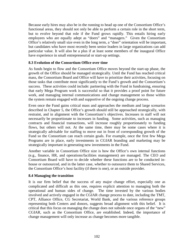Because early hires may also be in the running to head up one of the Consortium Office's functional areas, they should not only be able to perform a certain role in the short term, but to evolve beyond that role if the Fund grows rapidly. This entails hiring early employees who are equally adept as "doers" and "managers." Given the Consortium Office's relatively small size even in the long term, a "doer" orientation will be important, but candidates who have most recently been senior leaders in large organizations can add particular value. It will also be a plus if at least some members of the inaugural Office have experience in small entrepreneurial or start-up settings.

### **8.3 Evolution of the Consortium Office over time**

As funds begin to flow and the Consortium Office moves beyond the start-up phase, the growth of the Office should be managed strategically. Until the Fund has reached critical mass, the Consortium Board and Office will have to prioritize their activities, focusing on those tasks that contribute most significantly to the Fund's growth and the Consortium's success. These activities could include: partnering with the Fund in fundraising, ensuring that early Mega Program work is successful so that it provides a proof point for future work, and managing internal communications and change management so those within the system remain engaged with and supportive of the ongoing change process.

Even once the Fund gains critical mass and approaches the medium and large scenarios described in Chapter 5, the Office's growth should still be approached strategically, with restraint, and in alignment with the Consortium's objectives. Increases in staff will not necessarily be proportionate to increases in funding. Some activities, such as managing contracts and financial transactions, will increase roughly proportionately to funding flows, but others will not. At the same time, there may be some cases where it is strategically advisable for staffing to move out in front of corresponding growth of the Fund so the Consortium can reach certain goals. For example, once the first few Mega Programs are in place, early investments in CGIAR branding and marketing may be strategically important in generating new investments in the Fund.

Another variable in Consortium Office size is how the Office's own internal functions (e.g., finance, HR, and operations/facilities management) are managed. The CEO and Consortium Board will have to decide whether these functions are to be conducted inhouse or outsourced, and in the latter case, whether to outsource them to Shared Services, the Consortium Office's host facility (if there is one), or an outside provider.

### **8.4 Managing the transition**

It is our firm belief that the success of any major change effort, especially one as complicated and difficult as this one, requires explicit attention to managing both the operational and human sides of change. The time invested by the various bodies involved and actively engaged in the CGIAR change process to date, including the TMT, CPT, Alliance Office, CG Secretariat, World Bank, and the various reference groups representing both Centers and donors, suggests broad alignment with this belief. It is critical that this focus on managing the change does not subside once organs of the "new" CGIAR, such as the Consortium Office, are established. Indeed, the importance of change management will only increase as change becomes more tangible.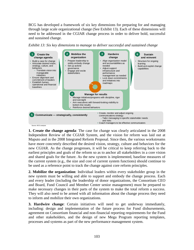BCG has developed a framework of six key dimensions for preparing for and managing through large scale organizational change (See Exhibit 13). Each of these dimensions will need to be addressed in the CGIAR change process in order to deliver bold, successful and sustained change.



*Exhibit 13: Six key dimensions to manage to deliver successful and sustained change* 

**1. Create the change agenda**: The case for change was clearly articulated in the 2008 Independent Review of the CGIAR System, and the vision for reform was laid out at Maputo and in the 2008 Integrated Reform Proposal. Since then, the various workstreams have more concretely described the desired vision, strategy, culture and behaviors for the new CGIAR. As the change progresses, it will be critical to keep referring back to the earliest principles and goals of the reform so as to anchor all stakeholders in a core vision and shared goals for the future. As the new system is implemented, baseline measures of the current system (e.g., the size and cost of current system functions) should continue to be used as a reference point to track the change against core reform principles.

**2. Mobilize the organization**: Individual leaders within every stakeholder group in the new system must be willing and able to support and embody the change process. Each and every leader (including the leadership of donor organizations, the Consortium CEO and Board, Fund Council and Member Center senior management) must be prepared to make necessary changes in their parts of the system to make the total reform a success. They will also need to be armed with all information about the change process they need to inform and mobilize their own organizations.

**3. Hardwire change**: Certain initiatives will need to get underway immediately, including: design and implementation of the future process for Fund disbursements, agreement on Consortium financial and non-financial reporting requirements for the Fund and other stakeholders, and the design of new Mega Program reporting templates, processes and systems as part of the new performance management system.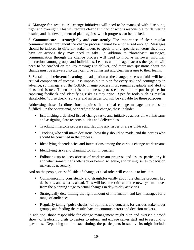**4. Manage for results**: All change initiatives will need to be managed with discipline, rigor and oversight. This will require clear definition of who is responsible for delivering results, and the development of plans against which progress can be tracked.

**5. Communicate – strategically and consistently**: The importance of clear, regular communication throughout the change process cannot be emphasized enough. Messages should be tailored to different stakeholders to speak to any specific concerns they may have or actions they may need to take. In addition to "broadcast" messages, communication through the change process will need to involve narrower, informal, interactions among groups and individuals. Leaders and managers across the system will need to be coached on the key messages to deliver, and their own questions about the change must be answered so they can give consistent and clear messages to their teams.

**6. Sustain and reinvent**: Learning and adaptation as the change process unfolds will be a critical component of success. It is impossible to plan for every risk and contingency in advance, so managers of the CGIAR change process must remain adaptable and alert to risks and issues. To ensure this nimbleness, processes need to be put in place for capturing feedback and identifying risks as they arise. Specific tools such as regular stakeholder "pulse check" surveys and an issues log will be valuable for these purposes.

Addressing these six dimensions requires that critical change management roles be fulfilled. On the operational, or "hard," side of change, these include:

- Establishing a detailed list of change tasks and initiatives across all workstreams and assigning clear responsibilities and deliverables.
- Tracking milestone progress and flagging any issues or areas off-track.
- Tracking who will make decisions, how they should be made, and the parties who should be consulted in the process.
- Identifying dependencies and interactions among the various change workstreams.
- Identifying risks and planning for contingencies.
- Following up to keep abreast of workstream progress and issues, particularly if and when something is off-track or behind schedule, and raising issues to decision makers as necessary.

And on the people, or "soft" side of change, critical roles will continue to include:

- Communicating consistently and straightforwardly about the change process, key decisions, and what is ahead. This will become critical as the new system moves from the planning stage to actual changes in day-to-day activities
- Strategically determining the right amount of information and key messages for a range of audiences.
- Regularly taking "pulse checks" of opinions and concerns for various stakeholder groups, and feeding the results back to communicators and decision makers.

In addition, those responsible for change management might plan and oversee a "road show" of leadership visits to centers to inform and engage center staff and to respond to questions. Depending on the exact timing, the participants in such visits might include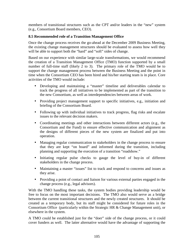members of transitional structures such as the CPT and/or leaders in the "new" system (e.g., Consortium Board members, CEO).

#### **8.5 Recommended role of a Transition Management Office**

Once the change process receives the go-ahead at the December 2009 Business Meeting, the existing change management structures should be evaluated to assess how well they will be able to support both the "hard" and "soft" sides of change.

Based on our experience with similar large-scale transformations, we would recommend the creation of a Transition Management Office (TMO) function supported by a small number of full-time staff (likely 2 to 3). The primary role of the TMO would be to support the change management process between the Business Meeting and the point in time when the Consortium CEO has been hired and his/her starting team is in place. Core activities of the TMO would include:

- Developing and maintaining a "master" timeline and deliverables calendar to track the progress of all initiatives to be implemented as part of the transition to the new Consortium, as well as interdependencies between areas of work.
- Providing project management support to specific initiatives, e.g., initiation and briefing of the Consortium Board.
- Following up with individual initiatives to track progress, flag risks and escalate issues to the relevant decision makers.
- Coordinating meetings and other interactions between different actors (e.g., the Consortium and the Fund) to ensure effective communication and alignment as the designs of different pieces of the new system are finalized and put into operation.
- Managing regular communication to stakeholders in the change process to ensure that they are kept "on board" and informed during the transition, including planning and supporting the execution of a transition "roadshow."
- Initiating regular pulse checks to gauge the level of buy-in of different stakeholders in the change process.
- Maintaining a master "issues" list to track and respond to concerns and issues as they arise.
- Providing a point of contact and liaison for various external parties engaged in the change process (e.g., legal advisors).

With the TMO handling these tasks, the system bodies providing leadership would be free to focus on the most important decisions. The TMO also would serve as a bridge between the current transitional structures and the newly created structures. It should be created as a temporary body, but its staff might be considered for future roles in the Consortium Office (particularly within the Strategic HR & Change Management unit), or elsewhere in the system.

A TMO could be established just for the "doer" side of the change process, or it could cover funders as well. The latter alternative would have the advantage of supporting the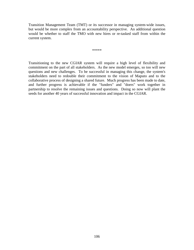Transition Management Team (TMT) or its successor in managing system-wide issues, but would be more complex from an accountability perspective. An additional question would be whether to staff the TMO with new hires or re-tasked staff from within the current system.

\*\*\*\*\*

Transitioning to the new CGIAR system will require a high level of flexibility and commitment on the part of all stakeholders. As the new model emerges, so too will new questions and new challenges. To be successful in managing this change, the system's stakeholders need to redouble their commitment to the vision of Maputo and to the collaborative process of designing a shared future. Much progress has been made to date, and further progress is achievable if the "funders" and "doers" work together in partnership to resolve the remaining issues and questions. Doing so now will plant the seeds for another 40 years of successful innovation and impact in the CGIAR.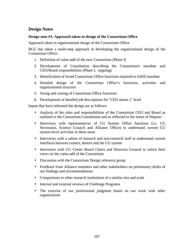# **Design Notes**

#### **Design note #1: Approach taken in design of the Consortium Office**

Approach taken in organizational design of the Consortium Office

BCG has taken a multi-step approach in developing the organizational design of the Consortium Office:

- 1. Definition of value-add of the new Consortium (Phase I)
- 2. Development of Constitution describing the Consortium's mandate and CEO/Board responsibilities (Phase I, ongoing)
- 3. Identification of broad Consortium Office functions required to fulfill mandate
- 4. Detailed design of the Consortium Office's functions, activities and organizational structure
- 5. Sizing and costing of Consortium Office functions
- 6. Development of detailed job descriptions for "CEO minus 1" level

Inputs that have informed the design are as follows:

- Analysis of the roles and responsibilities of the Consortium CEO and Board as outlined in the Consortium Constitution and as reflected in the intent of Maputo
- Interviews with representatives of CG System Office functions (i.e. CG Secretariat, Science Council and Alliance Office) to understand current CG system-level activities in these areas
- Interviews with a subset of research and non-research staff to understand current interfaces between centers, donors and the CG system
- Interviews with CG Center Board Chairs and Directors General to solicit their views on the value-add of the Consortium
- Discussion with the Consortium Design reference group
- Feedback from Alliance members and other stakeholders on preliminary drafts of our findings and recommendations
- Comparisons to other research institutions of a similar size and scale
- Internal and external reviews of Challenge Programs
- The exercise of our professional judgment based on our work with other organizations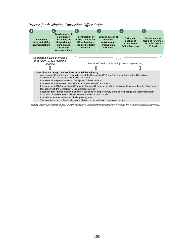



1.Staff fom "case study" centers approved by the CPT to represent a cross section of CG centers by georgaphy, size and type of research are IRRI, ILRI, WorldFish and ICARDA 2. Interviews<br>carried out in Phase I of the Cons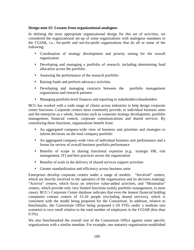### **Design note #2: Lessons from organizational analogues**

In defining the most appropriate organizational design for this set of activities, we considered the organizational set-up of some organizations with analogous mandates to the CGIAR, i.e., for-profit and not-for-profit organizations that do all or some of the following:

- Coordination of strategy development and priority setting for the overall organization
- Developing and managing a portfolio of research, including determining fund allocation across the portfolio
- Assessing the performance of the research portfolio
- Raising funds and perform advocacy activities
- Developing and managing contracts between the portfolio management organization and research partners
- Managing portfolio-level finances and reporting to stakeholders/shareholders

BCG has worked with a wide range of clients across industries to help design corporate center functions. Corporate centers most commonly provide, to individual business units and the enterprise as a whole, functions such as corporate strategy development, portfolio management, financial control, corporate communications and shared services. By centralizing these functions, organizations benefit from:

- An aggregated company-wide view of business unit priorities and strategies to inform decisions on the total company portfolio
- An aggregated company-wide view of individual business unit performance and a forum for review of overall business portfolio performance
- Benefits of scope in sharing functional expertise (e.g.. strategic HR, risk management, IT) and best practices across the organization
- Benefits of scale in the delivery of shared services support activities
- Greater standardization and efficiency across business units

Enterprises develop corporate centers under a range of models: "Involved" centers, which are heavily involved in the operation of the organization and its decision making); "Activist" centers, which focus on selective value-added activities, and "Minimalist" centers, which provide only very limited functions (solely portfolio management, in most cases). BCG's Corporate Center database indicates that even the leanest financial holding companies contain centers of 15-20 people (excluding shared services), which is consistent with the model being proposed for the Consortium. In addition, relative to benchmarks, the Consortium Office being proposed  $(\sim 20$  FTEs under a medium size scenario) is very small relative to the total number of employees in the CGIAR (less than  $0.5\%$ ).

We also benchmarked the overall size of the Consortium Office against some specific organizations with a similar mandate. For example, one statutory organization established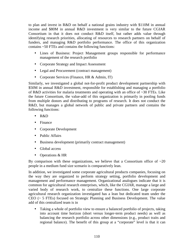to plan and invest in R&D on behalf a national grains industry with \$110M in annual income and \$80M in annual R&D investment is very similar to the future CGIAR Consortium in that it does not conduct R&D itself, but rather adds value through identifying research priorities, allocating of resources to research partners on behalf of funders, and managing R&D portfolio performance. The office of this organization contains ~50 FTEs and contains the following functions:

- Lines of Business: Project Management groups responsible for performance management of the research portfolio
- Corporate Strategy and Impact Assessment
- Legal and Procurement (contract management)
- Corporate Services (Finance, HR & Admin, IT)

Similarly, we investigated a global not-for-profit product development partnership with \$50M in annual R&D investment, responsible for establishing and managing a portfolio of R&D activities for malaria treatments and operating with an office of ~30 FTEs. Like the future Consortium, the value-add of this organization is primarily in pooling funds from multiple donors and distributing to programs of research. It does not conduct the R&D, but manages a global network of public and private partners and contains the following functions:

- R&D
- Finance
- Corporate Development
- Public Affairs
- Business development (primarily contract management)
- Global access
- Operations & HR

By comparison with these organizations, we believe that a Consortium office of  $\sim 20$ people in a medium fund size scenario is comparatively lean.

In addition, we investigated some corporate agricultural products companies, focusing on the way they are organized to perform strategy setting, portfolio development and management and performance management. Organizational analogues indicate that it is common for agricultural research enterprises, which, like the CGIAR, manage a large and varied body of research work, to centralize these functions. One large corporate agricultural research organization investigated has a lean but dedicated team under the CEO (~ 5 FTEs) focused on Strategic Planning and Business Development. The value add of this centralized team is in

• Taking a whole of portfolio view to ensure a balanced portfolio of projects, taking into account time horizon (short versus longer-term product needs) as well as balancing the research portfolio across other dimensions (e.g., product traits and regional balance). The benefit of this group at a "corporate" level is that it can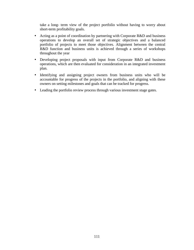take a long- term view of the project portfolio without having to worry about short-term profitability goals.

- Acting as a point of coordination by partnering with Corporate R&D and business operations to develop an overall set of strategic objectives and a balanced portfolio of projects to meet those objectives. Alignment between the central R&D function and business units is achieved through a series of workshops throughout the year
- Developing project proposals with input from Corporate R&D and business operations, which are then evaluated for consideration in an integrated investment plan.
- Identifying and assigning project owners from business units who will be accountable for progress of the projects in the portfolio, and aligning with these owners on setting milestones and goals that can be tracked for progress.
- Leading the portfolio review process through various investment stage gates.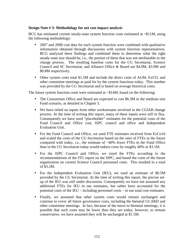### **Design Note # 3: Methodology for net cost impact analysis**

BCG has estimated current steady-state system function costs estimated at ~\$11M, using the following methodology:

- 2007 and 2008 cost data for each system function were combined with qualitative information obtained through discussions with system function representatives. BCG analyzed these findings and combined them to determine what the right steady-state size should be, i.e., the portion of these that was not attributable to the change process. The resulting baseline costs for the CG Secretariat, Science Council and SC Secretariat, and Alliance Office & Board are \$4.9M, \$3.9M and \$0.8M respectively.
- Other system costs total \$1.5M and include the direct costs of AGM, ExCO, and other committee meetings as paid for by the system functions today. This number was provided by the CG Secretariat and is based on average historical costs.

The future system function costs were estimated at  $\sim$ \$14M, based on the following:

- The Consortium Office and Board are expected to cost \$6.3M in the medium size Fund scenario, as detailed in Chapter 5.
- We have relied on inputs from other workstreams involved in the CGIAR change process. At the time of writing this report, many of these inputs were still in flux. Consequently we have used "placeholder" estimates for the potential costs of the Fund Council and Office cost, ISPC council and office and Independent Evaluation Unit.
- For the Fund Council and Office, we used FTE estimates received from ExCo16 and scaled the costs of the CG Secretariat based on the ratio of FTEs in the future compared with today, i.e., the estimate of  $~40\%$  fewer FTEs in the Fund Office than in the CG Secretariat today would reduce costs by roughly 40% or \$3.1M.
- For the ISPC Council and Office, we sized the FTEs according to the recommendations of the ITG report on the ISPC, and based the costs of the future organization on current Science Council personnel costs. This resulted in a total of \$3.2M.
- For the Independent Evaluation Unit (IEU), we used an estimate of \$0.5M provided by the CG Secretariat. At the time of writing this report, the precise setup of the IEU was still under discussion. Consequently we have not assumed any additional FTEs for IEU in our estimates, but rather have accounted for the potential costs of the IEU – including personnel costs – in our total cost estimates.
- Finally, we assumed that other system costs would remain unchanged and continue to cover all future governance costs, including the biennial GCARD and other committee meetings. In fact, because of the move to biennial meetings, it is possible that such costs may be lower than they are today; however, to remain conservative, we have assumed they will be unchanged at \$1.5M.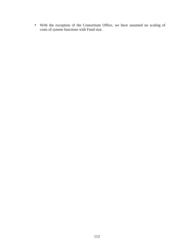• With the exception of the Consortium Office, we have assumed no scaling of costs of system functions with Fund size.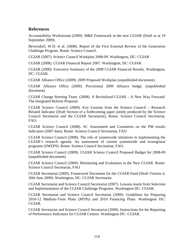## **References**

Accountability Workstream (2009). M&E Framework in the new CGIAR (Draft as at 19 September 2009).

Beversdorf, W.D. et al. (2008). Report of the First External Review of the Generation Challenge Program. Rome: Science Council.

CGIAR (2007). Science Council Workplan 2008-09. Washington, DC: CGIAR

CGIAR (2008). CGIAR Financial Report 2007. Washington, DC: CGIAR

CGIAR (2000). Executive Summary of the 2008 CGIAR Financial Results. Washington, DC: CGIAR.

CGIAR Alliance Office (2009). 2009 Proposed Workplan (unpublished document).

CGIAR Alliance Office (2009). Provisional 2009 Alliance budge. (unpublished document).

CGIAR Change Steering Team. (2008). A Revitalized CGIAR – A New Way Forward: The Integrated Reform Proposal.

CGIAR Science Council (2009). Key Lessons from the Science Council – Research Related Indicator (Draft Section of a forthcoming paper jointly produced by the Science Council Secretariat and the CGIAR Secretariat). Rome: Science Council Secretariat, FAO.

CGIAR Science Council (2008). SC Assessment and Comments on the PM results Indicators (2007 data). Rome: Science Council Secretariat, FAO

CGIAR Science Council (2008). The role of systemwide initiatives in implementing the CGIAR's research agenda: An assessment of current systemwide and ecoregional programs (SWEPS). Rome: Science Council Secretariat, FAO.

CGIAR Science Council (2009). CGIAR Science Council Proposed Budget for 2008-09 (unpublished document).

CGIAR Science Council (2009). Monitoring and Evaluation in the New CGIAR. Rome: Science Council Secretariat, FAO

CGIAR Secretariat (2009). Framework Document for the CGIAR Fund (Draft Version 4, 26th June 2009). Washington, DC: CGIAR Secretariat.

CGIAR Secretariat and Science Council Secretariat (2007). Lessons learnt from Selection and Implementation of the CGIAR Challenge Programs. Washington DC: CGIAR.

CGIAR Secretariat and Science Council Secretariat (2009). Guidelines for Preparing 2010-12 Medium-Term Plans (MTPs) and 2010 Financing Plans. Washington DC: CGIAR.

CGIAR Secretariat and Science Council Secretariat (2009). Instructions for the Reporting of Performance Indicators for CGIAR Centers. Washington DC: CGIAR.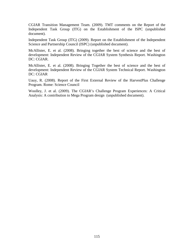CGIAR Transition Management Team. (2009). TMT comments on the Report of the Independent Task Group (ITG) on the Establishment of the ISPC (unpublished document).

Independent Task Group (ITG) (2009). Report on the Establishment of the Independent Science and Partnership Council (ISPC) (unpublished document).

McAllister, E. et al. (2008). Bringing together the best of science and the best of development: Independent Review of the CGIAR System Synthesis Report. Washington DC: CGIAR.

McAllister, E. et al. (2008). Bringing Together the best of science and the best of development: Independent Review of the CGIAR System Technical Report. Washington DC: CGIAR

Uauy, R. (2008). Report of the First External Review of the HarvestPlus Challenge Program. Rome: Science Council

Woolley, J. et al. (2009). The CGIAR's Challenge Program Experiences: A Critical Analysis: A contribution to Mega Program design (unpublished document).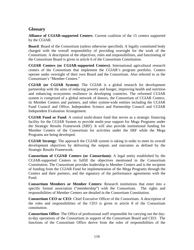## **Glossary**

**Alliance of CGIAR-supported Centers**: Current coalition of the 15 centers supported by the CGIAR.

**Board**: Board of the Consortium (unless otherwise specified). A legally constituted body charged with the overall responsibility of providing oversight for the work of the Consortium. A description of the objectives, roles and responsibilities, and functioning of the Consortium Board is given in article 6 of the Consortium Constitution.

**CGIAR Centers (or CGIAR-supported Centers)**: International agricultural research centers of the Consortium that implement the CGIAR's program portfolio. Centers operate under oversight of their own Board and the Consortium. Also referred to as the Consortium's "Member Centers."

**CGIAR (or CGIAR System)**: The CGIAR is a global research for development partnership with the aims of reducing poverty and hunger, improving health and nutrition and enhancing ecosystems resilience in developing countries. The reformed CGIAR system is comprised of a global network of donors, the Consortium of CGIAR Centers, its Member Centers and partners, and other system-wide entities including the CGIAR Fund Council and Office, Independent Science and Partnership Council and CGIAR Independent Evaluation Arrangement.

**CGIAR Fund or Fund**: A central multi-donor fund that serves as a strategic financing facility for the CGIAR System to provide multi-year support for Mega Programs under the Strategic Results Framework (SRF). It will also provide institutional funding for Member Centers of the Consortium for activities under the SRF while the Mega Programs are being developed.

**CGIAR Strategy**: The approach the CGIAR system is taking in order to meet its overall development objectives by delivering the outputs and outcomes as defined by the Strategic Results Framework.

**Consortium of CGIAR Centers (or Consortium):** A legal entity established by the CGIAR-supported Centers to fulfill the objectives mentioned in the Consortium Constitution. The Consortium provides leadership to Member Centers and is the recipient of funding from the CGIAR Fund for implementation of the Mega Programs through the Centers and their partners, and the signatory of the performance agreements with the Fund.

**Consortium Members or Member Centers**: Research institutions that enter into a specific formal association ("membership") with the Consortium. The rights and responsibilities of Member Centers are detailed in the Consortium Constitution.

**Consortium CEO or CEO**: Chief Executive Officer of the Consortium. A description of the roles and responsibilities of the CEO is given in article 8 of the Consortium constitution.

**Consortium Office**: The Office of professional staff responsible for carrying out the dayto-day operations of the Consortium in support of the Consortium Board and CEO. The functions of the Consortium Office derive from the roles of responsibilities of the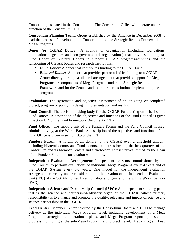Consortium, as stated in the Constitution. The Consortium Office will operate under the direction of the Consortium CEO.

**Consortium Planning Team:** Group established by the Alliance in December 2008 to lead the process of developing the Consortium and the Strategic Results Framework and Mega-Programs.

**Donor** (or **CGIAR Donor**): A country or organization (including foundations, multinational agencies and non-governmental organizations) that provides funding (as Fund Donor or Bilateral Donor) to support CGIAR programs/activities and the functioning of CGIAR bodies and research institutions.

- *Fund Donor:* A donor that contributes funding to the CGIAR Fund.
- *Bilateral Donor:* A donor that provides part or all of its funding to a CGIAR Center directly, through a bilateral arrangement that provides support for Mega Programs or components of Mega Programs under the Strategic Results Framework and for the Centers and their partner institutions implementing the programs.

**Evaluation**: The systematic and objective assessment of an on-going or completed project, program or policy, its design, implementation and results.

**Fund Council**: The decision-making body for the CGIAR Fund acting on behalf of the Fund Donors. A description of the objectives and functions of the Fund Council is given in section B.4 of the Fund Framework Document (FFD).

**Fund Office**: The support unit of the Funders Forum and the Fund Council housed, administratively, at the World Bank. A description of the objectives and functions of the Fund Office is given in section B.5 of the FFD.

**Funders Forum**: A forum of all donors to the CGIAR over a threshold amount, including bilateral donors and Fund donors, countries hosting the headquarters of the Consortium and its Member Centers and stakeholder representatives invited by the Chair of the Funders Forum in consultation with donors.

**Independent Evaluation Arrangement:** Independent assessors commissioned by the Fund Council to perform evaluations of individual Mega Programs every 4 years and of the CGIAR System every 5-6 years. One model for the independent evaluation arrangement currently under consideration is the creation of an Independent Evaluation Unit (IEU) of the CGIAR housed by a multi-lateral organization (e.g. IEG World Bank or IFAD).

**Independent Science and Partnership Council (ISPC)**: An independent standing panel that is the science and partnerships-advisory organ of the CGIAR, whose primary responsibility is to enhance and promote the quality, relevance and impact of science and science partnerships in the CGIAR.

**Lead Center:** Member Center selected by the Consortium Board and CEO to manage delivery at the individual Mega Program level, including development of a Mega Program's strategic and operational plans, and Mega Program reporting based on progress monitoring at the sub-Mega Program (e.g. project) level. Mega Program Lead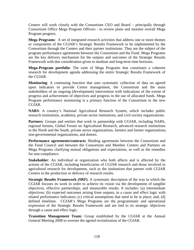Centers will work closely with the Consortium CEO and Board – principally through Consortium Office Mega Program Officers - to review plans and monitor overall Mega Program progress.

**Mega Programs**: A set of integrated research activities that address one or more themes or components of the CGIAR's Strategic Results Framework to be implemented by the Consortium through the Centers and their partner institutions. They are the subject of the program performance agreements between the Consortium and the Fund. Mega Programs are the key delivery mechanism for the outputs and outcomes of the Strategic Results Framework with due consideration given to medium and long-term time horizons.

**Mega-Program portfolio**: The suite of Mega Programs that constitutes a coherent research for development agenda addressing the entire Strategic Results Framework of the CGIAR.

**Monitoring**: A continuing function that uses systematic collection of data on agreed upon indicators to provide Centre management, the Consortium and the main stakeholders of an ongoing (development) intervention with indications of the extent of progress and achievement of objectives and progress in the use of allocated funds. Mega Program performance monitoring is a primary function of the Consortium in the new CGIAR.

**NARS**: A country's National Agricultural Research System, which includes public research institutions, academia, private sector institutions, and civil society organizations.

**Partners**: Groups and entities that work in partnership with CGIAR, including NARS, regional forums, Global Forum on Agricultural Research, advanced research institutions in the North and the South, private sector organizations, farmers and farmer organizations, non-governmental organizations, and donors.

**Performance agreements/contracts**: Binding agreements between the Consortium and the Fund Council and between the Consortium and Member Centers and Partners on Mega Programs clarifying mutual obligations and expectations, as well as the remedies for non-compliance.

**Stakeholder**: An individual or organization who both affects and is affected by the actions of the CGIAR, including beneficiaries of CGIAR research and those involved in agricultural research for development, such as the institutions that partner with CGIAR Centers in the production or delivery of research results.

**Strategic Results Framework (SRF)**: A systematic description of the way in which the CGIAR focuses its work in order to achieve its vision via the development of tangible objectives, effective partnerships, and measurable results. It includes: (a) intermediate objectives; (b) expected outcomes arising from outputs, in a cause and effect logic with related performance indicators; (c) critical assumptions that need to be in place; and, (d) defined timelines. CGIAR's Mega Programs are the programmatic and operational expression of the Strategic Results Framework and are tied to its strategic objectives through a cause and effect logic.

**Transition Management Team:** Group established by the CGIAR at the Annual General Meeting 2008 to oversee the agreed revitalization of the CGIAR.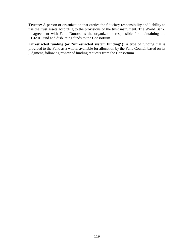**Trustee**: A person or organization that carries the fiduciary responsibility and liability to use the trust assets according to the provisions of the trust instrument. The World Bank, in agreement with Fund Donors, is the organization responsible for maintaining the CGIAR Fund and disbursing funds to the Consortium.

**Unrestricted funding (or "unrestricted system funding")**: A type of funding that is provided to the Fund as a whole, available for allocation by the Fund Council based on its judgment, following review of funding requests from the Consortium.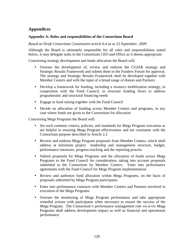# **Appendices**

### **Appendix A: Roles and responsibilities of the Consortium Board**

*Based on Draft Consortium Constitution article 6.4 as at 23 September, 2009* 

Although the Board is ultimately responsible for all roles and responsibilities stated below, it may delegate tasks to the Consortium CEO and Office as it deems appropriate.

Concerning strategy development and funds allocation the Board will:

- Oversee the development of, review and endorse the CGIAR strategy and Strategic Results Framework and submit them to the Funders Forum for approval. The strategy and Strategic Results Framework shall be developed together with Member Centers and with the input of a broad range of donors and Partners
- Develop a framework for funding, including a resource mobilization strategy, in cooperation with the Fund Council, to structure funding flows to address programmatic and structural financing needs
- Engage in fund raising together with the Fund Council
- Decide on allocation of funding across Member Centers and programs, in any case where funds are given to the Consortium for allocation

Concerning Mega Programs the Board will:

- Set such common criteria, policies, and standards for Mega Program execution as are helpful in ensuring Mega Program effectiveness and are consistent with the Consortium purpose described in Article 2.2
- Review and endorse Mega Program proposals from Member Centers, which shall address at minimum project leadership and management structure, budget, performance measures, progress-tracking and the reporting process
- Submit proposals for Mega Programs and the allocation of funds across Mega Programs to the Fund Council for consideration, taking into account proposals submitted to the Consortium by Member Centers. Enter into performance agreements with the Fund Council for Mega Program implementation
- Review and authorize fund allocation within Mega Programs, on the basis of proposals submitted by Mega Program participants
- Enter into performance contracts with Member Centers and Partners involved in execution of the Mega Programs
- Oversee the monitoring of Mega Program performance and take appropriate remedial actions with participants when necessary to ensure the success of the Mega Program. The Consortium's performance management role vis-à-vis Mega Programs shall address development impact as well as financial and operational performance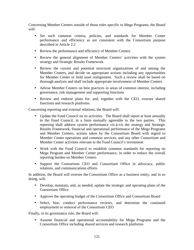Concerning Member Centers outside of those roles specific to Mega Programs, the Board will:

- Set such common criteria, policies, and standards for Member Center performance and efficiency as are consistent with the Consortium purpose described in Article 2.2
- Review the performance and efficiency of Member Centers
- Review the general alignment of Member Centers' activities with the system strategy and Strategic Results Framework
- Review the current and potential structural organizations of and among the Member Centers, and decide on appropriate actions including any opportunities for Member Center or field asset realignment. Such a review shall be based on thorough analysis and shall include appropriate involvement of Member Centers
- Advise Member Centers on best practices in areas of common interest, including governance, risk management and supporting functions
- Review and endorse plans for, and, together with the CEO, oversee shared functions and research platforms

Concerning reporting and external relations, the Board will:

- Update the Fund Council on its activities. The Board shall report at least annually to the Fund Council, in a form mutually agreeable to the two parties. This reporting shall address system performance vis-à-vis the strategy and Strategic Results Framework, financial and operational performance of the Mega Programs and Member Centers, actions taken by the Consortium Board with regard to Member Center operations and common services, and any other Consortium and Member Center activities relevant to the Fund Council's investment
- Work with the Fund Council to establish common standards for reporting on Mega Program and Member Center performance, in order to reduce the overall reporting burden on Member Centers
- Support the Consortium CEO and Consortium Office in advocacy, public relations, and communications efforts

In addition, the Board will oversee the Consortium Office as a business entity, and in so doing, will:

- Develop, maintain, and, as needed, update the strategic and operating plans of the Consortium Office
- Approve the operating budget of the Consortium Office and Consortium Board
- Select, hire, conduct performance reviews, and determine the continued employment or removal of the Consortium CEO

Finally, in its governance role, the Board will:

• Assume financial and operational accountability for Mega Programs and the Consortium Office including shared services and research platforms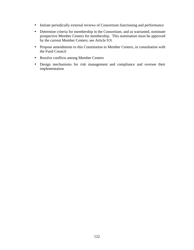- Initiate periodically external reviews of Consortium functioning and performance
- Determine criteria for membership in the Consortium, and as warranted, nominate prospective Member Centers for membership. This nomination must be approved by the current Member Centers; see Article 9.9.
- Propose amendments to this Constitution to Member Centers, in consultation with the Fund Council
- Resolve conflicts among Member Centers
- Design mechanisms for risk management and compliance and oversee their implementation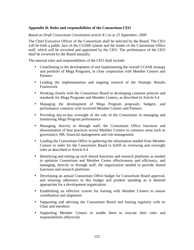### **Appendix B: Roles and responsibilities of the Consortium CEO**

#### *Based on Draft Consortium Constitution article 8.1 as at 23 September, 2009*

The Chief Executive Officer of the Consortium shall be selected by the Board. The CEO will be both a public face of the CGIAR system and the leader of the Consortium Office staff, which will be recruited and appointed by the CEO. The performance of the CEO shall be reviewed by the Board annually.

The internal roles and responsibilities of the CEO shall include:

- Contributing to the development of and implementing the overall CGIAR strategy and portfolio of Mega Programs, in close cooperation with Member Centers and **Partners**
- Leading the implementation and ongoing renewal of the Strategic Results Framework
- Working closely with the Consortium Board in developing common policies and standards for Mega Programs and Member Centers, as described in Article 6.4
- Managing the development of Mega Program proposals, budgets, and performance contracts with involved Member Centers and Partners
- Providing day-to-day oversight of the role of the Consortium in managing and monitoring Mega Program performance
- Managing, directly or through staff, the Consortium Office functions and dissemination of best practices across Member Centers in common areas such as governance, HR, financial management and risk management
- Leading the Consortium Office in gathering the information needed from Member Centers in order for the Consortium Board to fulfill its reviewing and oversight roles as described in Article 6.4
- Identifying and setting up such shared functions and research platforms as needed to optimize Consortium and Member Center effectiveness and efficiency, and managing, directly or through staff, the organization needed to provide shared functions and research platforms
- Developing an annual Consortium Office budget for Consortium Board approval, and ensuring adherence to this budget and prudent spending as is deemed appropriate for a development organization
- Establishing an effective system for liaising with Member Centers to ensure coordination and alignment
- Supporting and advising the Consortium Board and liaising regularly with its Chair and members
- Supporting Member Centers to enable them to execute their roles and responsibilities effectively